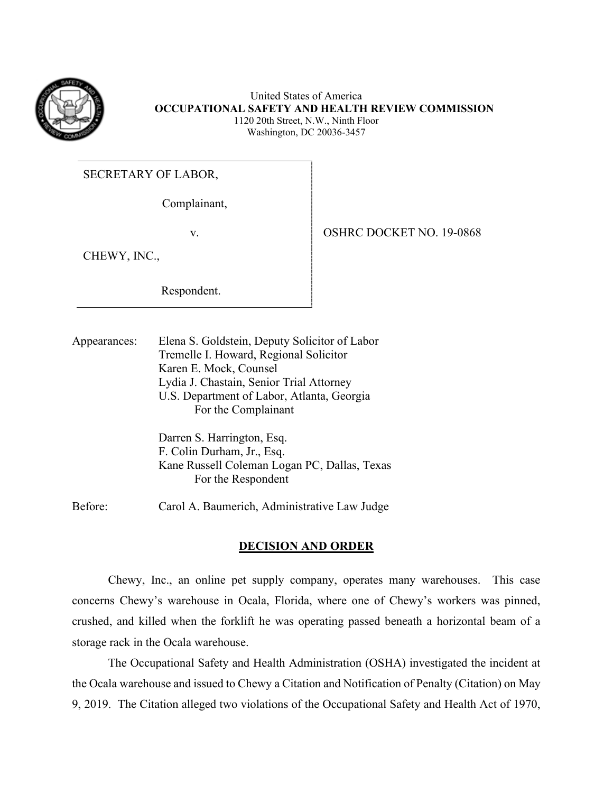

United States of America **OCCUPATIONAL SAFETY AND HEALTH REVIEW COMMISSION**  1120 20th Street, N.W., Ninth Floor Washington, DC 20036-3457

SECRETARY OF LABOR,

Complainant,

v. 9-0868 | OSHRC DOCKET NO. 19-0868

CHEWY, INC.,

Respondent.

Appearances: Elena S. Goldstein, Deputy Solicitor of Labor Tremelle I. Howard, Regional Solicitor Karen E. Mock, Counsel Lydia J. Chastain, Senior Trial Attorney U.S. Department of Labor, Atlanta, Georgia For the Complainant

> Darren S. Harrington, Esq. F. Colin Durham, Jr., Esq. Kane Russell Coleman Logan PC, Dallas, Texas For the Respondent

Before: Carol A. Baumerich, Administrative Law Judge

# **DECISION AND ORDER**

 Chewy, Inc., an online pet supply company, operates many warehouses. This case concerns Chewy's warehouse in Ocala, Florida, where one of Chewy's workers was pinned, crushed, and killed when the forklift he was operating passed beneath a horizontal beam of a storage rack in the Ocala warehouse.

 the Ocala warehouse and issued to Chewy a Citation and Notification of Penalty (Citation) on May The Occupational Safety and Health Administration (OSHA) investigated the incident at 9, 2019. The Citation alleged two violations of the Occupational Safety and Health Act of 1970,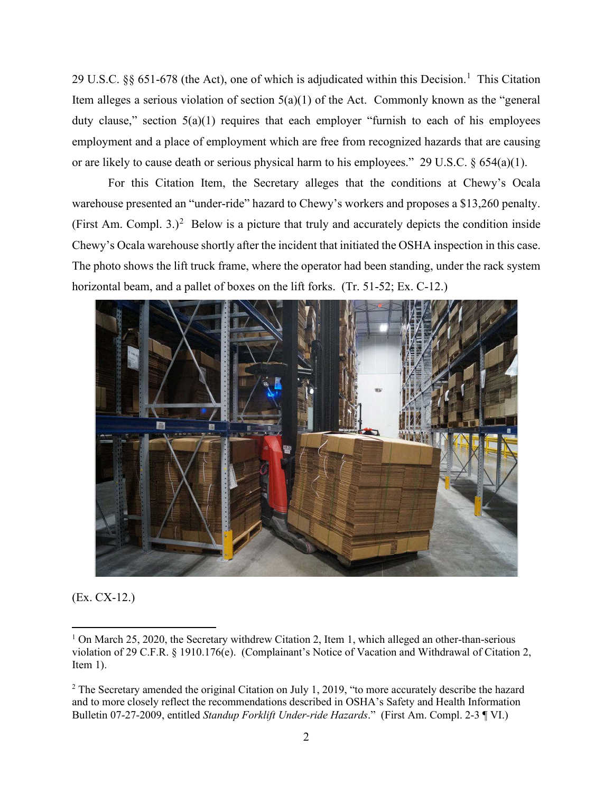29 U.S.C. §§ 65[1](#page-1-0)-678 (the Act), one of which is adjudicated within this Decision.<sup>1</sup> This Citation or are likely to cause death or serious physical harm to his employees." 29 U.S.C. § 654(a)(1). Item alleges a serious violation of section  $5(a)(1)$  of the Act. Commonly known as the "general duty clause," section  $5(a)(1)$  requires that each employer "furnish to each of his employees employment and a place of employment which are free from recognized hazards that are causing

warehouse presented an "under-ride" hazard to Chewy's workers and proposes a \$13,260 penalty. warehouse presented an "under-ride" hazard to Chewy's workers and proposes a \$13,[2](#page-1-1)60 penalty.<br>(First Am. Compl. 3.)<sup>2</sup> Below is a picture that truly and accurately depicts the condition inside For this Citation Item, the Secretary alleges that the conditions at Chewy's Ocala Chewy's Ocala warehouse shortly after the incident that initiated the OSHA inspection in this case. The photo shows the lift truck frame, where the operator had been standing, under the rack system horizontal beam, and a pallet of boxes on the lift forks. (Tr. 51-52; Ex. C-12.)



(Ex. CX-12.)

<span id="page-1-0"></span><sup>&</sup>lt;sup>1</sup> On March 25, 2020, the Secretary withdrew Citation 2, Item 1, which alleged an other-than-serious violation of 29 C.F.R. § 1910.176(e). (Complainant's Notice of Vacation and Withdrawal of Citation 2, Item 1).

<span id="page-1-1"></span> Bulletin 07-27-2009, entitled *Standup Forklift Under-ride Hazards*." (First Am. Compl. 2-3 ¶ VI.) <sup>2</sup> The Secretary amended the original Citation on July 1, 2019, "to more accurately describe the hazard and to more closely reflect the recommendations described in OSHA's Safety and Health Information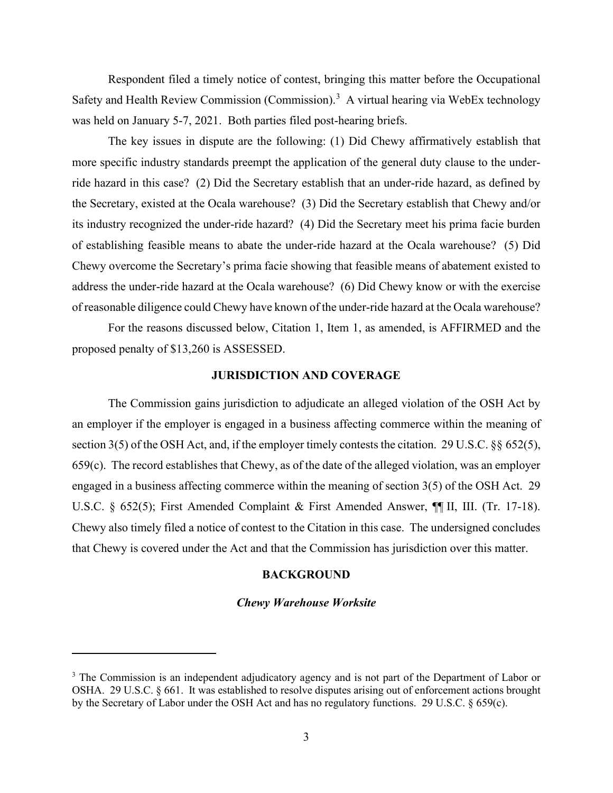Safety and Health Review Commission (Commission).<sup>3</sup> A virtual hearing via WebEx technology Respondent filed a timely notice of contest, bringing this matter before the Occupational was held on January 5-7, 2021. Both parties filed post-hearing briefs.

 The key issues in dispute are the following: (1) Did Chewy affirmatively establish that ride hazard in this case? (2) Did the Secretary establish that an under-ride hazard, as defined by its industry recognized the under-ride hazard? (4) Did the Secretary meet his prima facie burden Chewy overcome the Secretary's prima facie showing that feasible means of abatement existed to more specific industry standards preempt the application of the general duty clause to the underthe Secretary, existed at the Ocala warehouse? (3) Did the Secretary establish that Chewy and/or of establishing feasible means to abate the under-ride hazard at the Ocala warehouse? (5) Did address the under-ride hazard at the Ocala warehouse? (6) Did Chewy know or with the exercise

 of reasonable diligence could Chewy have known of the under-ride hazard at the Ocala warehouse? For the reasons discussed below, Citation 1, Item 1, as amended, is AFFIRMED and the For the reasons discussed below, Citation 1, Item 1, as amended, is AFFIRMED and the proposed penalty of \$13,260 is ASSESSED.

# **JURISDICTION AND COVERAGE**

 section 3(5) of the OSH Act, and, if the employer timely contests the citation. 29 U.S.C. §§ 652(5), engaged in a business affecting commerce within the meaning of section 3(5) of the OSH Act. 29 U.S.C. § 652(5); First Amended Complaint & First Amended Answer, ¶¶ II, III. (Tr. 17-18). Chewy also timely filed a notice of contest to the Citation in this case. The undersigned concludes that Chewy is covered under the Act and that the Commission has jurisdiction over this matter. The Commission gains jurisdiction to adjudicate an alleged violation of the OSH Act by an employer if the employer is engaged in a business affecting commerce within the meaning of  $659(c)$ . The record establishes that Chewy, as of the date of the alleged violation, was an employer

## **BACKGROUND**

#### *Chewy Warehouse Worksite*

<span id="page-2-0"></span> by the Secretary of Labor under the OSH Act and has no regulatory functions. 29 U.S.C. § 659(c). <sup>3</sup> The Commission is an independent adjudicatory agency and is not part of the Department of Labor or OSHA. 29 U.S.C. § 661. It was established to resolve disputes arising out of enforcement actions brought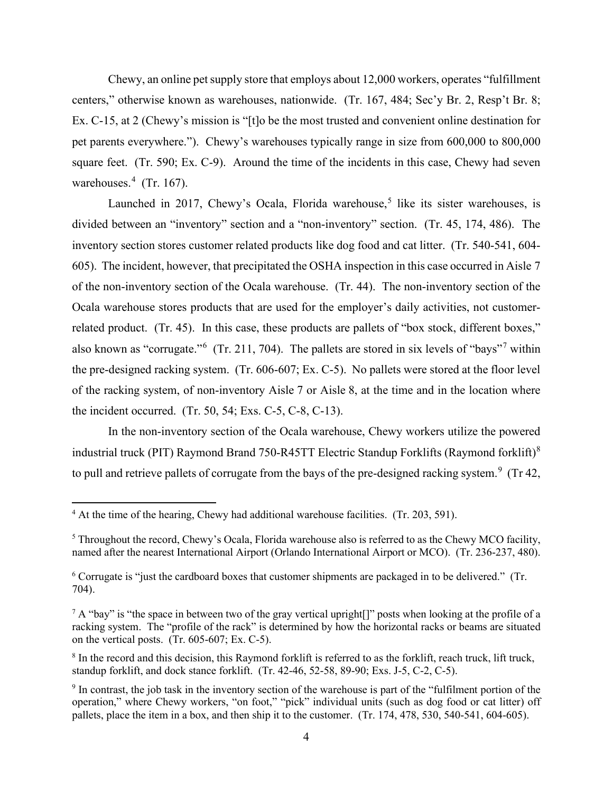Ex. C-15, at 2 (Chewy's mission is "[t]o be the most trusted and convenient online destination for pet parents everywhere."). Chewy's warehouses typically range in size from 600,000 to 800,000 square feet. (Tr. 590; Ex. C-9). Around the time of the incidents in this case, Chewy had seven warehouses. $4$  (Tr. 167). Chewy, an online pet supply store that employs about 12,000 workers, operates "fulfillment centers," otherwise known as warehouses, nationwide. (Tr. 167, 484; Sec'y Br. 2, Resp't Br. 8;

 divided between an "inventory" section and a "non-inventory" section. (Tr. 45, 174, 486). The 605). The incident, however, that precipitated the OSHA inspection in this case occurred in Aisle 7 of the non-inventory section of the Ocala warehouse. (Tr. 44). The non-inventory section of the related product. (Tr. 45). In this case, these products are pallets of "box stock, different boxes," also known as "corrugate."<sup>6</sup> (Tr. 211, [7](#page-3-3)04). The pallets are stored in six levels of "bays"<sup>7</sup> within the pre-designed racking system. (Tr. 606-607; Ex. C-5). No pallets were stored at the floor level of the racking system, of non-inventory Aisle 7 or Aisle 8, at the time and in the location where the incident occurred. (Tr. 50, 54; Exs. C-5, C-8, C-13). Launched in 2017, Chewy's Ocala, Florida warehouse,<sup>[5](#page-3-1)</sup> like its sister warehouses, is inventory section stores customer related products like dog food and cat litter. (Tr. 540-541, 604- Ocala warehouse stores products that are used for the employer's daily activities, not customer-

to pull and retrieve pallets of corrugate from the bays of the pre-designed racking system.<sup>9</sup> (Tr 42, In the non-inventory section of the Ocala warehouse, Chewy workers utilize the powered industrial truck (PIT) Raymond Brand 750-R45TT Electric Standup Forklifts (Raymond forklift)<sup>8</sup>

<span id="page-3-0"></span> $4$  At the time of the hearing, Chewy had additional warehouse facilities. (Tr. 203, 591).

<span id="page-3-1"></span> $5$  Throughout the record, Chewy's Ocala, Florida warehouse also is referred to as the Chewy MCO facility, named after the nearest International Airport (Orlando International Airport or MCO). (Tr. 236-237, 480).

<span id="page-3-2"></span> $6$  Corrugate is "just the cardboard boxes that customer shipments are packaged in to be delivered." (Tr. 704).

<span id="page-3-3"></span><sup>704).&</sup>lt;br><sup>7</sup> A "bay" is "the space in between two of the gray vertical upright[]" posts when looking at the profile of a racking system. The "profile of the rack" is determined by how the horizontal racks or beams are situated on the vertical posts. (Tr. 605-607; Ex. C-5).

<span id="page-3-4"></span> $8$  In the record and this decision, this Raymond forklift is referred to as the forklift, reach truck, lift truck, standup forklift, and dock stance forklift. (Tr. 42-46, 52-58, 89-90; Exs. J-5, C-2, C-5).

<span id="page-3-5"></span> $9$  In contrast, the job task in the inventory section of the warehouse is part of the "fulfilment portion of the pallets, place the item in a box, and then ship it to the customer. (Tr. 174, 478, 530, 540-541, 604-605). operation," where Chewy workers, "on foot," "pick" individual units (such as dog food or cat litter) off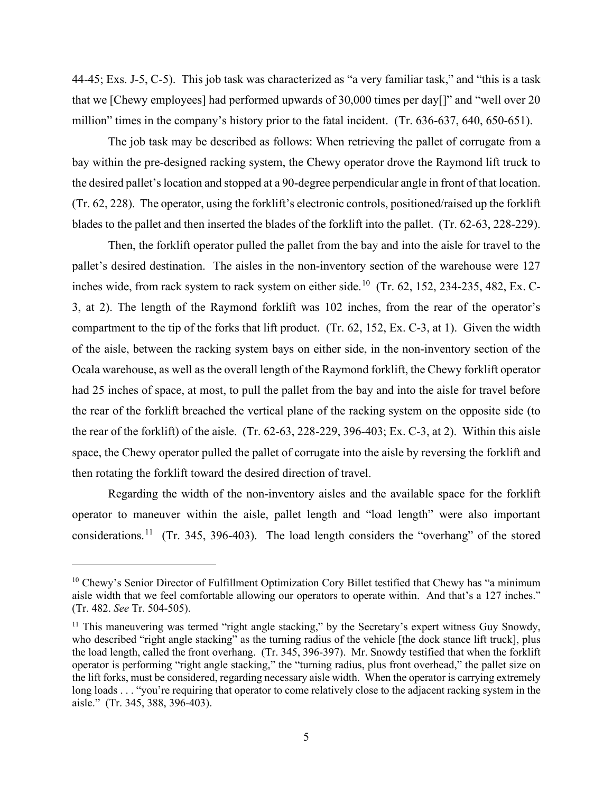million" times in the company's history prior to the fatal incident. (Tr. 636-637, 640, 650-651).<br>The job task may be described as follows: When retrieving the pallet of corrugate from a 44-45; Exs. J-5, C-5). This job task was characterized as "a very familiar task," and "this is a task that we [Chewy employees] had performed upwards of 30,000 times per day[]" and "well over 20

The job task may be described as follows: When retrieving the pallet of corrugate from a the desired pallet's location and stopped at a 90-degree perpendicular angle in front of that location. the desired pallet's location and stopped at a 90-degree perpendicular angle in front of that location. (Tr. 62, 228). The operator, using the forklift's electronic controls, positioned/raised up the forklift blades to the pallet and then inserted the blades of the forklift into the pallet. (Tr. 62-63, 228-229). bay within the pre-designed racking system, the Chewy operator drove the Raymond lift truck to

 Then, the forklift operator pulled the pallet from the bay and into the aisle for travel to the pallet's desired destination. The aisles in the non-inventory section of the warehouse were 127 inches wide, from rack system to rack system on either side.<sup>10</sup> (Tr. 62, 152, 234-235, 482, Ex. C- 3, at 2). The length of the Raymond forklift was 102 inches, from the rear of the operator's compartment to the tip of the forks that lift product. (Tr. 62, 152, Ex. C-3, at 1). Given the width of the aisle, between the racking system bays on either side, in the non-inventory section of the Ocala warehouse, as well as the overall length of the Raymond forklift, the Chewy forklift operator had 25 inches of space, at most, to pull the pallet from the bay and into the aisle for travel before the rear of the forklift) of the aisle. (Tr. 62-63, 228-229, 396-403; Ex. C-3, at 2). Within this aisle the rear of the forklift breached the vertical plane of the racking system on the opposite side (to space, the Chewy operator pulled the pallet of corrugate into the aisle by reversing the forklift and then rotating the forklift toward the desired direction of travel.

considerations.<sup>[11](#page-4-1)</sup> (Tr. 345, 396-403). The load length considers the "overhang" of the stored Regarding the width of the non-inventory aisles and the available space for the forklift operator to maneuver within the aisle, pallet length and "load length" were also important

<span id="page-4-0"></span><sup>&</sup>lt;sup>10</sup> Chewy's Senior Director of Fulfillment Optimization Cory Billet testified that Chewy has "a minimum aisle width that we feel comfortable allowing our operators to operate within. And that's a 127 inches." (Tr. 482. *See* Tr. 504-505).

<span id="page-4-1"></span> who described "right angle stacking" as the turning radius of the vehicle [the dock stance lift truck], plus the load length, called the front overhang. (Tr. 345, 396-397). Mr. Snowdy testified that when the forklift operator is performing "right angle stacking," the "turning radius, plus front overhead," the pallet size on the lift forks, must be considered, regarding necessary aisle width. When the operator is carrying extremely long loads . . . "you're requiring that operator to come relatively close to the adjacent racking system in the aisle." (Tr. 345, 388, 396-403). <sup>11</sup> This maneuvering was termed "right angle stacking," by the Secretary's expert witness Guy Snowdy,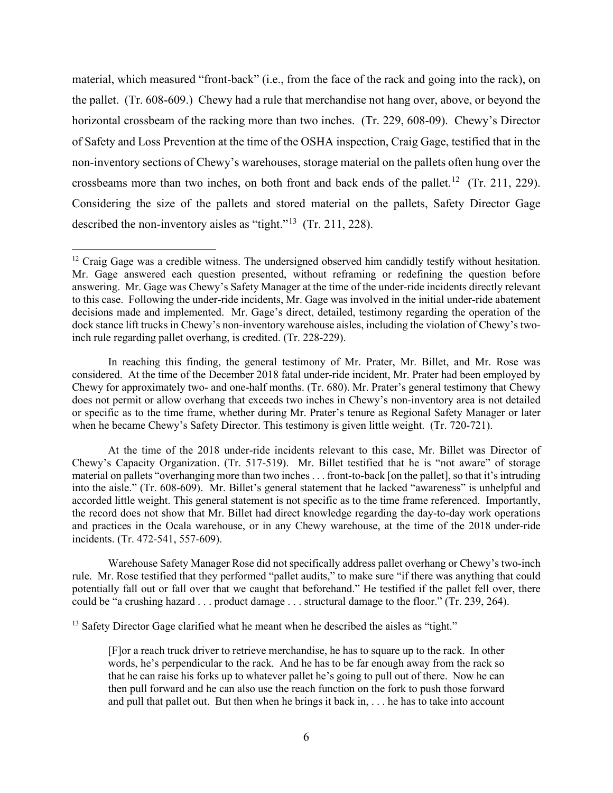material, which measured "front-back" (i.e., from the face of the rack and going into the rack), on the pallet. (Tr. 608-609.) Chewy had a rule that merchandise not hang over, above, or beyond the horizontal crossbeam of the racking more than two inches. (Tr. 229, 608-09). Chewy's Director of Safety and Loss Prevention at the time of the OSHA inspection, Craig Gage, testified that in the crossbeams more than two inches, on both front and back ends of the pallet.<sup>[12](#page-5-0)</sup> (Tr. 211, 229). Considering the size of the pallets and stored material on the pallets, Safety Director Gage described the non-inventory aisles as "tight."<sup>13</sup> (Tr. 211, 228). non-inventory sections of Chewy's warehouses, storage material on the pallets often hung over the

 In reaching this finding, the general testimony of Mr. Prater, Mr. Billet, and Mr. Rose was considered. At the time of the December 2018 fatal under-ride incident, Mr. Prater had been employed by or specific as to the time frame, whether during Mr. Prater's tenure as Regional Safety Manager or later Chewy for approximately two- and one-half months. (Tr. 680). Mr. Prater's general testimony that Chewy does not permit or allow overhang that exceeds two inches in Chewy's non-inventory area is not detailed when he became Chewy's Safety Director. This testimony is given little weight. (Tr. 720-721).

 At the time of the 2018 under-ride incidents relevant to this case, Mr. Billet was Director of Chewy's Capacity Organization. (Tr. 517-519). Mr. Billet testified that he is "not aware" of storage material on pallets "overhanging more than two inches . . . front-to-back [on the pallet], so that it's intruding into the aisle." (Tr. 608-609). Mr. Billet's general statement that he lacked "awareness" is unhelpful and accorded little weight. This general statement is not specific as to the time frame referenced. Importantly, the record does not show that Mr. Billet had direct knowledge regarding the day-to-day work operations and practices in the Ocala warehouse, or in any Chewy warehouse, at the time of the 2018 under-ride incidents. (Tr. 472-541, 557-609).

 Warehouse Safety Manager Rose did not specifically address pallet overhang or Chewy's two-inch rule. Mr. Rose testified that they performed "pallet audits," to make sure "if there was anything that could potentially fall out or fall over that we caught that beforehand." He testified if the pallet fell over, there could be "a crushing hazard . . . product damage . . . structural damage to the floor." (Tr. 239, 264).

<span id="page-5-1"></span><sup>13</sup> Safety Director Gage clarified what he meant when he described the aisles as "tight." <sup>13</sup> Safety Director Gage clarified what he meant when he described the aisles as "tight."<br>
[F]or a reach truck driver to retrieve merchandise, he has to square up to the rack. In other

 words, he's perpendicular to the rack. And he has to be far enough away from the rack so then pull forward and he can also use the reach function on the fork to push those forward and pull that pallet out. But then when he brings it back in, . . . he has to take into account that he can raise his forks up to whatever pallet he's going to pull out of there. Now he can

<span id="page-5-0"></span> $12$  Craig Gage was a credible witness. The undersigned observed him candidly testify without hesitation. answering. Mr. Gage was Chewy's Safety Manager at the time of the under-ride incidents directly relevant decisions made and implemented. Mr. Gage's direct, detailed, testimony regarding the operation of the Mr. Gage answered each question presented, without reframing or redefining the question before to this case. Following the under-ride incidents, Mr. Gage was involved in the initial under-ride abatement dock stance lift trucks in Chewy's non-inventory warehouse aisles, including the violation of Chewy's twoinch rule regarding pallet overhang, is credited. (Tr. 228-229).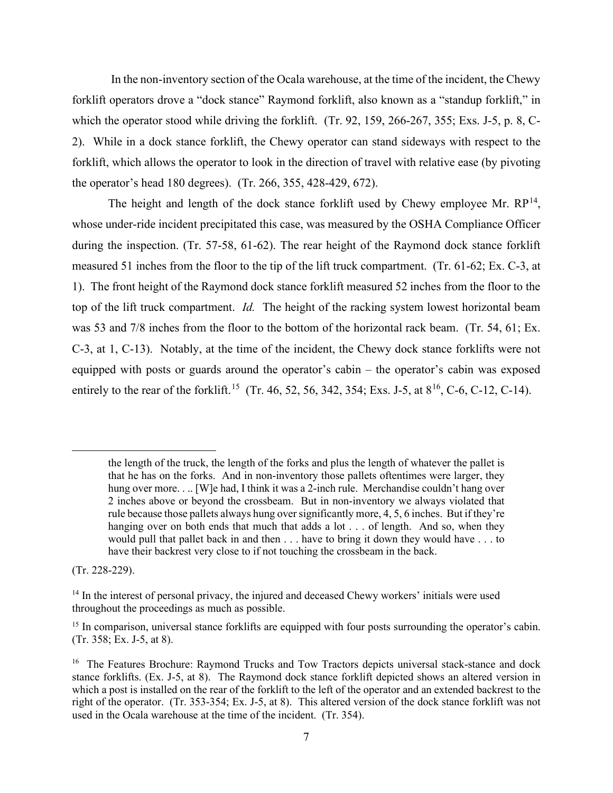forklift operators drove a "dock stance" Raymond forklift, also known as a "standup forklift," in which the operator stood while driving the forklift. (Tr. 92, 159, 266-267, 355; Exs. J-5, p. 8, C- 2). While in a dock stance forklift, the Chewy operator can stand sideways with respect to the forklift, which allows the operator to look in the direction of travel with relative ease (by pivoting the operator's head 180 degrees). (Tr. 266, 355, 428-429, 672). In the non-inventory section of the Ocala warehouse, at the time of the incident, the Chewy

The height and length of the dock stance forklift used by Chewy employee Mr.  $RP^{14}$  $RP^{14}$  $RP^{14}$ , during the inspection. (Tr. 57-58, 61-62). The rear height of the Raymond dock stance forklift measured 51 inches from the floor to the tip of the lift truck compartment. (Tr. 61-62; Ex. C-3, at 1). The front height of the Raymond dock stance forklift measured 52 inches from the floor to the top of the lift truck compartment. *Id.* The height of the racking system lowest horizontal beam C-3, at 1, C-13). Notably, at the time of the incident, the Chewy dock stance forklifts were not equipped with posts or guards around the operator's cabin – the operator's cabin was exposed entirely to the rear of the forklift.<sup>15</sup> (Tr. 46, 52, 56, 342, 354; Exs. J-5, at  $8^{16}$  $8^{16}$  $8^{16}$ , C-6, C-12, C-14). whose under-ride incident precipitated this case, was measured by the OSHA Compliance Officer was 53 and 7/8 inches from the floor to the bottom of the horizontal rack beam. (Tr. 54, 61; Ex.

 $(Tr. 228-229).$ 

 the length of the truck, the length of the forks and plus the length of whatever the pallet is that he has on the forks. And in non-inventory those pallets oftentimes were larger, they rule because those pallets always hung over significantly more, 4, 5, 6 inches. But if they're hanging over on both ends that much that adds a lot . . . of length. And so, when they would pull that pallet back in and then . . . have to bring it down they would have . . . to hung over more. . .. [W]e had, I think it was a 2-inch rule. Merchandise couldn't hang over 2 inches above or beyond the crossbeam. But in non-inventory we always violated that have their backrest very close to if not touching the crossbeam in the back.

<span id="page-6-0"></span><sup>(</sup>Tr. 228-229).<br><sup>14</sup> In the interest of personal privacy, the injured and deceased Chewy workers' initials were used throughout the proceedings as much as possible.

<span id="page-6-1"></span><sup>&</sup>lt;sup>15</sup> In comparison, universal stance forklifts are equipped with four posts surrounding the operator's cabin. (Tr. 358; Ex. J-5, at 8). (Tr. 358; Ex. J-5, at 8).

<span id="page-6-2"></span><sup>&</sup>lt;sup>16</sup> The Features Brochure: Raymond Trucks and Tow Tractors depicts universal stack-stance and dock stance forklifts. (Ex. J-5, at 8). The Raymond dock stance forklift depicted shows an altered version in which a post is installed on the rear of the forklift to the left of the operator and an extended backrest to the right of the operator. (Tr. 353-354; Ex. J-5, at 8). This altered version of the dock stance forklift was not used in the Ocala warehouse at the time of the incident. (Tr. 354).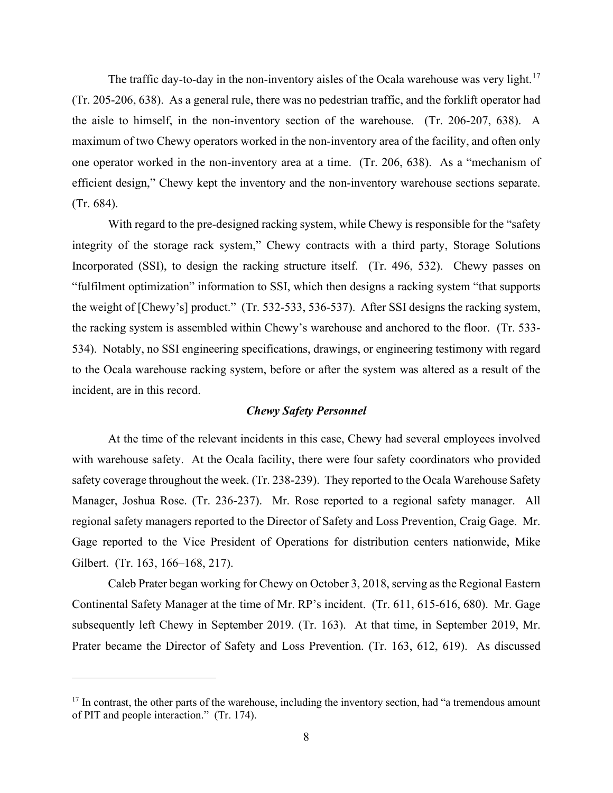The traffic day-to-day in the non-inventory aisles of the Ocala warehouse was very light.<sup>[17](#page-7-0)</sup> (Tr. 205-206, 638). As a general rule, there was no pedestrian traffic, and the forklift operator had the aisle to himself, in the non-inventory section of the warehouse. (Tr. 206-207, 638). A maximum of two Chewy operators worked in the non-inventory area of the facility, and often only one operator worked in the non-inventory area at a time. (Tr. 206, 638). As a "mechanism of efficient design," Chewy kept the inventory and the non-inventory warehouse sections separate.  $(Tr. 684).$ 

 Incorporated (SSI), to design the racking structure itself. (Tr. 496, 532). Chewy passes on the weight of [Chewy's] product." (Tr. 532-533, 536-537). After SSI designs the racking system, the racking system is assembled within Chewy's warehouse and anchored to the floor. (Tr. 533- 534). Notably, no SSI engineering specifications, drawings, or engineering testimony with regard to the Ocala warehouse racking system, before or after the system was altered as a result of the incident, are in this record. With regard to the pre-designed racking system, while Chewy is responsible for the "safety" integrity of the storage rack system," Chewy contracts with a third party, Storage Solutions "fulfilment optimization" information to SSI, which then designs a racking system "that supports

# *Chewy Safety Personnel*

 with warehouse safety. At the Ocala facility, there were four safety coordinators who provided safety coverage throughout the week. (Tr. 238-239). They reported to the Ocala Warehouse Safety Manager, Joshua Rose. (Tr. 236-237). Mr. Rose reported to a regional safety manager. All regional safety managers reported to the Director of Safety and Loss Prevention, Craig Gage. Mr. Gage reported to the Vice President of Operations for distribution centers nationwide, Mike At the time of the relevant incidents in this case, Chewy had several employees involved Gilbert. (Tr. 163, 166–168, 217).

 Continental Safety Manager at the time of Mr. RP's incident. (Tr. 611, 615-616, 680). Mr. Gage Caleb Prater began working for Chewy on October 3, 2018, serving as the Regional Eastern subsequently left Chewy in September 2019. (Tr. 163). At that time, in September 2019, Mr. Prater became the Director of Safety and Loss Prevention. (Tr. 163, 612, 619). As discussed

<span id="page-7-0"></span> $17$  In contrast, the other parts of the warehouse, including the inventory section, had "a tremendous amount of PIT and people interaction." (Tr. 174).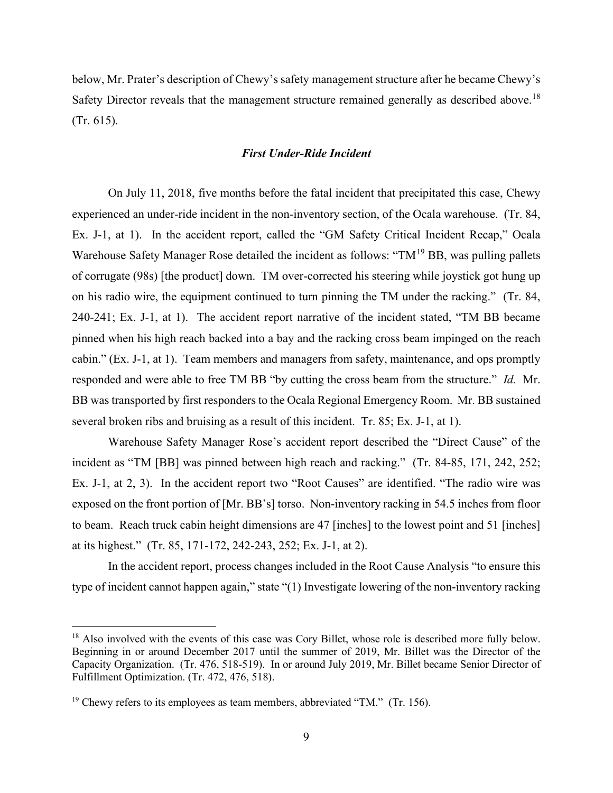below, Mr. Prater's description of Chewy's safety management structure after he became Chewy's Safety Director reveals that the management structure remained generally as described above.<sup>[18](#page-8-0)</sup> (Tr. 615).

# *First Under-Ride Incident*

 Ex. J-1, at 1). In the accident report, called the "GM Safety Critical Incident Recap," Ocala 240-241; Ex. J-1, at 1). The accident report narrative of the incident stated, "TM BB became cabin." (Ex. J-1, at 1). Team members and managers from safety, maintenance, and ops promptly responded and were able to free TM BB "by cutting the cross beam from the structure." *Id.* Mr. BB was transported by first responders to the Ocala Regional Emergency Room. Mr. BB sustained several broken ribs and bruising as a result of this incident. Tr. 85; Ex. J-1, at 1). On July 11, 2018, five months before the fatal incident that precipitated this case, Chewy experienced an under-ride incident in the non-inventory section, of the Ocala warehouse. (Tr. 84, Warehouse Safety Manager Rose detailed the incident as follows: " $TM^{19}$  $TM^{19}$  $TM^{19}$  BB, was pulling pallets of corrugate (98s) [the product] down. TM over-corrected his steering while joystick got hung up on his radio wire, the equipment continued to turn pinning the TM under the racking." (Tr. 84, pinned when his high reach backed into a bay and the racking cross beam impinged on the reach

 exposed on the front portion of [Mr. BB's] torso. Non-inventory racking in 54.5 inches from floor to beam. Reach truck cabin height dimensions are 47 [inches] to the lowest point and 51 [inches] Warehouse Safety Manager Rose's accident report described the "Direct Cause" of the incident as "TM [BB] was pinned between high reach and racking." (Tr. 84-85, 171, 242, 252; Ex. J-1, at 2, 3). In the accident report two "Root Causes" are identified. "The radio wire was at its highest." (Tr. 85, 171-172, 242-243, 252; Ex. J-1, at 2).

 type of incident cannot happen again," state "(1) Investigate lowering of the non-inventory racking In the accident report, process changes included in the Root Cause Analysis "to ensure this

<span id="page-8-0"></span> Beginning in or around December 2017 until the summer of 2019, Mr. Billet was the Director of the <sup>18</sup> Also involved with the events of this case was Cory Billet, whose role is described more fully below. Capacity Organization. (Tr. 476, 518-519). In or around July 2019, Mr. Billet became Senior Director of Fulfillment Optimization. (Tr. 472, 476, 518).

<span id="page-8-1"></span> $19$  Chewy refers to its employees as team members, abbreviated "TM." (Tr. 156).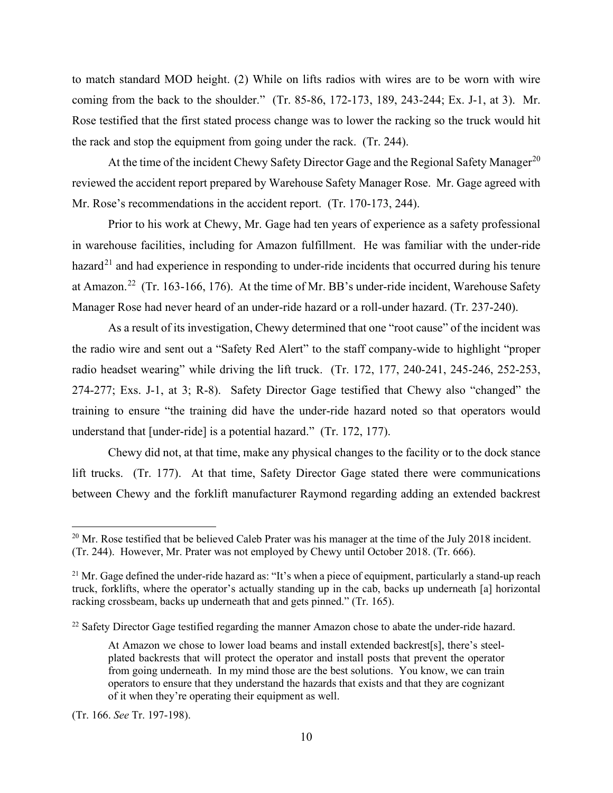to match standard MOD height. (2) While on lifts radios with wires are to be worn with wire coming from the back to the shoulder." (Tr. 85-86, 172-173, 189, 243-244; Ex. J-1, at 3). Mr. Rose testified that the first stated process change was to lower the racking so the truck would hit the rack and stop the equipment from going under the rack. (Tr. 244).

 reviewed the accident report prepared by Warehouse Safety Manager Rose. Mr. Gage agreed with Mr. Rose's recommendations in the accident report. (Tr. 170-173, 244). Mr. Rose's recommendations in the accident report. (Tr. 170-173, 244).<br>Prior to his work at Chewy, Mr. Gage had ten years of experience as a safety professional At the time of the incident Chewy Safety Director Gage and the Regional Safety Manager<sup>[20](#page-9-0)</sup>

at Amazon.<sup>22</sup> (Tr. 163-166, 176). At the time of Mr. BB's under-ride incident, Warehouse Safety Manager Rose had never heard of an under-ride hazard or a roll-under hazard. (Tr. 237-240). in warehouse facilities, including for Amazon fulfillment. He was familiar with the under-ride hazard<sup>21</sup> and had experience in responding to under-ride incidents that occurred during his tenure

 the radio wire and sent out a "Safety Red Alert" to the staff company-wide to highlight "proper 274-277; Exs. J-1, at 3; R-8). Safety Director Gage testified that Chewy also "changed" the understand that [under-ride] is a potential hazard." (Tr. 172, 177). As a result of its investigation, Chewy determined that one "root cause" of the incident was radio headset wearing" while driving the lift truck. (Tr. 172, 177, 240-241, 245-246, 252-253, training to ensure "the training did have the under-ride hazard noted so that operators would

 lift trucks. (Tr. 177). At that time, Safety Director Gage stated there were communications between Chewy and the forklift manufacturer Raymond regarding adding an extended backrest Chewy did not, at that time, make any physical changes to the facility or to the dock stance

(Tr. 166. *See* Tr. 197-198).

<span id="page-9-0"></span> $^{20}$  Mr. Rose testified that be believed Caleb Prater was his manager at the time of the July 2018 incident. (Tr. 244). However, Mr. Prater was not employed by Chewy until October 2018. (Tr. 666).

<span id="page-9-1"></span><sup>&</sup>lt;sup>21</sup> Mr. Gage defined the under-ride hazard as: "It's when a piece of equipment, particularly a stand-up reach truck, forklifts, where the operator's actually standing up in the cab, backs up underneath [a] horizontal racking crossbeam, backs up underneath that and gets pinned." (Tr. 165).

<span id="page-9-2"></span><sup>&</sup>lt;sup>22</sup> Safety Director Gage testified regarding the manner Amazon chose to abate the under-ride hazard.

 At Amazon we chose to lower load beams and install extended backrest[s], there's steel- plated backrests that will protect the operator and install posts that prevent the operator operators to ensure that they understand the hazards that exists and that they are cognizant from going underneath. In my mind those are the best solutions. You know, we can train of it when they're operating their equipment as well.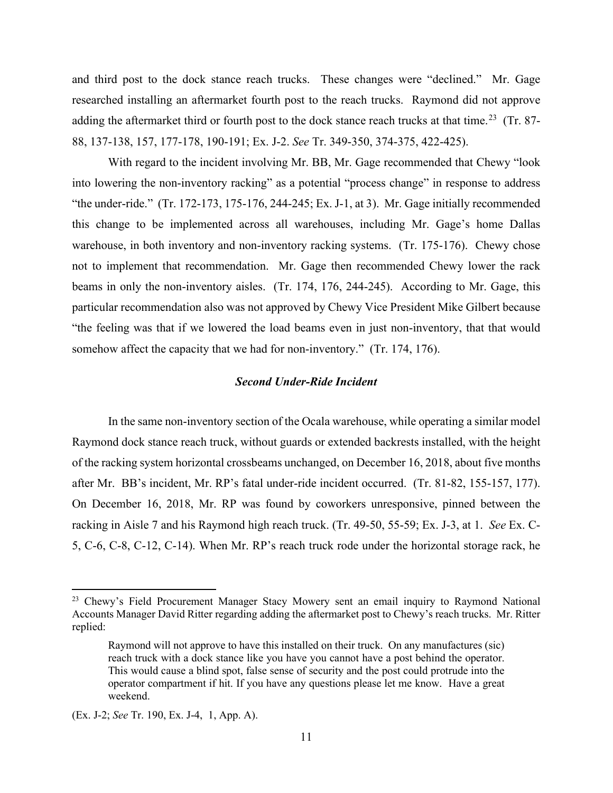and third post to the dock stance reach trucks. These changes were "declined." Mr. Gage researched installing an aftermarket fourth post to the reach trucks. Raymond did not approve adding the aftermarket third or fourth post to the dock stance reach trucks at that time.<sup>[23](#page-10-0)</sup> (Tr. 87-88, 137-138, 157, 177-178, 190-191; Ex. J-2. *See* Tr. 349-350, 374-375, 422-425).

 With regard to the incident involving Mr. BB, Mr. Gage recommended that Chewy "look "the under-ride." (Tr. 172-173, 175-176, 244-245; Ex. J-1, at 3). Mr. Gage initially recommended warehouse, in both inventory and non-inventory racking systems. (Tr. 175-176). Chewy chose beams in only the non-inventory aisles. (Tr. 174, 176, 244-245). According to Mr. Gage, this somehow affect the capacity that we had for non-inventory." (Tr. 174, 176). into lowering the non-inventory racking" as a potential "process change" in response to address this change to be implemented across all warehouses, including Mr. Gage's home Dallas not to implement that recommendation. Mr. Gage then recommended Chewy lower the rack particular recommendation also was not approved by Chewy Vice President Mike Gilbert because "the feeling was that if we lowered the load beams even in just non-inventory, that that would

# *Second Under-Ride Incident*

 In the same non-inventory section of the Ocala warehouse, while operating a similar model Raymond dock stance reach truck, without guards or extended backrests installed, with the height of the racking system horizontal crossbeams unchanged, on December 16, 2018, about five months after Mr. BB's incident, Mr. RP's fatal under-ride incident occurred. (Tr. 81-82, 155-157, 177). racking in Aisle 7 and his Raymond high reach truck. (Tr. 49-50, 55-59; Ex. J-3, at 1. *See* Ex. C- 5, C-6, C-8, C-12, C-14). When Mr. RP's reach truck rode under the horizontal storage rack, he On December 16, 2018, Mr. RP was found by coworkers unresponsive, pinned between the

<span id="page-10-0"></span><sup>&</sup>lt;sup>23</sup> Chewy's Field Procurement Manager Stacy Mowery sent an email inquiry to Raymond National Accounts Manager David Ritter regarding adding the aftermarket post to Chewy's reach trucks. Mr. Ritter replied:

 Raymond will not approve to have this installed on their truck. On any manufactures (sic) reach truck with a dock stance like you have you cannot have a post behind the operator. operator compartment if hit. If you have any questions please let me know. Have a great This would cause a blind spot, false sense of security and the post could protrude into the weekend.

 (Ex. J-2; *See* Tr. 190, Ex. J-4, 1, App. A).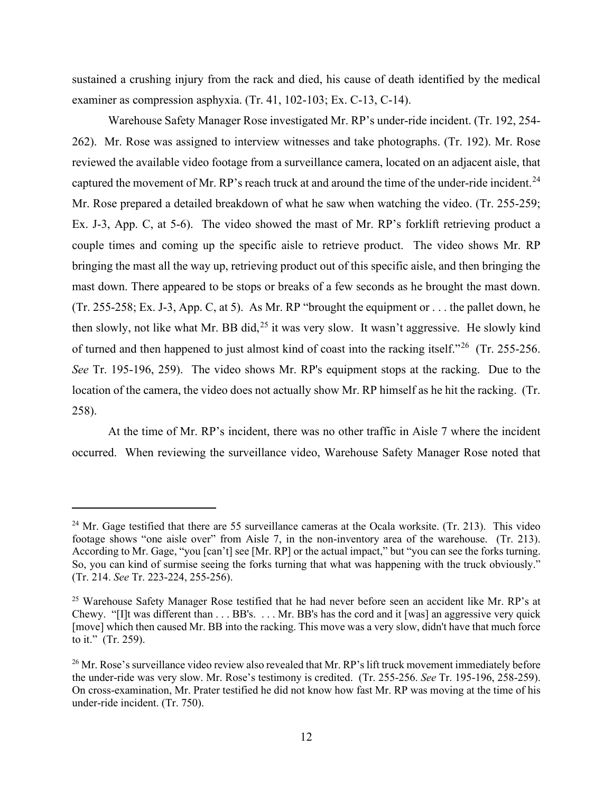examiner as compression asphyxia. (Tr. 41, 102-103; Ex. C-13, C-14). sustained a crushing injury from the rack and died, his cause of death identified by the medical

captured the movement of Mr. RP's reach truck at and around the time of the under-ride incident.<sup>[24](#page-11-0)</sup> Mr. Rose prepared a detailed breakdown of what he saw when watching the video. (Tr. 255-259; Ex. J-3, App. C, at 5-6). The video showed the mast of Mr. RP's forklift retrieving product a couple times and coming up the specific aisle to retrieve product. The video shows Mr. RP mast down. There appeared to be stops or breaks of a few seconds as he brought the mast down. mast down. There appeared to be stops or breaks of a few seconds as he brought the mast down. (Tr. 255-258; Ex. J-3, App. C, at 5). As Mr. RP "brought the equipment or . . . the pallet down, he then slowly, not like what Mr. BB did,<sup>[25](#page-11-1)</sup> it was very slow. It wasn't aggressive. He slowly kind of turned and then happened to just almost kind of coast into the racking itself."<sup>26</sup> (Tr. 255-256. *See* Tr. 195-196, 259). The video shows Mr. RP's equipment stops at the racking. Due to the location of the camera, the video does not actually show Mr. RP himself as he hit the racking. (Tr. Warehouse Safety Manager Rose investigated Mr. RP's under-ride incident. (Tr. 192, 254- 262). Mr. Rose was assigned to interview witnesses and take photographs. (Tr. 192). Mr. Rose reviewed the available video footage from a surveillance camera, located on an adjacent aisle, that bringing the mast all the way up, retrieving product out of this specific aisle, and then bringing the 258).

At the time of Mr. RP's incident, there was no other traffic in Aisle 7 where the incident occurred. When reviewing the surveillance video, Warehouse Safety Manager Rose noted that

<span id="page-11-0"></span> $24$  Mr. Gage testified that there are 55 surveillance cameras at the Ocala worksite. (Tr. 213). This video footage shows "one aisle over" from Aisle 7, in the non-inventory area of the warehouse. (Tr. 213). footage shows "one aisle over" from Aisle 7, in the non-inventory area of the warehouse. (Tr. 213). According to Mr. Gage, "you [can't] see [Mr. RP] or the actual impact," but "you can see the forks turning. So, you can kind of surmise seeing the forks turning that what was happening with the truck obviously." (Tr. 214. See Tr. 223-224, 255-256).

<span id="page-11-1"></span><sup>(</sup>Tr. 214. *See* Tr. 223-224, 255-256).<br><sup>25</sup> Warehouse Safety Manager Rose testified that he had never before seen an accident like Mr. RP's at Chewy. "[I]t was different than . . . BB's. . . . Mr. BB's has the cord and it [was] an aggressive very quick [move] which then caused Mr. BB into the racking. This move was a very slow, didn't have that much force to it." (Tr. 259).

<span id="page-11-2"></span><sup>&</sup>lt;sup>26</sup> Mr. Rose's surveillance video review also revealed that Mr. RP's lift truck movement immediately before the under-ride was very slow. Mr. Rose's testimony is credited. (Tr. 255-256. See Tr. 195-196, 258-259). the under-ride was very slow. Mr. Rose's testimony is credited. (Tr. 255-256. *See* Tr. 195-196, 258-259). On cross-examination, Mr. Prater testified he did not know how fast Mr. RP was moving at the time of his under-ride incident. (Tr. 750).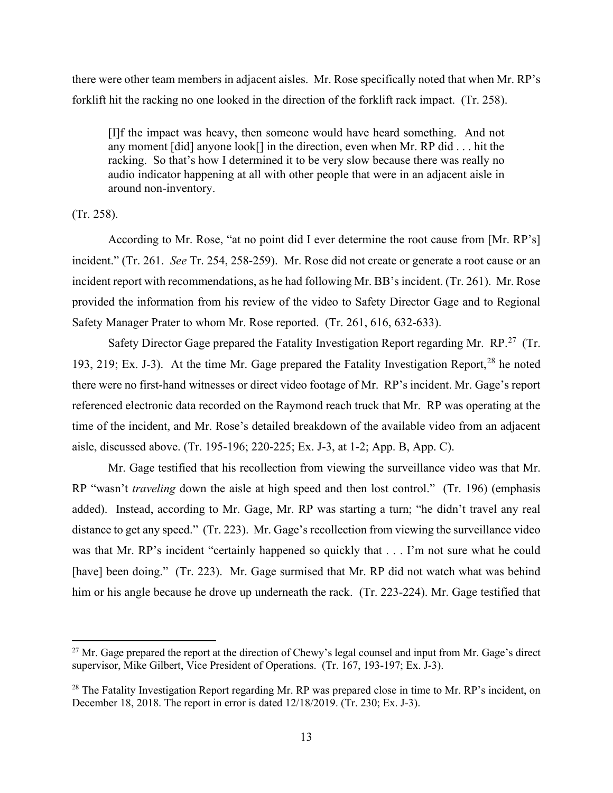there were other team members in adjacent aisles. Mr. Rose specifically noted that when Mr. RP's forklift hit the racking no one looked in the direction of the forklift rack impact. (Tr. 258).

 any moment [did] anyone look[] in the direction, even when Mr. RP did . . . hit the racking. So that's how I determined it to be very slow because there was really no audio indicator happening at all with other people that were in an adjacent aisle in [I]f the impact was heavy, then someone would have heard something. And not around non-inventory.

(Tr. 258).

 According to Mr. Rose, "at no point did I ever determine the root cause from [Mr. RP's] incident." (Tr. 261. *See* Tr. 254, 258-259). Mr. Rose did not create or generate a root cause or an incident report with recommendations, as he had following Mr. BB's incident. (Tr. 261). Mr. Rose provided the information from his review of the video to Safety Director Gage and to Regional Safety Manager Prater to whom Mr. Rose reported. (Tr. 261, 616, 632-633).

Safety Director Gage prepared the Fatality Investigation Report regarding Mr. RP.<sup>27</sup> (Tr. 193, 219; Ex. J-3). At the time Mr. Gage prepared the Fatality Investigation Report,<sup>28</sup> he noted time of the incident, and Mr. Rose's detailed breakdown of the available video from an adjacent aisle, discussed above. (Tr. 195-196; 220-225; Ex. J-3, at 1-2; App. B, App. C). there were no first-hand witnesses or direct video footage of Mr. RP's incident. Mr. Gage's report referenced electronic data recorded on the Raymond reach truck that Mr. RP was operating at the

 RP "wasn't *traveling* down the aisle at high speed and then lost control." (Tr. 196) (emphasis added). Instead, according to Mr. Gage, Mr. RP was starting a turn; "he didn't travel any real distance to get any speed." (Tr. 223). Mr. Gage's recollection from viewing the surveillance video [have] been doing." (Tr. 223). Mr. Gage surmised that Mr. RP did not watch what was behind him or his angle because he drove up underneath the rack. (Tr. 223-224). Mr. Gage testified that Mr. Gage testified that his recollection from viewing the surveillance video was that Mr. was that Mr. RP's incident "certainly happened so quickly that . . . I'm not sure what he could

<span id="page-12-0"></span><sup>&</sup>lt;sup>27</sup> Mr. Gage prepared the report at the direction of Chewy's legal counsel and input from Mr. Gage's direct supervisor, Mike Gilbert, Vice President of Operations. (Tr. 167, 193-197; Ex. J-3).

<span id="page-12-1"></span> December 18, 2018. The report in error is dated 12/18/2019. (Tr. 230; Ex. J-3). <sup>28</sup> The Fatality Investigation Report regarding Mr. RP was prepared close in time to Mr. RP's incident, on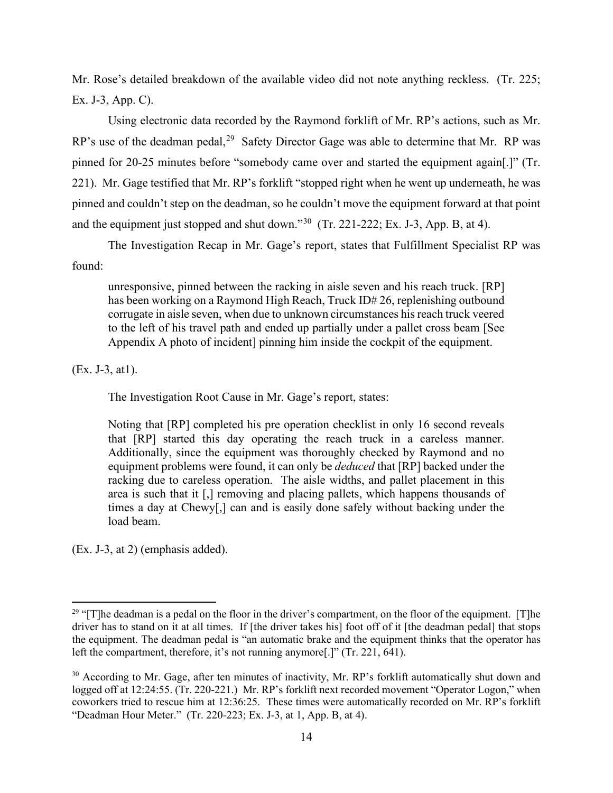Mr. Rose's detailed breakdown of the available video did not note anything reckless. (Tr. 225; Ex. J-3, App. C).

RP's use of the deadman pedal,<sup>[29](#page-13-0)</sup> Safety Director Gage was able to determine that Mr. RP was 221). Mr. Gage testified that Mr. RP's forklift "stopped right when he went up underneath, he was and the equipment just stopped and shut down."<sup>[30](#page-13-1)</sup> (Tr. 221-222; Ex. J-3, App. B, at 4). Using electronic data recorded by the Raymond forklift of Mr. RP's actions, such as Mr. pinned for 20-25 minutes before "somebody came over and started the equipment again[.]" (Tr. pinned and couldn't step on the deadman, so he couldn't move the equipment forward at that point

 The Investigation Recap in Mr. Gage's report, states that Fulfillment Specialist RP was found:

unresponsive, pinned between the racking in aisle seven and his reach truck. [RP] has been working on a Raymond High Reach, Truck ID# 26, replenishing outbound corrugate in aisle seven, when due to unknown circumstances his reach truck veered to the left of his travel path and ended up partially under a pallet cross beam [See Appendix A photo of incident] pinning him inside the cockpit of the equipment.

(Ex. J-3, at1).

The Investigation Root Cause in Mr. Gage's report, states:

 that [RP] started this day operating the reach truck in a careless manner. area is such that it [,] removing and placing pallets, which happens thousands of Noting that [RP] completed his pre operation checklist in only 16 second reveals Additionally, since the equipment was thoroughly checked by Raymond and no equipment problems were found, it can only be *deduced* that [RP] backed under the racking due to careless operation. The aisle widths, and pallet placement in this times a day at Chewy[,] can and is easily done safely without backing under the load beam.

(Ex. J-3, at 2) (emphasis added).

<span id="page-13-0"></span> $29$  "[T]he deadman is a pedal on the floor in the driver's compartment, on the floor of the equipment. [T]he driver has to stand on it at all times. If [the driver takes his] foot off of it [the deadman pedal] that stops left the compartment, therefore, it's not running anymore[.]" (Tr. 221, 641). the equipment. The deadman pedal is "an automatic brake and the equipment thinks that the operator has

<span id="page-13-1"></span> logged off at 12:24:55. (Tr. 220-221.) Mr. RP's forklift next recorded movement "Operator Logon," when coworkers tried to rescue him at 12:36:25. These times were automatically recorded on Mr. RP's forklift "Deadman Hour Meter." (Tr. 220-223; Ex. J-3, at 1, App. B, at 4).  $\frac{30}{30}$  According to Mr. Gage, after ten minutes of inactivity, Mr. RP's forklift automatically shut down and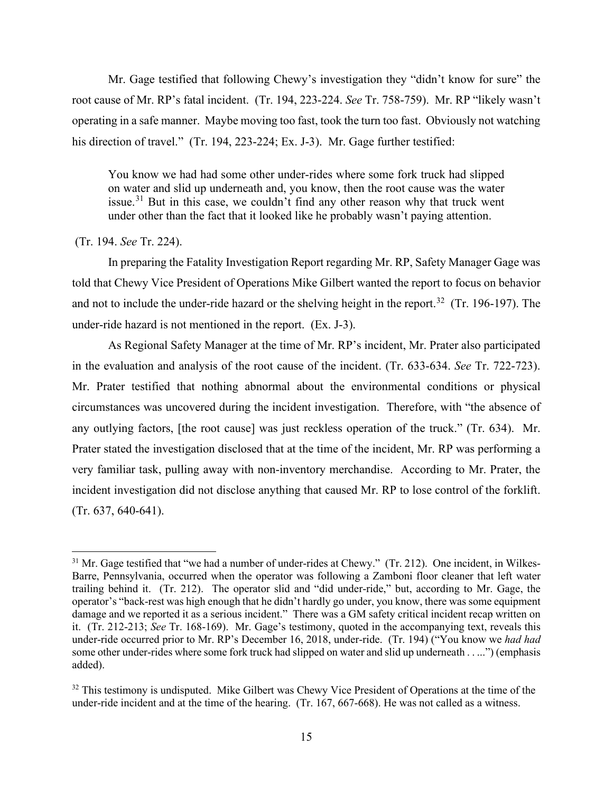Mr. Gage testified that following Chewy's investigation they "didn't know for sure" the root cause of Mr. RP's fatal incident. (Tr. 194, 223-224. *See* Tr. 758-759). Mr. RP "likely wasn't his direction of travel." (Tr. 194, 223-224; Ex. J-3). Mr. Gage further testified: operating in a safe manner. Maybe moving too fast, took the turn too fast. Obviously not watching

You know we had had some other under-rides where some fork truck had slipped on water and slid up underneath and, you know, then the root cause was the water issue.<sup>31</sup> But in this case, we couldn't find any other reason why that truck went under other than the fact that it looked like he probably wasn't paying attention.

# (Tr. 194. *See* Tr. 224).

 In preparing the Fatality Investigation Report regarding Mr. RP, Safety Manager Gage was and not to include the under-ride hazard or the shelving height in the report.<sup>[32](#page-14-1)</sup> (Tr. 196-197). The under-ride hazard is not mentioned in the report. (Ex. J-3). told that Chewy Vice President of Operations Mike Gilbert wanted the report to focus on behavior

 in the evaluation and analysis of the root cause of the incident. (Tr. 633-634. *See* Tr. 722-723). Mr. Prater testified that nothing abnormal about the environmental conditions or physical any outlying factors, [the root cause] was just reckless operation of the truck." (Tr. 634). Mr. Prater stated the investigation disclosed that at the time of the incident, Mr. RP was performing a As Regional Safety Manager at the time of Mr. RP's incident, Mr. Prater also participated circumstances was uncovered during the incident investigation. Therefore, with "the absence of very familiar task, pulling away with non-inventory merchandise. According to Mr. Prater, the incident investigation did not disclose anything that caused Mr. RP to lose control of the forklift. (Tr. 637, 640-641).

<span id="page-14-0"></span><sup>&</sup>lt;sup>31</sup> Mr. Gage testified that "we had a number of under-rides at Chewy." (Tr. 212). One incident, in Wilkes- trailing behind it. (Tr. 212). The operator slid and "did under-ride," but, according to Mr. Gage, the operator's "back-rest was high enough that he didn't hardly go under, you know, there was some equipment damage and we reported it as a serious incident." There was a GM safety critical incident recap written on it. (Tr. 212-213; *See* Tr. 168-169). Mr. Gage's testimony, quoted in the accompanying text, reveals this Barre, Pennsylvania, occurred when the operator was following a Zamboni floor cleaner that left water under-ride occurred prior to Mr. RP's December 16, 2018, under-ride. (Tr. 194) ("You know we *had had*  some other under-rides where some fork truck had slipped on water and slid up underneath . . ...") (emphasis added).

<span id="page-14-1"></span> under-ride incident and at the time of the hearing. (Tr. 167, 667-668). He was not called as a witness. <sup>32</sup> This testimony is undisputed. Mike Gilbert was Chewy Vice President of Operations at the time of the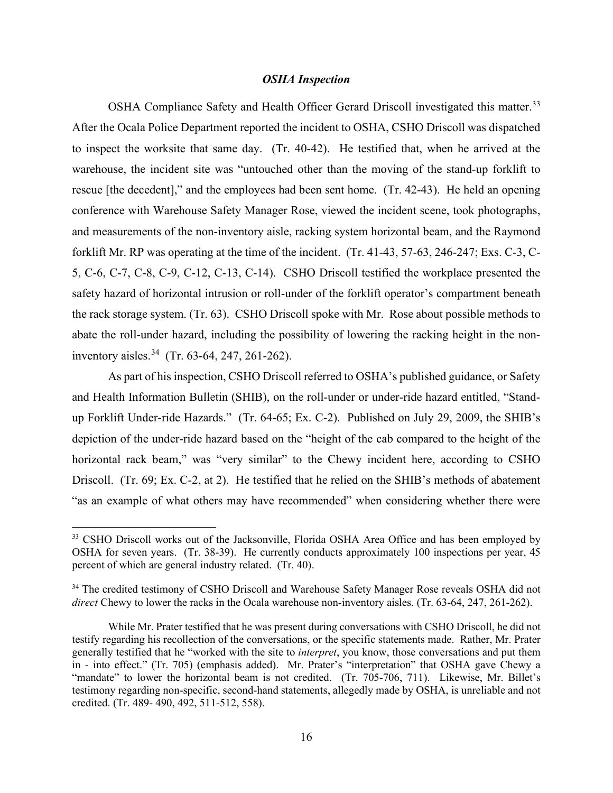## *OSHA Inspection*

OSHA Compliance Safety and Health Officer Gerard Driscoll investigated this matter.<sup>[33](#page-15-0)</sup> to inspect the worksite that same day. (Tr. 40-42). He testified that, when he arrived at the rescue [the decedent]," and the employees had been sent home. (Tr. 42-43). He held an opening conference with Warehouse Safety Manager Rose, viewed the incident scene, took photographs, and measurements of the non-inventory aisle, racking system horizontal beam, and the Raymond forklift Mr. RP was operating at the time of the incident. (Tr. 41-43, 57-63, 246-247; Exs. C-3, C- 5, C-6, C-7, C-8, C-9, C-12, C-13, C-14). CSHO Driscoll testified the workplace presented the the rack storage system. (Tr. 63). CSHO Driscoll spoke with Mr. Rose about possible methods to inventory aisles.<sup>[34](#page-15-1)</sup> (Tr. 63-64, 247, 261-262). After the Ocala Police Department reported the incident to OSHA, CSHO Driscoll was dispatched warehouse, the incident site was "untouched other than the moving of the stand-up forklift to safety hazard of horizontal intrusion or roll-under of the forklift operator's compartment beneath abate the roll-under hazard, including the possibility of lowering the racking height in the non-

 up Forklift Under-ride Hazards." (Tr. 64-65; Ex. C-2). Published on July 29, 2009, the SHIB's Driscoll. (Tr. 69; Ex. C-2, at 2). He testified that he relied on the SHIB's methods of abatement "as an example of what others may have recommended" when considering whether there were As part of his inspection, CSHO Driscoll referred to OSHA's published guidance, or Safety and Health Information Bulletin (SHIB), on the roll-under or under-ride hazard entitled, "Standdepiction of the under-ride hazard based on the "height of the cab compared to the height of the horizontal rack beam," was "very similar" to the Chewy incident here, according to CSHO

<span id="page-15-0"></span> OSHA for seven years. (Tr. 38-39). He currently conducts approximately 100 inspections per year, 45 <sup>33</sup> CSHO Driscoll works out of the Jacksonville, Florida OSHA Area Office and has been employed by percent of which are general industry related. (Tr. 40).

<span id="page-15-1"></span><sup>&</sup>lt;sup>34</sup> The credited testimony of CSHO Driscoll and Warehouse Safety Manager Rose reveals OSHA did not *direct* Chewy to lower the racks in the Ocala warehouse non-inventory aisles. (Tr. 63-64, 247, 261-262).

 While Mr. Prater testified that he was present during conversations with CSHO Driscoll, he did not testify regarding his recollection of the conversations, or the specific statements made. Rather, Mr. Prater generally testified that he "worked with the site to *interpret*, you know, those conversations and put them "mandate" to lower the horizontal beam is not credited. (Tr. 705-706, 711). Likewise, Mr. Billet's credited. (Tr. 489- 490, 492, 511-512, 558). in - into effect." (Tr. 705) (emphasis added). Mr. Prater's "interpretation" that OSHA gave Chewy a testimony regarding non-specific, second-hand statements, allegedly made by OSHA, is unreliable and not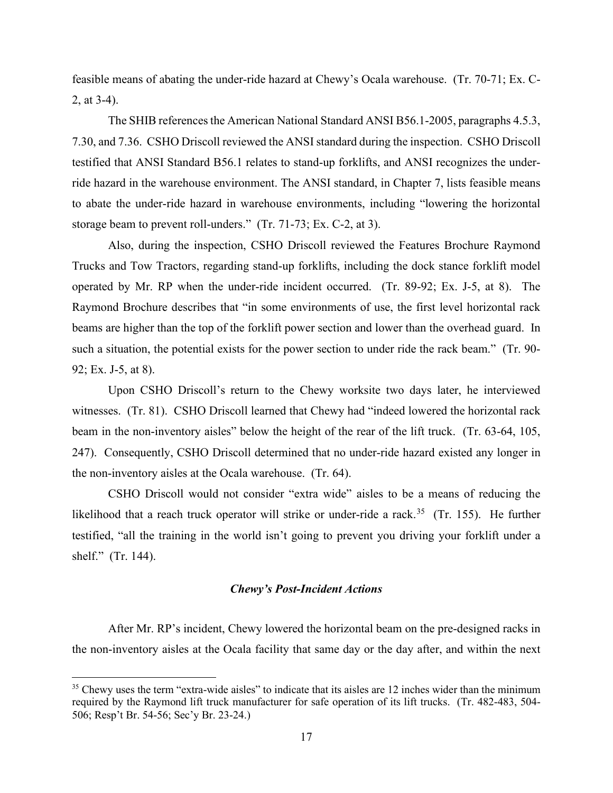2, at 3-4). feasible means of abating the under-ride hazard at Chewy's Ocala warehouse. (Tr. 70-71; Ex. C-

 The SHIB references the American National Standard ANSI B56.1-2005, paragraphs 4.5.3, 7.30, and 7.36. CSHO Driscoll reviewed the ANSI standard during the inspection. CSHO Driscoll testified that ANSI Standard B56.1 relates to stand-up forklifts, and ANSI recognizes the under- storage beam to prevent roll-unders." (Tr. 71-73; Ex. C-2, at 3). ride hazard in the warehouse environment. The ANSI standard, in Chapter 7, lists feasible means to abate the under-ride hazard in warehouse environments, including "lowering the horizontal

 Trucks and Tow Tractors, regarding stand-up forklifts, including the dock stance forklift model Raymond Brochure describes that "in some environments of use, the first level horizontal rack such a situation, the potential exists for the power section to under ride the rack beam." (Tr. 90- 92; Ex. J-5, at 8). Also, during the inspection, CSHO Driscoll reviewed the Features Brochure Raymond operated by Mr. RP when the under-ride incident occurred. (Tr. 89-92; Ex. J-5, at 8). The beams are higher than the top of the forklift power section and lower than the overhead guard. In

 witnesses. (Tr. 81). CSHO Driscoll learned that Chewy had "indeed lowered the horizontal rack 247). Consequently, CSHO Driscoll determined that no under-ride hazard existed any longer in the non-inventory aisles at the Ocala warehouse. (Tr. 64). Upon CSHO Driscoll's return to the Chewy worksite two days later, he interviewed beam in the non-inventory aisles" below the height of the rear of the lift truck. (Tr. 63-64, 105,

likelihood that a reach truck operator will strike or under-ride a rack.<sup>35</sup> (Tr. 155). He further CSHO Driscoll would not consider "extra wide" aisles to be a means of reducing the testified, "all the training in the world isn't going to prevent you driving your forklift under a shelf." (Tr. 144).

# *Chewy's Post-Incident Actions*

 the non-inventory aisles at the Ocala facility that same day or the day after, and within the next After Mr. RP's incident, Chewy lowered the horizontal beam on the pre-designed racks in

<span id="page-16-0"></span> $35$  Chewy uses the term "extra-wide aisles" to indicate that its aisles are 12 inches wider than the minimum 506; Resp't Br. 54-56; Sec'y Br. 23-24.) required by the Raymond lift truck manufacturer for safe operation of its lift trucks. (Tr. 482-483, 504-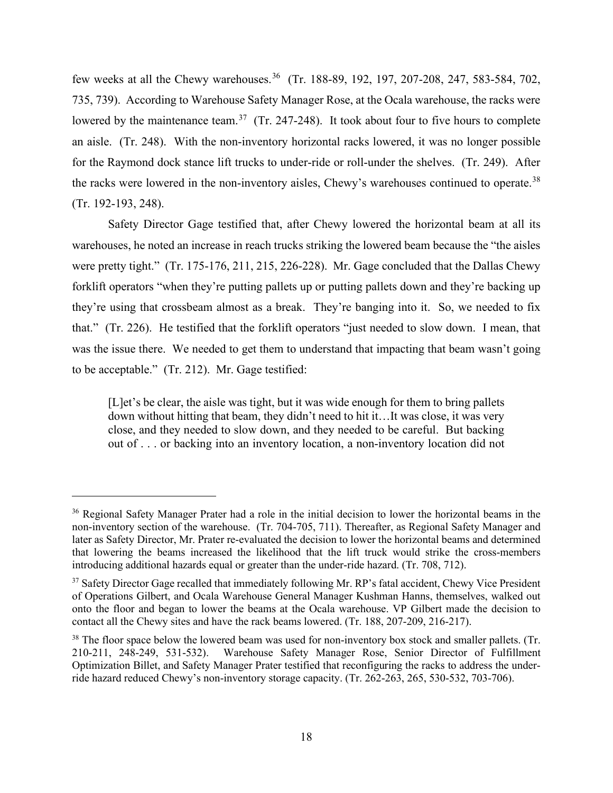few weeks at all the Chewy warehouses.<sup>[36](#page-17-0)</sup> (Tr. 188-89, 192, 197, 207-208, 247, 583-584, 702, lowered by the maintenance team.<sup>37</sup> (Tr. 247-248). It took about four to five hours to complete an aisle. (Tr. 248). With the non-inventory horizontal racks lowered, it was no longer possible the racks were lowered in the non-inventory aisles, Chewy's warehouses continued to operate.<sup>[38](#page-17-2)</sup> 735, 739). According to Warehouse Safety Manager Rose, at the Ocala warehouse, the racks were for the Raymond dock stance lift trucks to under-ride or roll-under the shelves. (Tr. 249). After (Tr. 192-193, 248).

 were pretty tight." (Tr. 175-176, 211, 215, 226-228). Mr. Gage concluded that the Dallas Chewy they're using that crossbeam almost as a break. They're banging into it. So, we needed to fix to be acceptable." (Tr. 212). Mr. Gage testified: Safety Director Gage testified that, after Chewy lowered the horizontal beam at all its warehouses, he noted an increase in reach trucks striking the lowered beam because the "the aisles forklift operators "when they're putting pallets up or putting pallets down and they're backing up that." (Tr. 226). He testified that the forklift operators "just needed to slow down. I mean, that was the issue there. We needed to get them to understand that impacting that beam wasn't going

 down without hitting that beam, they didn't need to hit it…It was close, it was very [L]et's be clear, the aisle was tight, but it was wide enough for them to bring pallets close, and they needed to slow down, and they needed to be careful. But backing out of . . . or backing into an inventory location, a non-inventory location did not

<span id="page-17-0"></span><sup>&</sup>lt;sup>36</sup> Regional Safety Manager Prater had a role in the initial decision to lower the horizontal beams in the non-inventory section of the warehouse. (Tr. 704-705, 711). Thereafter, as Regional Safety Manager and later as Safety Director, Mr. Prater re-evaluated the decision to lower the horizontal beams and determined that lowering the beams increased the likelihood that the lift truck would strike the cross-members introducing additional hazards equal or greater than the under-ride hazard. (Tr. 708, 712).

<span id="page-17-1"></span> onto the floor and began to lower the beams at the Ocala warehouse. VP Gilbert made the decision to <sup>37</sup> Safety Director Gage recalled that immediately following Mr. RP's fatal accident, Chewy Vice President of Operations Gilbert, and Ocala Warehouse General Manager Kushman Hanns, themselves, walked out contact all the Chewy sites and have the rack beams lowered. (Tr. 188, 207-209, 216-217).

<span id="page-17-2"></span> $38$  The floor space below the lowered beam was used for non-inventory box stock and smaller pallets. (Tr. ride hazard reduced Chewy's non-inventory storage capacity. (Tr. 262-263, 265, 530-532, 703-706).<br>
18 210-211, 248-249, 531-532). Warehouse Safety Manager Rose, Senior Director of Fulfillment Optimization Billet, and Safety Manager Prater testified that reconfiguring the racks to address the under-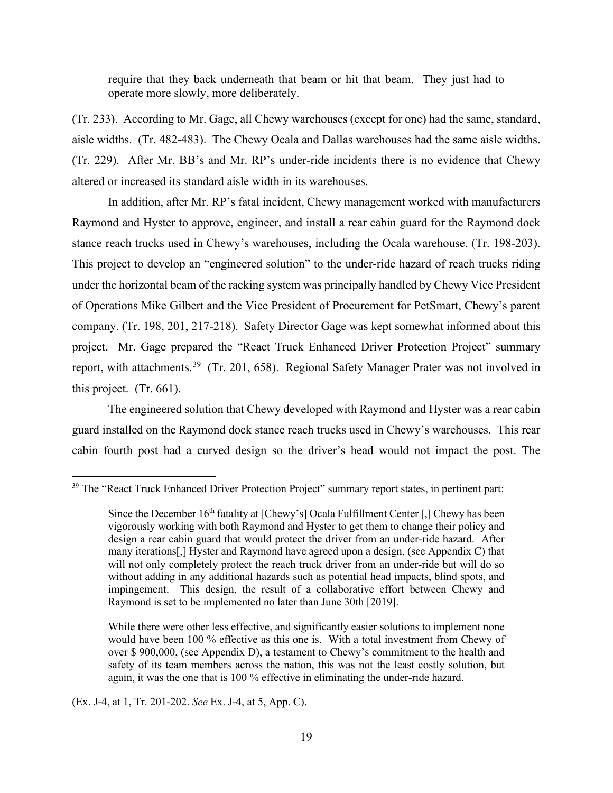require that they back underneath that beam or hit that beam. They just had to operate more slowly, more deliberately.

 altered or increased its standard aisle width in its warehouses. (Tr. 233). According to Mr. Gage, all Chewy warehouses (except for one) had the same, standard, aisle widths. (Tr. 482-483). The Chewy Ocala and Dallas warehouses had the same aisle widths. (Tr. 229). After Mr. BB's and Mr. RP's under-ride incidents there is no evidence that Chewy

report, with attachments.<sup>39</sup> (Tr. 201, 658). Regional Safety Manager Prater was not involved in In addition, after Mr. RP's fatal incident, Chewy management worked with manufacturers Raymond and Hyster to approve, engineer, and install a rear cabin guard for the Raymond dock stance reach trucks used in Chewy's warehouses, including the Ocala warehouse. (Tr. 198-203). This project to develop an "engineered solution" to the under-ride hazard of reach trucks riding under the horizontal beam of the racking system was principally handled by Chewy Vice President of Operations Mike Gilbert and the Vice President of Procurement for PetSmart, Chewy's parent company. (Tr. 198, 201, 217-218). Safety Director Gage was kept somewhat informed about this project. Mr. Gage prepared the "React Truck Enhanced Driver Protection Project" summary this project. (Tr. 661).

 The engineered solution that Chewy developed with Raymond and Hyster was a rear cabin guard installed on the Raymond dock stance reach trucks used in Chewy's warehouses. This rear cabin fourth post had a curved design so the driver's head would not impact the post. The

(Ex. J-4, at 1, Tr. 201-202. *See* Ex. J-4, at 5, App. C).

<span id="page-18-0"></span><sup>&</sup>lt;sup>39</sup> The "React Truck Enhanced Driver Protection Project" summary report states, in pertinent part:

Since the December 16<sup>th</sup> fatality at [Chewy's] Ocala Fulfillment Center [,] Chewy has been vigorously working with both Raymond and Hyster to get them to change their policy and design a rear cabin guard that would protect the driver from an under-ride hazard. After will not only completely protect the reach truck driver from an under-ride but will do so many iterations[,] Hyster and Raymond have agreed upon a design, (see Appendix C) that without adding in any additional hazards such as potential head impacts, blind spots, and impingement. This design, the result of a collaborative effort between Chewy and Raymond is set to be implemented no later than June 30th [2019].

 would have been 100 % effective as this one is. With a total investment from Chewy of again, it was the one that is 100 % effective in eliminating the under-ride hazard. While there were other less effective, and significantly easier solutions to implement none over \$ 900,000, (see Appendix D), a testament to Chewy's commitment to the health and safety of its team members across the nation, this was not the least costly solution, but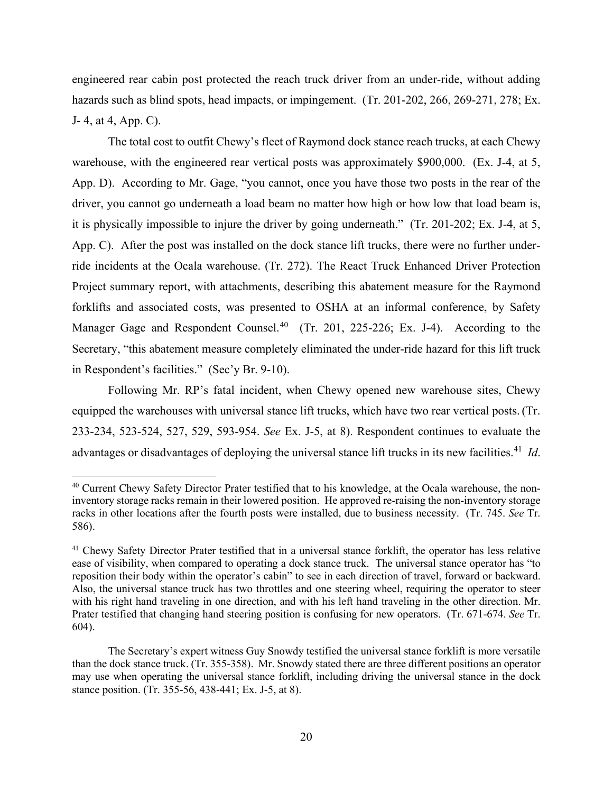J- 4, at 4, App. C). engineered rear cabin post protected the reach truck driver from an under-ride, without adding hazards such as blind spots, head impacts, or impingement. (Tr. 201-202, 266, 269-271, 278; Ex.

 The total cost to outfit Chewy's fleet of Raymond dock stance reach trucks, at each Chewy warehouse, with the engineered rear vertical posts was approximately \$900,000. (Ex. J-4, at 5, it is physically impossible to injure the driver by going underneath." (Tr. 201-202; Ex. J-4, at 5, Manager Gage and Respondent Counsel.<sup>40</sup> (Tr. 201, 225-226; Ex. J-4). According to the in Respondent's facilities." (Sec'y Br. 9-10). App. D). According to Mr. Gage, "you cannot, once you have those two posts in the rear of the driver, you cannot go underneath a load beam no matter how high or how low that load beam is, App. C). After the post was installed on the dock stance lift trucks, there were no further underride incidents at the Ocala warehouse. (Tr. 272). The React Truck Enhanced Driver Protection Project summary report, with attachments, describing this abatement measure for the Raymond forklifts and associated costs, was presented to OSHA at an informal conference, by Safety Secretary, "this abatement measure completely eliminated the under-ride hazard for this lift truck

advantages or disadvantages of deploying the universal stance lift trucks in its new facilities.<sup>41</sup> *Id*. Following Mr. RP's fatal incident, when Chewy opened new warehouse sites, Chewy equipped the warehouses with universal stance lift trucks, which have two rear vertical posts. (Tr. 233-234, 523-524, 527, 529, 593-954. *See* Ex. J-5, at 8). Respondent continues to evaluate the

<span id="page-19-0"></span><sup>&</sup>lt;sup>40</sup> Current Chewy Safety Director Prater testified that to his knowledge, at the Ocala warehouse, the noninventory storage racks remain in their lowered position. He approved re-raising the non-inventory storage racks in other locations after the fourth posts were installed, due to business necessity. (Tr. 745. *See* Tr. 586).

<span id="page-19-1"></span><sup>&</sup>lt;sup>41</sup> Chewy Safety Director Prater testified that in a universal stance forklift, the operator has less relative reposition their body within the operator's cabin" to see in each direction of travel, forward or backward. ease of visibility, when compared to operating a dock stance truck. The universal stance operator has "to Also, the universal stance truck has two throttles and one steering wheel, requiring the operator to steer with his right hand traveling in one direction, and with his left hand traveling in the other direction. Mr. Prater testified that changing hand steering position is confusing for new operators. (Tr. 671-674. *See* Tr. 604).

 may use when operating the universal stance forklift, including driving the universal stance in the dock The Secretary's expert witness Guy Snowdy testified the universal stance forklift is more versatile than the dock stance truck. (Tr. 355-358). Mr. Snowdy stated there are three different positions an operator stance position. (Tr. 355-56, 438-441; Ex. J-5, at 8).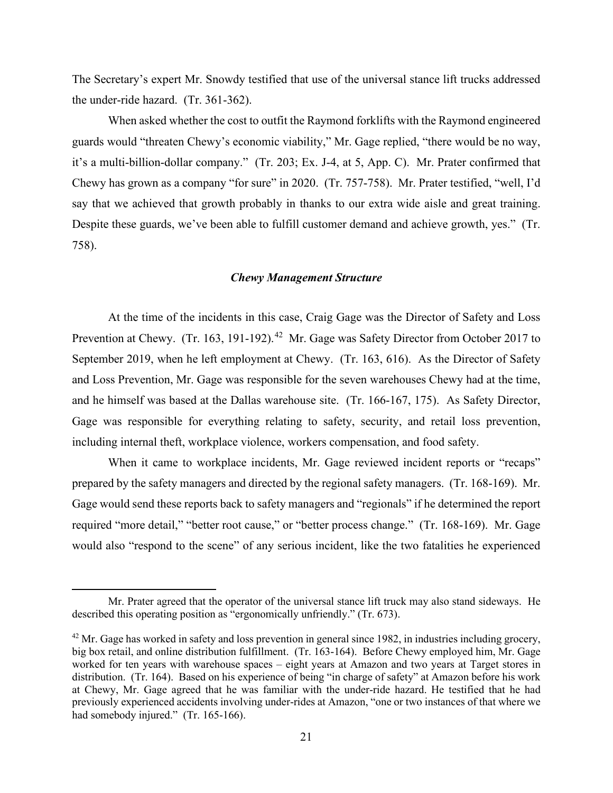The Secretary's expert Mr. Snowdy testified that use of the universal stance lift trucks addressed the under-ride hazard. (Tr. 361-362).

say that we achieved that growth probably in thanks to our extra wide aisle and great training. When asked whether the cost to outfit the Raymond forklifts with the Raymond engineered guards would "threaten Chewy's economic viability," Mr. Gage replied, "there would be no way, it's a multi-billion-dollar company." (Tr. 203; Ex. J-4, at 5, App. C). Mr. Prater confirmed that Chewy has grown as a company "for sure" in 2020. (Tr. 757-758). Mr. Prater testified, "well, I'd Despite these guards, we've been able to fulfill customer demand and achieve growth, yes." (Tr. 758).

# *Chewy Management Structure*

Prevention at Chewy. (Tr. 163, 191-192).<sup>42</sup> Mr. Gage was Safety Director from October 2017 to September 2019, when he left employment at Chewy. (Tr. 163, 616). As the Director of Safety and he himself was based at the Dallas warehouse site. (Tr. 166-167, 175). As Safety Director, At the time of the incidents in this case, Craig Gage was the Director of Safety and Loss and Loss Prevention, Mr. Gage was responsible for the seven warehouses Chewy had at the time, Gage was responsible for everything relating to safety, security, and retail loss prevention, including internal theft, workplace violence, workers compensation, and food safety.

 prepared by the safety managers and directed by the regional safety managers. (Tr. 168-169). Mr. required "more detail," "better root cause," or "better process change." (Tr. 168-169). Mr. Gage When it came to workplace incidents, Mr. Gage reviewed incident reports or "recaps" Gage would send these reports back to safety managers and "regionals" if he determined the report would also "respond to the scene" of any serious incident, like the two fatalities he experienced

 Mr. Prater agreed that the operator of the universal stance lift truck may also stand sideways. He described this operating position as "ergonomically unfriendly." (Tr. 673).

<span id="page-20-0"></span> $42$  Mr. Gage has worked in safety and loss prevention in general since 1982, in industries including grocery, big box retail, and online distribution fulfillment. (Tr. 163-164). Before Chewy employed him, Mr. Gage worked for ten years with warehouse spaces – eight years at Amazon and two years at Target stores in distribution. (Tr. 164). Based on his experience of being "in charge of safety" at Amazon before his work at Chewy, Mr. Gage agreed that he was familiar with the under-ride hazard. He testified that he had previously experienced accidents involving under-rides at Amazon, "one or two instances of that where we had somebody injured." (Tr. 165-166).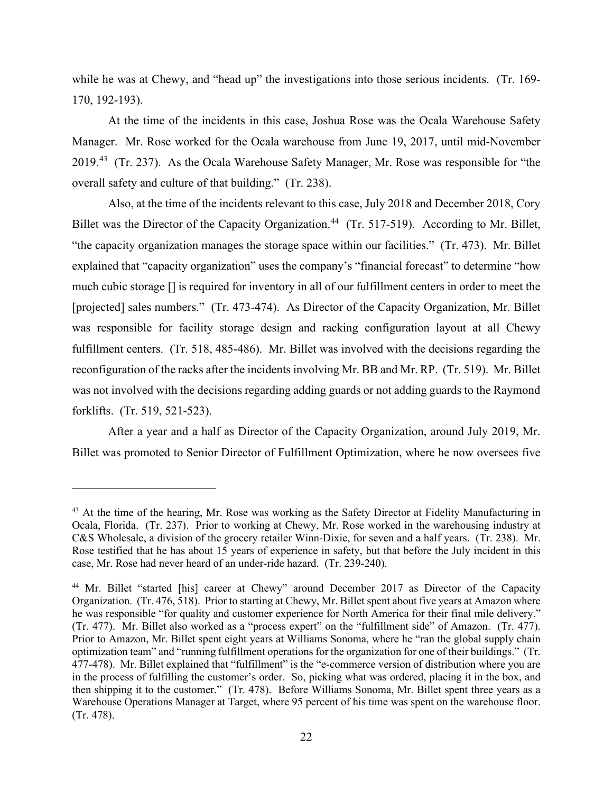170, 192-193). while he was at Chewy, and "head up" the investigations into those serious incidents. (Tr. 169-

2019.<sup>43</sup> (Tr. 237). As the Ocala Warehouse Safety Manager, Mr. Rose was responsible for "the At the time of the incidents in this case, Joshua Rose was the Ocala Warehouse Safety Manager. Mr. Rose worked for the Ocala warehouse from June 19, 2017, until mid-November overall safety and culture of that building." (Tr. 238).

 Also, at the time of the incidents relevant to this case, July 2018 and December 2018, Cory Billet was the Director of the Capacity Organization.<sup>44</sup> (Tr. 517-519). According to Mr. Billet, "the capacity organization manages the storage space within our facilities." (Tr. 473). Mr. Billet explained that "capacity organization" uses the company's "financial forecast" to determine "how much cubic storage [] is required for inventory in all of our fulfillment centers in order to meet the [projected] sales numbers." (Tr. 473-474). As Director of the Capacity Organization, Mr. Billet fulfillment centers. (Tr. 518, 485-486). Mr. Billet was involved with the decisions regarding the reconfiguration of the racks after the incidents involving Mr. BB and Mr. RP. (Tr. 519). Mr. Billet was not involved with the decisions regarding adding guards or not adding guards to the Raymond was responsible for facility storage design and racking configuration layout at all Chewy forklifts. (Tr. 519, 521-523).

After a year and a half as Director of the Capacity Organization, around July 2019, Mr. Billet was promoted to Senior Director of Fulfillment Optimization, where he now oversees five

<span id="page-21-0"></span> Ocala, Florida. (Tr. 237). Prior to working at Chewy, Mr. Rose worked in the warehousing industry at Rose testified that he has about 15 years of experience in safety, but that before the July incident in this <sup>43</sup> At the time of the hearing, Mr. Rose was working as the Safety Director at Fidelity Manufacturing in C&S Wholesale, a division of the grocery retailer Winn-Dixie, for seven and a half years. (Tr. 238). Mr. case, Mr. Rose had never heard of an under-ride hazard. (Tr. 239-240).

<span id="page-21-1"></span><sup>&</sup>lt;sup>44</sup> Mr. Billet "started [his] career at Chewy" around December 2017 as Director of the Capacity Organization. (Tr. 476, 518). Prior to starting at Chewy, Mr. Billet spent about five years at Amazon where he was responsible "for quality and customer experience for North America for their final mile delivery." (Tr. 477). Mr. Billet also worked as a "process expert" on the "fulfillment side" of Amazon. (Tr. 477). (Tr. 477). Mr. Billet also worked as a "process expert" on the "fulfillment side" of Amazon. (Tr. 477). Prior to Amazon, Mr. Billet spent eight years at Williams Sonoma, where he "ran the global supply chain optimization team" and "running fulfillment operations for the organization for one of their buildings." (Tr. then shipping it to the customer." (Tr. 478). Before Williams Sonoma, Mr. Billet spent three years as a Warehouse Operations Manager at Target, where 95 percent of his time was spent on the warehouse floor. 477-478). Mr. Billet explained that "fulfillment" is the "e-commerce version of distribution where you are in the process of fulfilling the customer's order. So, picking what was ordered, placing it in the box, and (Tr. 478).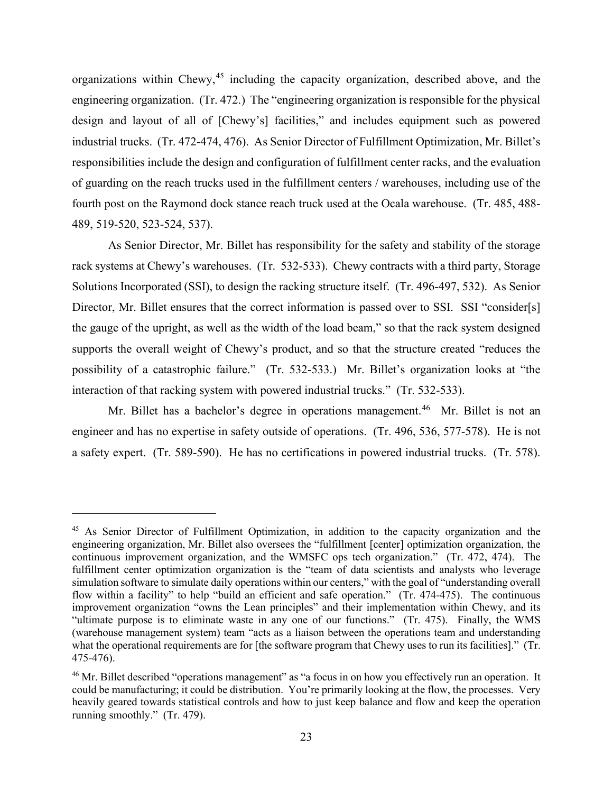engineering organization. (Tr. 472.) The "engineering organization is responsible for the physical fourth post on the Raymond dock stance reach truck used at the Ocala warehouse. (Tr. 485, 488- 489, 519-520, 523-524, 537). organizations within Chewy,  $45$  including the capacity organization, described above, and the design and layout of all of [Chewy's] facilities," and includes equipment such as powered industrial trucks. (Tr. 472-474, 476). As Senior Director of Fulfillment Optimization, Mr. Billet's responsibilities include the design and configuration of fulfillment center racks, and the evaluation of guarding on the reach trucks used in the fulfillment centers / warehouses, including use of the

 As Senior Director, Mr. Billet has responsibility for the safety and stability of the storage rack systems at Chewy's warehouses. (Tr. 532-533). Chewy contracts with a third party, Storage Solutions Incorporated (SSI), to design the racking structure itself. (Tr. 496-497, 532). As Senior Director, Mr. Billet ensures that the correct information is passed over to SSI. SSI "consider[s] the gauge of the upright, as well as the width of the load beam," so that the rack system designed supports the overall weight of Chewy's product, and so that the structure created "reduces the possibility of a catastrophic failure." (Tr. 532-533.) Mr. Billet's organization looks at "the interaction of that racking system with powered industrial trucks." (Tr. 532-533).

Mr. Billet has a bachelor's degree in operations management.<sup>46</sup> Mr. Billet is not an engineer and has no expertise in safety outside of operations. (Tr. 496, 536, 577-578). He is not a safety expert. (Tr. 589-590). He has no certifications in powered industrial trucks. (Tr. 578).

<span id="page-22-0"></span>a safety expert. (Tr. 589-590). He has no certifications in powered industrial trucks. (Tr. 578).<br>
45 As Senior Director of Fulfillment Optimization, in addition to the capacity organization and the engineering organization, Mr. Billet also oversees the "fulfillment [center] optimization organization, the continuous improvement organization, and the WMSFC ops tech organization." (Tr. 472, 474). The fulfillment center optimization organization is the "team of data scientists and analysts who leverage flow within a facility" to help "build an efficient and safe operation." (Tr. 474-475). The continuous "ultimate purpose is to eliminate waste in any one of our functions." (Tr. 475). Finally, the WMS simulation software to simulate daily operations within our centers," with the goal of "understanding overall improvement organization "owns the Lean principles" and their implementation within Chewy, and its (warehouse management system) team "acts as a liaison between the operations team and understanding what the operational requirements are for [the software program that Chewy uses to run its facilities]." (Tr. 475-476).

<span id="page-22-1"></span> heavily geared towards statistical controls and how to just keep balance and flow and keep the operation running smoothly." (Tr. 479). <sup>46</sup> Mr. Billet described "operations management" as "a focus in on how you effectively run an operation. It could be manufacturing; it could be distribution. You're primarily looking at the flow, the processes. Very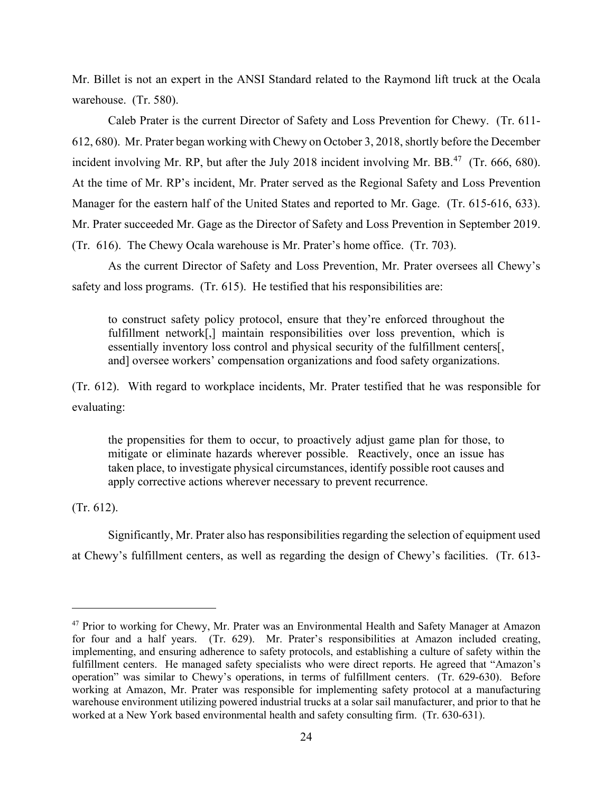warehouse. (Tr. 580). Mr. Billet is not an expert in the ANSI Standard related to the Raymond lift truck at the Ocala

warehouse. (Tr. 580).<br>Caleb Prater is the current Director of Safety and Loss Prevention for Chewy. (Tr. 611- 612, 680). Mr. Prater began working with Chewy on October 3, 2018, shortly before the December incident involving Mr. RP, but after the July 2018 incident involving Mr. BB. $^{47}$  $^{47}$  $^{47}$  (Tr. 666, 680). Manager for the eastern half of the United States and reported to Mr. Gage. (Tr. 615-616, 633). (Tr. 616). The Chewy Ocala warehouse is Mr. Prater's home office. (Tr. 703). At the time of Mr. RP's incident, Mr. Prater served as the Regional Safety and Loss Prevention Mr. Prater succeeded Mr. Gage as the Director of Safety and Loss Prevention in September 2019.

 safety and loss programs. (Tr. 615). He testified that his responsibilities are: As the current Director of Safety and Loss Prevention, Mr. Prater oversees all Chewy's

 to construct safety policy protocol, ensure that they're enforced throughout the fulfillment network[,] maintain responsibilities over loss prevention, which is essentially inventory loss control and physical security of the fulfillment centers[, and] oversee workers' compensation organizations and food safety organizations.

 (Tr. 612). With regard to workplace incidents, Mr. Prater testified that he was responsible for evaluating:

the propensities for them to occur, to proactively adjust game plan for those, to mitigate or eliminate hazards wherever possible. Reactively, once an issue has taken place, to investigate physical circumstances, identify possible root causes and apply corrective actions wherever necessary to prevent recurrence.

 $(Tr. 612).$ 

 (Tr. 612). Significantly, Mr. Prater also has responsibilities regarding the selection of equipment used at Chewy's fulfillment centers, as well as regarding the design of Chewy's facilities. (Tr. 613-

<span id="page-23-0"></span> for four and a half years. (Tr. 629). Mr. Prater's responsibilities at Amazon included creating, fulfillment centers. He managed safety specialists who were direct reports. He agreed that "Amazon's warehouse environment utilizing powered industrial trucks at a solar sail manufacturer, and prior to that he <sup>47</sup> Prior to working for Chewy, Mr. Prater was an Environmental Health and Safety Manager at Amazon implementing, and ensuring adherence to safety protocols, and establishing a culture of safety within the operation" was similar to Chewy's operations, in terms of fulfillment centers. (Tr. 629-630). Before working at Amazon, Mr. Prater was responsible for implementing safety protocol at a manufacturing worked at a New York based environmental health and safety consulting firm. (Tr. 630-631).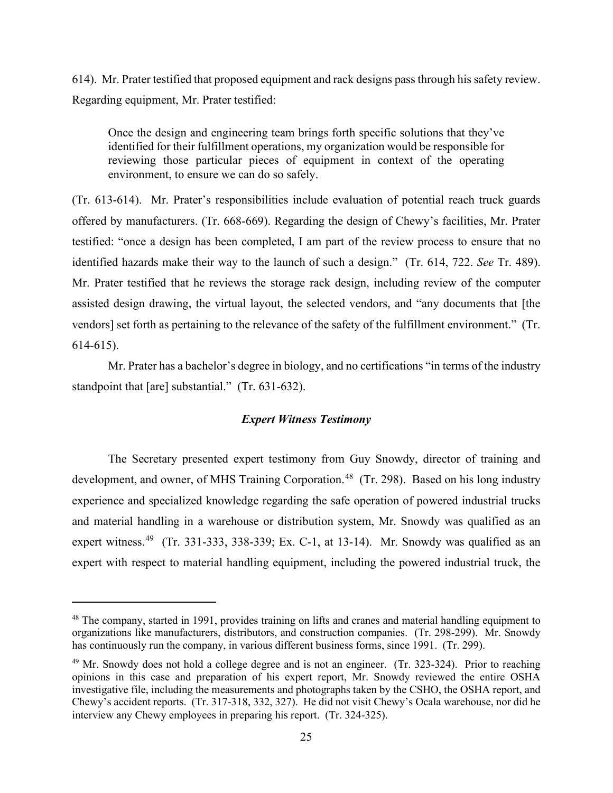614). Mr. Prater testified that proposed equipment and rack designs pass through his safety review. Regarding equipment, Mr. Prater testified:

Once the design and engineering team brings forth specific solutions that they've identified for their fulfillment operations, my organization would be responsible for reviewing those particular pieces of equipment in context of the operating environment, to ensure we can do so safely.

 (Tr. 613-614). Mr. Prater's responsibilities include evaluation of potential reach truck guards identified hazards make their way to the launch of such a design." (Tr. 614, 722. *See* Tr. 489). Mr. Prater testified that he reviews the storage rack design, including review of the computer  $614-615$ ). offered by manufacturers. (Tr. 668-669). Regarding the design of Chewy's facilities, Mr. Prater testified: "once a design has been completed, I am part of the review process to ensure that no assisted design drawing, the virtual layout, the selected vendors, and "any documents that [the vendors] set forth as pertaining to the relevance of the safety of the fulfillment environment." (Tr.

 standpoint that [are] substantial." (Tr. 631-632). Mr. Prater has a bachelor's degree in biology, and no certifications "in terms of the industry

# *Expert Witness Testimony*

development, and owner, of MHS Training Corporation.<sup>[48](#page-24-0)</sup> (Tr. 298). Based on his long industry expert witness.<sup>49</sup> (Tr. 331-333, 338-339; Ex. C-1, at 13-14). Mr. Snowdy was qualified as an The Secretary presented expert testimony from Guy Snowdy, director of training and experience and specialized knowledge regarding the safe operation of powered industrial trucks and material handling in a warehouse or distribution system, Mr. Snowdy was qualified as an expert with respect to material handling equipment, including the powered industrial truck, the

<span id="page-24-0"></span> organizations like manufacturers, distributors, and construction companies. (Tr. 298-299). Mr. Snowdy has continuously run the company, in various different business forms, since 1991. (Tr. 299). <sup>48</sup> The company, started in 1991, provides training on lifts and cranes and material handling equipment to

<span id="page-24-1"></span><sup>&</sup>lt;sup>49</sup> Mr. Snowdy does not hold a college degree and is not an engineer. (Tr. 323-324). Prior to reaching Chewy's accident reports. (Tr. 317-318, 332, 327). He did not visit Chewy's Ocala warehouse, nor did he opinions in this case and preparation of his expert report, Mr. Snowdy reviewed the entire OSHA investigative file, including the measurements and photographs taken by the CSHO, the OSHA report, and interview any Chewy employees in preparing his report. (Tr. 324-325).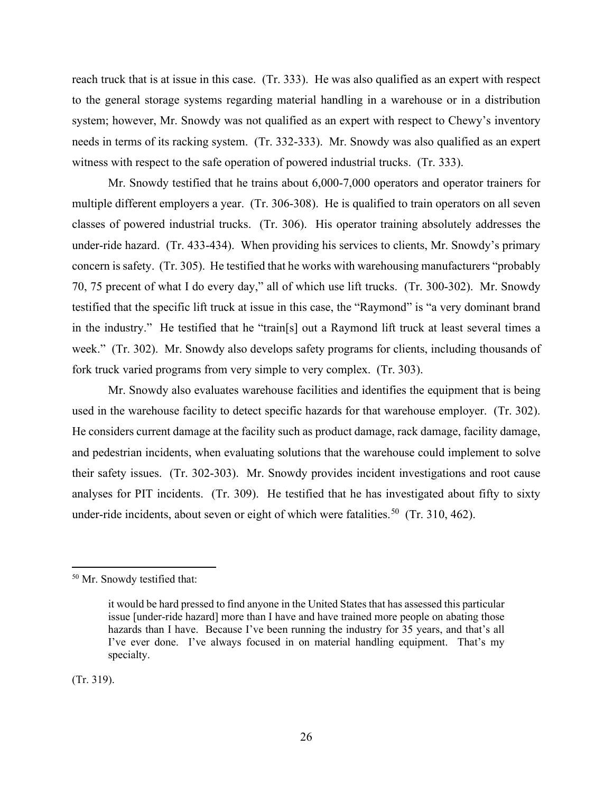reach truck that is at issue in this case. (Tr. 333). He was also qualified as an expert with respect needs in terms of its racking system. (Tr. 332-333). Mr. Snowdy was also qualified as an expert witness with respect to the safe operation of powered industrial trucks. (Tr. 333). to the general storage systems regarding material handling in a warehouse or in a distribution system; however, Mr. Snowdy was not qualified as an expert with respect to Chewy's inventory

 multiple different employers a year. (Tr. 306-308). He is qualified to train operators on all seven under-ride hazard. (Tr. 433-434). When providing his services to clients, Mr. Snowdy's primary concern is safety. (Tr. 305). He testified that he works with warehousing manufacturers "probably 70, 75 precent of what I do every day," all of which use lift trucks. (Tr. 300-302). Mr. Snowdy week." (Tr. 302). Mr. Snowdy also develops safety programs for clients, including thousands of fork truck varied programs from very simple to very complex. (Tr. 303). Mr. Snowdy testified that he trains about 6,000-7,000 operators and operator trainers for classes of powered industrial trucks. (Tr. 306). His operator training absolutely addresses the testified that the specific lift truck at issue in this case, the "Raymond" is "a very dominant brand in the industry." He testified that he "train[s] out a Raymond lift truck at least several times a

used in the warehouse facility to detect specific hazards for that warehouse employer. (Tr. 302). used in the warehouse facility to detect specific hazards for that warehouse employer. (Tr. 302).<br>He considers current damage at the facility such as product damage, rack damage, facility damage, their safety issues. (Tr. 302-303). Mr. Snowdy provides incident investigations and root cause analyses for PIT incidents. (Tr. 309). He testified that he has investigated about fifty to sixty under-ride incidents, about seven or eight of which were fatalities.<sup>50</sup> (Tr. 310, 462). Mr. Snowdy also evaluates warehouse facilities and identifies the equipment that is being and pedestrian incidents, when evaluating solutions that the warehouse could implement to solve

 $(Tr. 319).$ 

<span id="page-25-0"></span><sup>50</sup> Mr. Snowdy testified that:

 it would be hard pressed to find anyone in the United States that has assessed this particular specialty. issue [under-ride hazard] more than I have and have trained more people on abating those hazards than I have. Because I've been running the industry for 35 years, and that's all I've ever done. I've always focused in on material handling equipment. That's my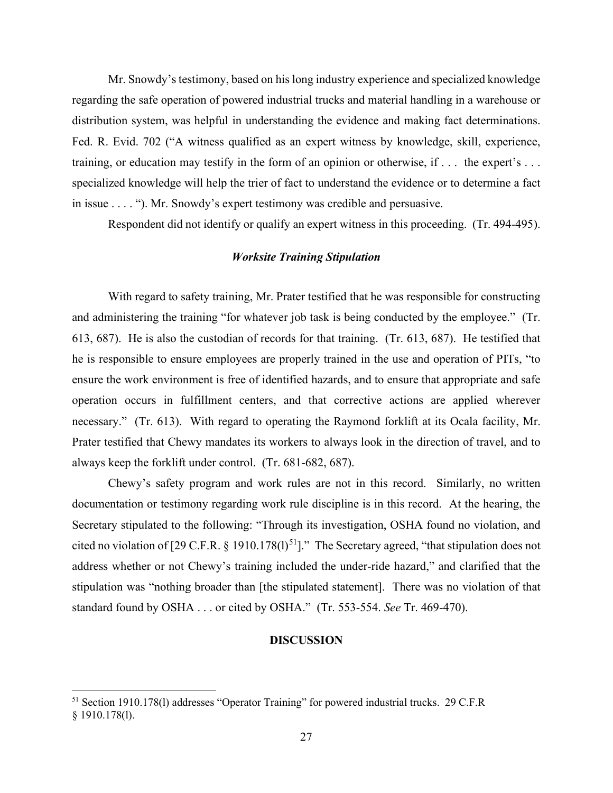regarding the safe operation of powered industrial trucks and material handling in a warehouse or Fed. R. Evid. 702 ("A witness qualified as an expert witness by knowledge, skill, experience, training, or education may testify in the form of an opinion or otherwise, if . . . the expert's . . . specialized knowledge will help the trier of fact to understand the evidence or to determine a fact Mr. Snowdy's testimony, based on his long industry experience and specialized knowledge distribution system, was helpful in understanding the evidence and making fact determinations. in issue . . . . "). Mr. Snowdy's expert testimony was credible and persuasive.

Respondent did not identify or qualify an expert witness in this proceeding. (Tr. 494-495).

# *Worksite Training Stipulation*

 With regard to safety training, Mr. Prater testified that he was responsible for constructing and administering the training "for whatever job task is being conducted by the employee." (Tr. 613, 687). He is also the custodian of records for that training. (Tr. 613, 687). He testified that he is responsible to ensure employees are properly trained in the use and operation of PITs, "to operation occurs in fulfillment centers, and that corrective actions are applied wherever ensure the work environment is free of identified hazards, and to ensure that appropriate and safe necessary." (Tr. 613). With regard to operating the Raymond forklift at its Ocala facility, Mr. Prater testified that Chewy mandates its workers to always look in the direction of travel, and to always keep the forklift under control. (Tr. 681-682, 687).

 standard found by OSHA . . . or cited by OSHA." (Tr. 553-554. *See* Tr. 469-470). Chewy's safety program and work rules are not in this record. Similarly, no written documentation or testimony regarding work rule discipline is in this record. At the hearing, the Secretary stipulated to the following: "Through its investigation, OSHA found no violation, and cited no violation of [29 C.F.R. § 1910.178(1)<sup>[51](#page-26-0)</sup>]." The Secretary agreed, "that stipulation does not address whether or not Chewy's training included the under-ride hazard," and clarified that the stipulation was "nothing broader than [the stipulated statement]. There was no violation of that

# **DISCUSSION**

<span id="page-26-0"></span><sup>&</sup>lt;sup>51</sup> Section 1910.178(l) addresses "Operator Training" for powered industrial trucks. 29 C.F.R § 1910.178(l).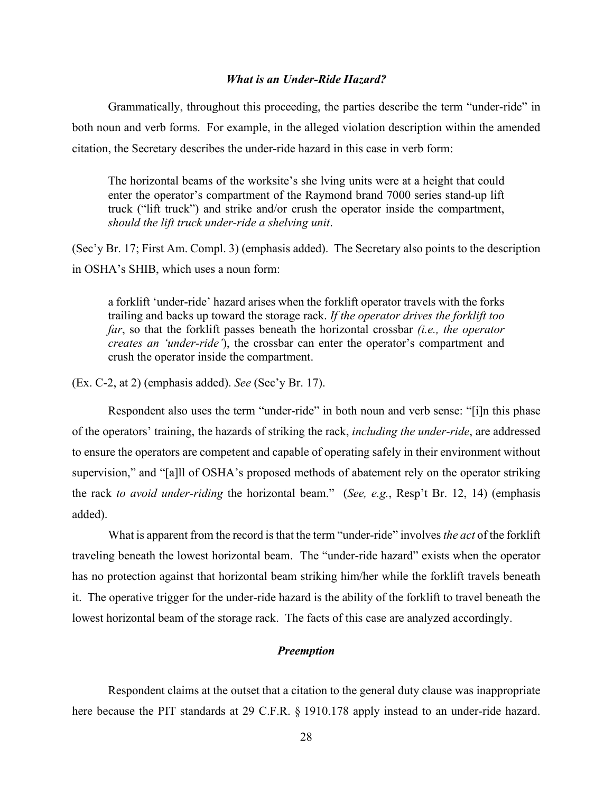#### *What is an Under-Ride Hazard?*

 both noun and verb forms. For example, in the alleged violation description within the amended citation, the Secretary describes the under-ride hazard in this case in verb form: citation, the Secretary describes the under-ride hazard in this case in verb form: The horizontal beams of the worksite's she lving units were at a height that could Grammatically, throughout this proceeding, the parties describe the term "under-ride" in

enter the operator's compartment of the Raymond brand 7000 series stand-up lift truck ("lift truck") and strike and/or crush the operator inside the compartment, *should the lift truck under-ride a shelving unit*.

 (Sec'y Br. 17; First Am. Compl. 3) (emphasis added). The Secretary also points to the description in OSHA's SHIB, which uses a noun form:

a forklift 'under-ride' hazard arises when the forklift operator travels with the forks trailing and backs up toward the storage rack. *If the operator drives the forklift too far*, so that the forklift passes beneath the horizontal crossbar *(i.e., the operator creates an 'under-ride'*), the crossbar can enter the operator's compartment and crush the operator inside the compartment.

(Ex. C-2, at 2) (emphasis added). *See* (Sec'y Br. 17).

Respondent also uses the term "under-ride" in both noun and verb sense: "[i]n this phase of the operators' training, the hazards of striking the rack, *including the under-ride*, are addressed to ensure the operators are competent and capable of operating safely in their environment without supervision," and "[a]ll of OSHA's proposed methods of abatement rely on the operator striking the rack *to avoid under-riding* the horizontal beam." (*See, e.g.*, Resp't Br. 12, 14) (emphasis added).

 it. The operative trigger for the under-ride hazard is the ability of the forklift to travel beneath the What is apparent from the record is that the term "under-ride" involves *the act* of the forklift traveling beneath the lowest horizontal beam. The "under-ride hazard" exists when the operator has no protection against that horizontal beam striking him/her while the forklift travels beneath lowest horizontal beam of the storage rack. The facts of this case are analyzed accordingly.

# *Preemption*

 Respondent claims at the outset that a citation to the general duty clause was inappropriate here because the PIT standards at 29 C.F.R. § 1910.178 apply instead to an under-ride hazard.<br>28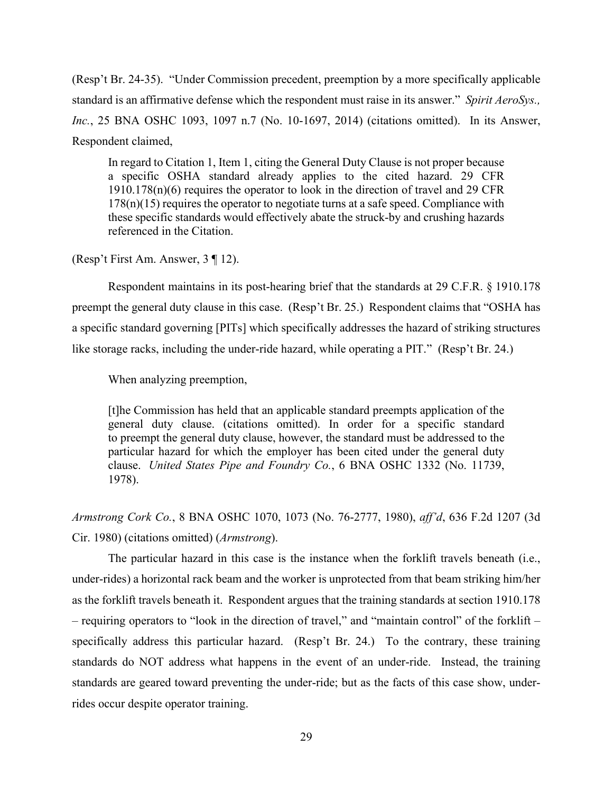(Resp't Br. 24-35). "Under Commission precedent, preemption by a more specifically applicable standard is an affirmative defense which the respondent must raise in its answer." *Spirit AeroSys., Inc.*, 25 BNA OSHC 1093, 1097 n.7 (No. 10-1697, 2014) (citations omitted). In its Answer, Respondent claimed,

In regard to Citation 1, Item 1, citing the General Duty Clause is not proper because a specific OSHA standard already applies to the cited hazard. 29 CFR  $1910.178(n)(6)$  requires the operator to look in the direction of travel and 29 CFR  $178(n)(15)$  requires the operator to negotiate turns at a safe speed. Compliance with these specific standards would effectively abate the struck-by and crushing hazards referenced in the Citation.

(Resp't First Am. Answer, 3 ¶ 12).

 Respondent maintains in its post-hearing brief that the standards at 29 C.F.R. § 1910.178 preempt the general duty clause in this case. (Resp't Br. 25.) Respondent claims that "OSHA has like storage racks, including the under-ride hazard, while operating a PIT." (Resp't Br. 24.)<br>When analyzing preemption, a specific standard governing [PITs] which specifically addresses the hazard of striking structures

 general duty clause. (citations omitted). In order for a specific standard to preempt the general duty clause, however, the standard must be addressed to the clause. *United States Pipe and Foundry Co.*, 6 BNA OSHC 1332 (No. 11739, [t]he Commission has held that an applicable standard preempts application of the particular hazard for which the employer has been cited under the general duty 1978).

Cir. 1980) (citations omitted) (Armstrong). *Armstrong Cork Co.*, 8 BNA OSHC 1070, 1073 (No. 76-2777, 1980), *aff'd*, 636 F.2d 1207 (3d

 as the forklift travels beneath it. Respondent argues that the training standards at section 1910.178 – requiring operators to "look in the direction of travel," and "maintain control" of the forklift – specifically address this particular hazard. (Resp't Br. 24.) To the contrary, these training standards are geared toward preventing the under-ride; but as the facts of this case show, under-The particular hazard in this case is the instance when the forklift travels beneath (i.e., under-rides) a horizontal rack beam and the worker is unprotected from that beam striking him/her standards do NOT address what happens in the event of an under-ride. Instead, the training rides occur despite operator training.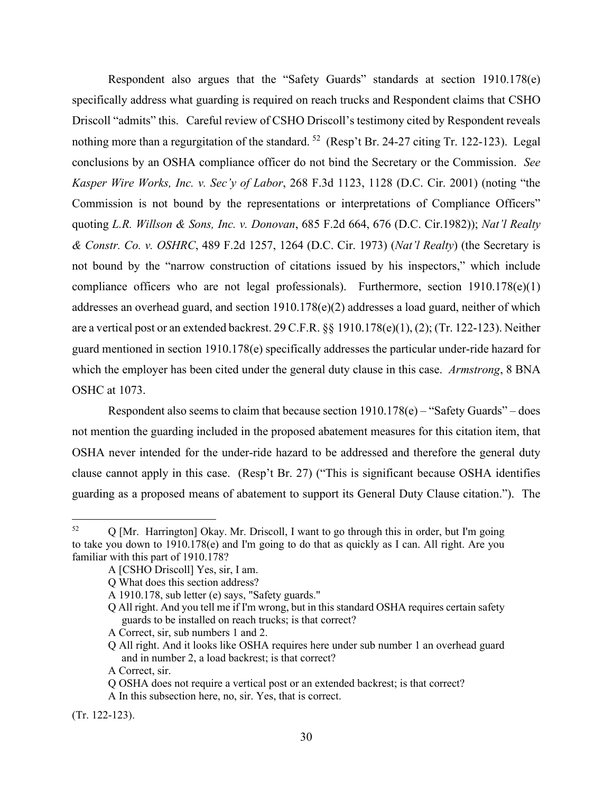Respondent also argues that the "Safety Guards" standards at section 1910.178(e) specifically address what guarding is required on reach trucks and Respondent claims that CSHO Driscoll "admits" this. Careful review of CSHO Driscoll's testimony cited by Respondent reveals nothing more than a regurgitation of the standard.  $52 \text{ (Resp't Br. 24-27,}$  citing Tr. 122-123). Legal conclusions by an OSHA compliance officer do not bind the Secretary or the Commission. *See*  compliance officers who are not legal professionals). Furthermore, section 1910.178(e)(1) addresses an overhead guard, and section 1910.178(e)(2) addresses a load guard, neither of which guard mentioned in section 1910.178(e) specifically addresses the particular under-ride hazard for *Kasper Wire Works, Inc. v. Sec'y of Labor*, 268 F.3d 1123, 1128 (D.C. Cir. 2001) (noting "the Commission is not bound by the representations or interpretations of Compliance Officers" quoting *L.R. Willson & Sons, Inc. v. Donovan*, 685 F.2d 664, 676 (D.C. Cir.1982)); *Nat'l Realty & Constr. Co. v. OSHRC*, 489 F.2d 1257, 1264 (D.C. Cir. 1973) (*Nat'l Realty*) (the Secretary is not bound by the "narrow construction of citations issued by his inspectors," which include are a vertical post or an extended backrest. 29 C.F.R. §§ 1910.178(e)(1), (2); (Tr. 122-123). Neither which the employer has been cited under the general duty clause in this case. *Armstrong*, 8 BNA OSHC at 1073.

 Respondent also seems to claim that because section 1910.178(e) – "Safety Guards" – does not mention the guarding included in the proposed abatement measures for this citation item, that guarding as a proposed means of abatement to support its General Duty Clause citation."). The OSHA never intended for the under-ride hazard to be addressed and therefore the general duty clause cannot apply in this case. (Resp't Br. 27) ("This is significant because OSHA identifies

A Correct, sir.

(Tr. 122-123).

<span id="page-29-0"></span> 52 Q [Mr. Harrington] Okay. Mr. Driscoll, I want to go through this in order, but I'm going to take you down to 1910.178(e) and I'm going to do that as quickly as I can. All right. Are you familiar with this part of 1910.178?

A [CSHO Driscoll] Yes, sir, I am.

Q What does this section address?

 A 1910.178, sub letter (e) says, "Safety guards."

 Q All right. And you tell me if I'm wrong, but in this standard OSHA requires certain safety guards to be installed on reach trucks; is that correct?

 A Correct, sir, sub numbers 1 and 2.

 Q All right. And it looks like OSHA requires here under sub number 1 an overhead guard and in number 2, a load backrest; is that correct?

Q OSHA does not require a vertical post or an extended backrest; is that correct?

 A In this subsection here, no, sir. Yes, that is correct.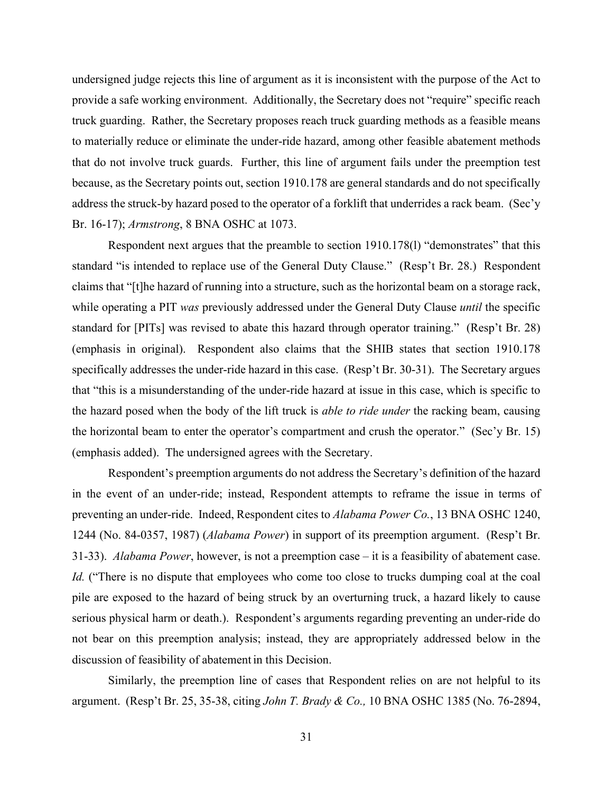truck guarding. Rather, the Secretary proposes reach truck guarding methods as a feasible means because, as the Secretary points out, section 1910.178 are general standards and do not specifically undersigned judge rejects this line of argument as it is inconsistent with the purpose of the Act to provide a safe working environment. Additionally, the Secretary does not "require" specific reach to materially reduce or eliminate the under-ride hazard, among other feasible abatement methods that do not involve truck guards. Further, this line of argument fails under the preemption test address the struck-by hazard posed to the operator of a forklift that underrides a rack beam. (Sec'y Br. 16-17); *Armstrong*, 8 BNA OSHC at 1073.

 Respondent next argues that the preamble to section 1910.178(l) "demonstrates" that this standard "is intended to replace use of the General Duty Clause." (Resp't Br. 28.) Respondent specifically addresses the under-ride hazard in this case. (Resp't Br. 30-31). The Secretary argues (emphasis added). The undersigned agrees with the Secretary. claims that "[t]he hazard of running into a structure, such as the horizontal beam on a storage rack, while operating a PIT *was* previously addressed under the General Duty Clause *until* the specific standard for [PITs] was revised to abate this hazard through operator training." (Resp't Br. 28) (emphasis in original). Respondent also claims that the SHIB states that section 1910.178 that "this is a misunderstanding of the under-ride hazard at issue in this case, which is specific to the hazard posed when the body of the lift truck is *able to ride under* the racking beam, causing the horizontal beam to enter the operator's compartment and crush the operator." (Sec'y Br. 15)

 in the event of an under-ride; instead, Respondent attempts to reframe the issue in terms of preventing an under-ride. Indeed, Respondent cites to *Alabama Power Co.*, 13 BNA OSHC 1240, 31-33). *Alabama Power*, however, is not a preemption case – it is a feasibility of abatement case. discussion of feasibility of abatement in this Decision. Respondent's preemption arguments do not address the Secretary's definition of the hazard 1244 (No. 84-0357, 1987) (*Alabama Power*) in support of its preemption argument. (Resp't Br. *Id.* ("There is no dispute that employees who come too close to trucks dumping coal at the coal pile are exposed to the hazard of being struck by an overturning truck, a hazard likely to cause serious physical harm or death.). Respondent's arguments regarding preventing an under-ride do not bear on this preemption analysis; instead, they are appropriately addressed below in the

Similarly, the preemption line of cases that Respondent relies on are not helpful to its argument. (Resp't Br. 25, 35-38, citing *John T. Brady & Co.,* 10 BNA OSHC 1385 (No. 76-2894,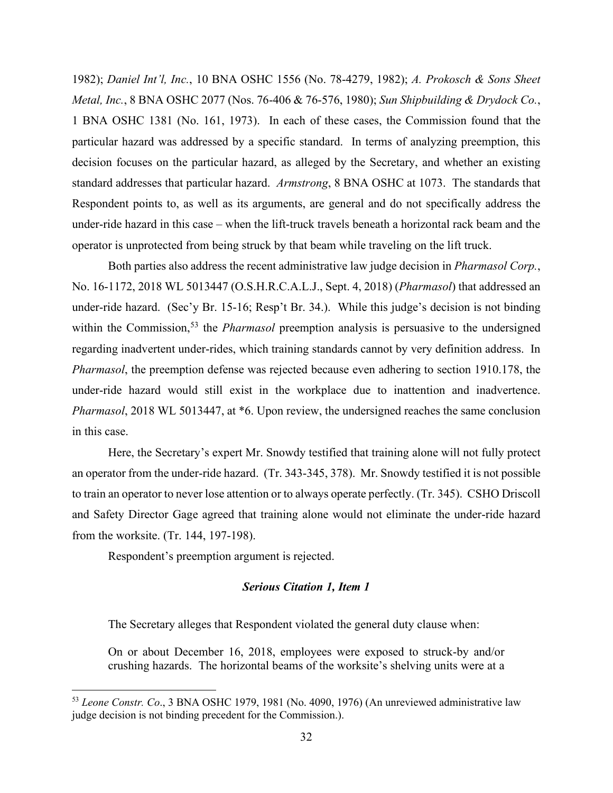decision focuses on the particular hazard, as alleged by the Secretary, and whether an existing standard addresses that particular hazard. *Armstrong*, 8 BNA OSHC at 1073. The standards that under-ride hazard in this case – when the lift-truck travels beneath a horizontal rack beam and the 1982); *Daniel Int'l, Inc.*, 10 BNA OSHC 1556 (No. 78-4279, 1982); *A. Prokosch & Sons Sheet Metal, Inc.*, 8 BNA OSHC 2077 (Nos. 76-406 & 76-576, 1980); *Sun Shipbuilding & Drydock Co.*, 1 BNA OSHC 1381 (No. 161, 1973). In each of these cases, the Commission found that the particular hazard was addressed by a specific standard. In terms of analyzing preemption, this Respondent points to, as well as its arguments, are general and do not specifically address the operator is unprotected from being struck by that beam while traveling on the lift truck.

 within the Commission, [53](#page-31-0) the *Pharmasol* preemption analysis is persuasive to the undersigned regarding inadvertent under-rides, which training standards cannot by very definition address. In Both parties also address the recent administrative law judge decision in *Pharmasol Corp.*, No. 16-1172, 2018 WL 5013447 (O.S.H.R.C.A.L.J., Sept. 4, 2018) (*Pharmasol*) that addressed an under-ride hazard. (Sec'y Br. 15-16; Resp't Br. 34.). While this judge's decision is not binding *Pharmasol*, the preemption defense was rejected because even adhering to section 1910.178, the under-ride hazard would still exist in the workplace due to inattention and inadvertence. *Pharmasol*, 2018 WL 5013447, at \*6. Upon review, the undersigned reaches the same conclusion in this case.

 an operator from the under-ride hazard. (Tr. 343-345, 378). Mr. Snowdy testified it is not possible to train an operator to never lose attention or to always operate perfectly. (Tr. 345). CSHO Driscoll Here, the Secretary's expert Mr. Snowdy testified that training alone will not fully protect and Safety Director Gage agreed that training alone would not eliminate the under-ride hazard from the worksite. (Tr. 144, 197-198).

Respondent's preemption argument is rejected.

# *Serious Citation 1, Item 1*

The Secretary alleges that Respondent violated the general duty clause when:

 crushing hazards. The horizontal beams of the worksite's shelving units were at a On or about December 16, 2018, employees were exposed to struck-by and/or

<span id="page-31-0"></span> judge decision is not binding precedent for the Commission.). <sup>53</sup>*Leone Constr. Co*., 3 BNA OSHC 1979, 1981 (No. 4090, 1976) (An unreviewed administrative law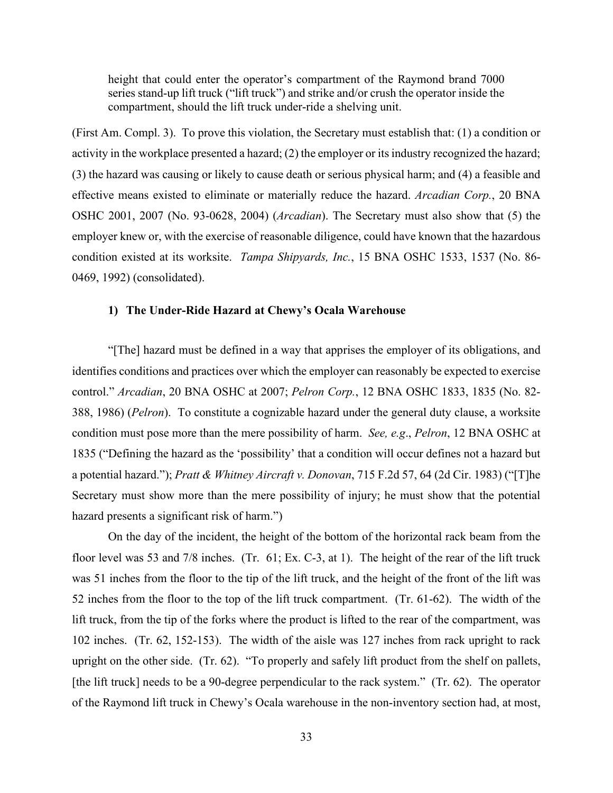height that could enter the operator's compartment of the Raymond brand 7000 series stand-up lift truck ("lift truck") and strike and/or crush the operator inside the compartment, should the lift truck under-ride a shelving unit.

 (First Am. Compl. 3). To prove this violation, the Secretary must establish that: (1) a condition or condition existed at its worksite. *Tampa Shipyards, Inc.*, 15 BNA OSHC 1533, 1537 (No. 86 activity in the workplace presented a hazard; (2) the employer or its industry recognized the hazard; (3) the hazard was causing or likely to cause death or serious physical harm; and (4) a feasible and effective means existed to eliminate or materially reduce the hazard. *Arcadian Corp.*, 20 BNA OSHC 2001, 2007 (No. 93-0628, 2004) (*Arcadian*). The Secretary must also show that (5) the employer knew or, with the exercise of reasonable diligence, could have known that the hazardous 0469, 1992) (consolidated).

# **1) The Under-Ride Hazard at Chewy's Ocala Warehouse**

 identifies conditions and practices over which the employer can reasonably be expected to exercise 388, 1986) (*Pelron*). To constitute a cognizable hazard under the general duty clause, a worksite condition must pose more than the mere possibility of harm. *See, e.g*., *Pelron*, 12 BNA OSHC at hazard presents a significant risk of harm.") "[The] hazard must be defined in a way that apprises the employer of its obligations, and control." *Arcadian*, 20 BNA OSHC at 2007; *Pelron Corp.*, 12 BNA OSHC 1833, 1835 (No. 82- 1835 ("Defining the hazard as the 'possibility' that a condition will occur defines not a hazard but a potential hazard."); *Pratt & Whitney Aircraft v. Donovan*, 715 F.2d 57, 64 (2d Cir. 1983) ("[T]he Secretary must show more than the mere possibility of injury; he must show that the potential

 On the day of the incident, the height of the bottom of the horizontal rack beam from the floor level was 53 and 7/8 inches. (Tr. 61; Ex. C-3, at 1). The height of the rear of the lift truck 52 inches from the floor to the top of the lift truck compartment. (Tr. 61-62). The width of the lift truck, from the tip of the forks where the product is lifted to the rear of the compartment, was 102 inches. (Tr. 62, 152-153). The width of the aisle was 127 inches from rack upright to rack upright on the other side. (Tr. 62). "To properly and safely lift product from the shelf on pallets, [the lift truck] needs to be a 90-degree perpendicular to the rack system." (Tr. 62). The operator was 51 inches from the floor to the tip of the lift truck, and the height of the front of the lift was of the Raymond lift truck in Chewy's Ocala warehouse in the non-inventory section had, at most,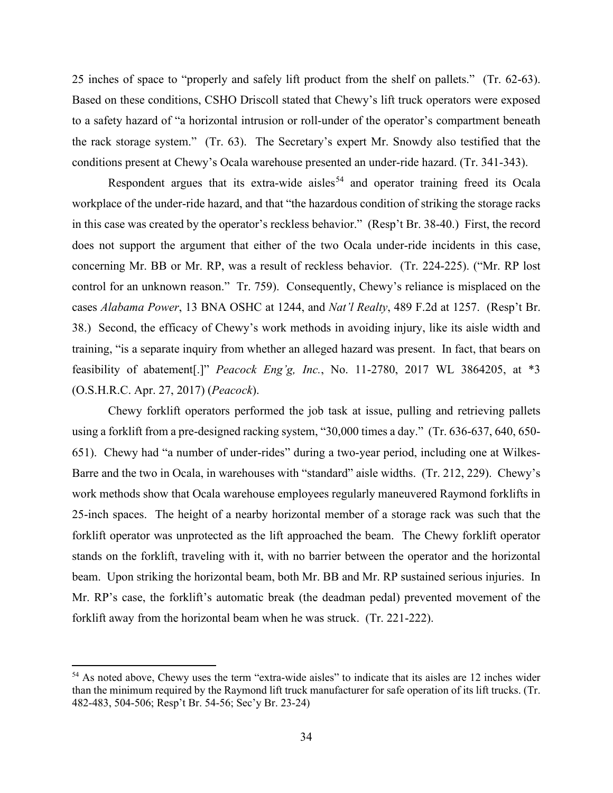25 inches of space to "properly and safely lift product from the shelf on pallets." (Tr. 62-63). to a safety hazard of "a horizontal intrusion or roll-under of the operator's compartment beneath the rack storage system." (Tr. 63). The Secretary's expert Mr. Snowdy also testified that the Based on these conditions, CSHO Driscoll stated that Chewy's lift truck operators were exposed conditions present at Chewy's Ocala warehouse presented an under-ride hazard. (Tr. 341-343).

 does not support the argument that either of the two Ocala under-ride incidents in this case, control for an unknown reason." Tr. 759). Consequently, Chewy's reliance is misplaced on the cases *Alabama Power*, 13 BNA OSHC at 1244, and *Nat'l Realty*, 489 F.2d at 1257. (Resp't Br. 38.) Second, the efficacy of Chewy's work methods in avoiding injury, like its aisle width and (O.S.H.R.C. Apr. 27, 2017) (*Peacock*). Respondent argues that its extra-wide aisles<sup>54</sup> and operator training freed its Ocala workplace of the under-ride hazard, and that "the hazardous condition of striking the storage racks in this case was created by the operator's reckless behavior." (Resp't Br. 38-40.) First, the record concerning Mr. BB or Mr. RP, was a result of reckless behavior. (Tr. 224-225). ("Mr. RP lost training, "is a separate inquiry from whether an alleged hazard was present. In fact, that bears on feasibility of abatement[.]" *Peacock Eng'g, Inc.*, No. 11-2780, 2017 WL 3864205, at \*3

 651). Chewy had "a number of under-rides" during a two-year period, including one at Wilkes- Barre and the two in Ocala, in warehouses with "standard" aisle widths. (Tr. 212, 229). Chewy's beam. Upon striking the horizontal beam, both Mr. BB and Mr. RP sustained serious injuries. In forklift away from the horizontal beam when he was struck. (Tr. 221-222). Chewy forklift operators performed the job task at issue, pulling and retrieving pallets using a forklift from a pre-designed racking system, "30,000 times a day." (Tr. 636-637, 640, 650 work methods show that Ocala warehouse employees regularly maneuvered Raymond forklifts in 25-inch spaces. The height of a nearby horizontal member of a storage rack was such that the forklift operator was unprotected as the lift approached the beam. The Chewy forklift operator stands on the forklift, traveling with it, with no barrier between the operator and the horizontal Mr. RP's case, the forklift's automatic break (the deadman pedal) prevented movement of the

<span id="page-33-0"></span> than the minimum required by the Raymond lift truck manufacturer for safe operation of its lift trucks. (Tr.  $54$  As noted above, Chewy uses the term "extra-wide aisles" to indicate that its aisles are 12 inches wider 482-483, 504-506; Resp't Br. 54-56; Sec'y Br. 23-24)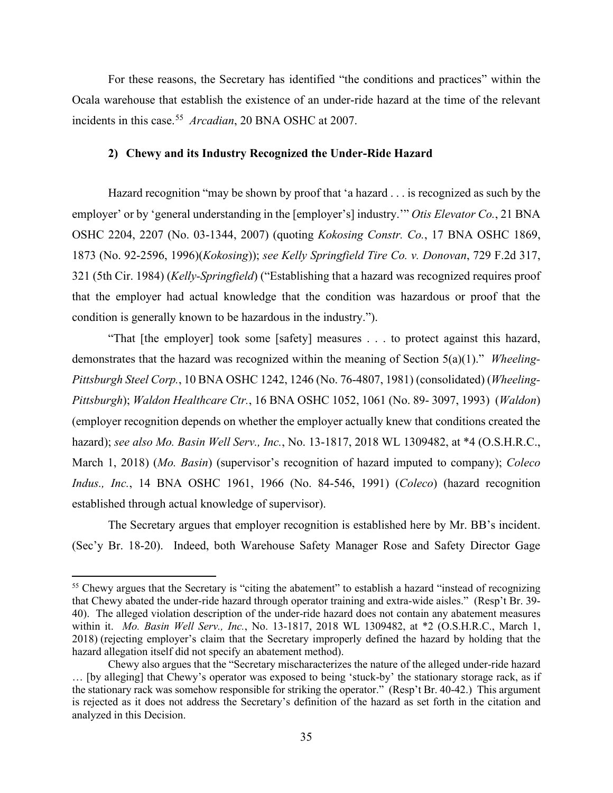incidents in this case. [55](#page-34-0) *Arcadian*, 20 BNA OSHC at 2007. For these reasons, the Secretary has identified "the conditions and practices" within the Ocala warehouse that establish the existence of an under-ride hazard at the time of the relevant

# **2) Chewy and its Industry Recognized the Under-Ride Hazard**

condition is generally known to be hazardous in the industry."). Hazard recognition "may be shown by proof that 'a hazard . . . is recognized as such by the employer' or by 'general understanding in the [employer's] industry.'" *Otis Elevator Co.*, 21 BNA OSHC 2204, 2207 (No. 03-1344, 2007) (quoting *Kokosing Constr. Co.*, 17 BNA OSHC 1869, 1873 (No. 92-2596, 1996)(*Kokosing*)); *see Kelly Springfield Tire Co. v. Donovan*, 729 F.2d 317, 321 (5th Cir. 1984) (*Kelly-Springfield*) ("Establishing that a hazard was recognized requires proof that the employer had actual knowledge that the condition was hazardous or proof that the

 demonstrates that the hazard was recognized within the meaning of Section 5(a)(1)." *Wheeling- Pittsburgh*); *Waldon Healthcare Ctr.*, 16 BNA OSHC 1052, 1061 (No. 89- 3097, 1993) (*Waldon*) "That [the employer] took some [safety] measures . . . to protect against this hazard, *Pittsburgh Steel Corp.*, 10 BNA OSHC 1242, 1246 (No. 76-4807, 1981) (consolidated) (*Wheeling-*(employer recognition depends on whether the employer actually knew that conditions created the hazard); *see also Mo. Basin Well Serv., Inc.*, No. 13-1817, 2018 WL 1309482, at \*4 (O.S.H.R.C., March 1, 2018) (*Mo. Basin*) (supervisor's recognition of hazard imputed to company); *Coleco Indus., Inc.*, 14 BNA OSHC 1961, 1966 (No. 84-546, 1991) (*Coleco*) (hazard recognition established through actual knowledge of supervisor).

 (Sec'y Br. 18-20). Indeed, both Warehouse Safety Manager Rose and Safety Director Gage The Secretary argues that employer recognition is established here by Mr. BB's incident.

<span id="page-34-0"></span> 40). The alleged violation description of the under-ride hazard does not contain any abatement measures within it. *Mo. Basin Well Serv., Inc.*, No. 13-1817, 2018 WL 1309482, at \*2 (O.S.H.R.C., March 1, hazard allegation itself did not specify an abatement method). <sup>55</sup> Chewy argues that the Secretary is "citing the abatement" to establish a hazard "instead of recognizing that Chewy abated the under-ride hazard through operator training and extra-wide aisles." (Resp't Br. 39- 2018) (rejecting employer's claim that the Secretary improperly defined the hazard by holding that the

 the stationary rack was somehow responsible for striking the operator." (Resp't Br. 40-42.) This argument is rejected as it does not address the Secretary's definition of the hazard as set forth in the citation and analyzed in this Decision.<br>35 Chewy also argues that the "Secretary mischaracterizes the nature of the alleged under-ride hazard … [by alleging] that Chewy's operator was exposed to being 'stuck-by' the stationary storage rack, as if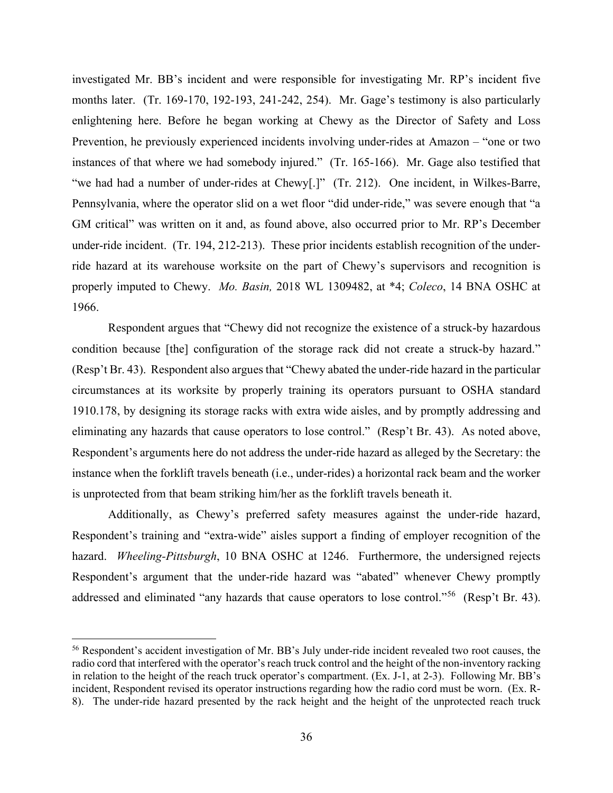months later. (Tr. 169-170, 192-193, 241-242, 254). Mr. Gage's testimony is also particularly Prevention, he previously experienced incidents involving under-rides at Amazon – "one or two instances of that where we had somebody injured." (Tr. 165-166). Mr. Gage also testified that "we had had a number of under-rides at Chewy[.]" (Tr. 212). One incident, in Wilkes-Barre, GM critical" was written on it and, as found above, also occurred prior to Mr. RP's December under-ride incident. (Tr. 194, 212-213). These prior incidents establish recognition of the under- properly imputed to Chewy. *Mo. Basin,* 2018 WL 1309482, at \*4; *Coleco*, 14 BNA OSHC at 1966. investigated Mr. BB's incident and were responsible for investigating Mr. RP's incident five enlightening here. Before he began working at Chewy as the Director of Safety and Loss Pennsylvania, where the operator slid on a wet floor "did under-ride," was severe enough that "a ride hazard at its warehouse worksite on the part of Chewy's supervisors and recognition is

condition because [the] configuration of the storage rack did not create a struck-by hazard." condition because [the] configuration of the storage rack did not create a struck-by hazard." (Resp't Br. 43). Respondent also argues that "Chewy abated the under-ride hazard in the particular circumstances at its worksite by properly training its operators pursuant to OSHA standard eliminating any hazards that cause operators to lose control." (Resp't Br. 43). As noted above, Respondent's arguments here do not address the under-ride hazard as alleged by the Secretary: the is unprotected from that beam striking him/her as the forklift travels beneath it. Respondent argues that "Chewy did not recognize the existence of a struck-by hazardous 1910.178, by designing its storage racks with extra wide aisles, and by promptly addressing and instance when the forklift travels beneath (i.e., under-rides) a horizontal rack beam and the worker

 Respondent's training and "extra-wide" aisles support a finding of employer recognition of the hazard. *Wheeling-Pittsburgh*, 10 BNA OSHC at 1246. Furthermore, the undersigned rejects addressed and eliminated "any hazards that cause operators to lose control."<sup>[56](#page-35-0)</sup> (Resp't Br. 43). Additionally, as Chewy's preferred safety measures against the under-ride hazard, Respondent's argument that the under-ride hazard was "abated" whenever Chewy promptly

<span id="page-35-0"></span> radio cord that interfered with the operator's reach truck control and the height of the non-inventory racking in relation to the height of the reach truck operator's compartment. (Ex. J-1, at 2-3). Following Mr. BB's incident, Respondent revised its operator instructions regarding how the radio cord must be worn. (Ex. R-56 Respondent's accident investigation of Mr. BB's July under-ride incident revealed two root causes, the 8). The under-ride hazard presented by the rack height and the height of the unprotected reach truck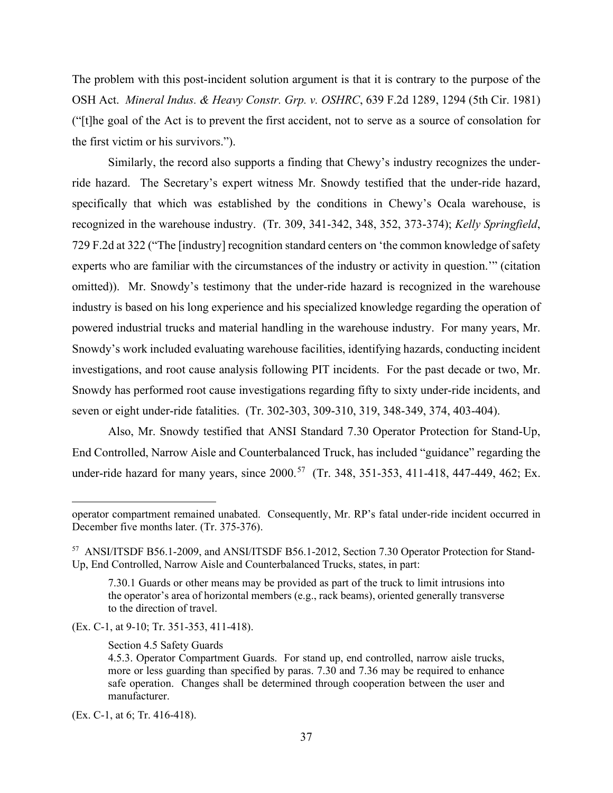The problem with this post-incident solution argument is that it is contrary to the purpose of the OSH Act. *Mineral Indus. & Heavy Constr. Grp. v. OSHRC*, 639 F.2d 1289, 1294 (5th Cir. 1981) ("[t]he goal of the Act is to prevent the first accident, not to serve as a source of consolation for the first victim or his survivors.").

 recognized in the warehouse industry. (Tr. 309, 341-342, 348, 352, 373-374); *Kelly Springfield*, experts who are familiar with the circumstances of the industry or activity in question.'" (citation omitted)). Mr. Snowdy's testimony that the under-ride hazard is recognized in the warehouse industry is based on his long experience and his specialized knowledge regarding the operation of Snowdy's work included evaluating warehouse facilities, identifying hazards, conducting incident seven or eight under-ride fatalities. (Tr. 302-303, 309-310, 319, 348-349, 374, 403-404). Similarly, the record also supports a finding that Chewy's industry recognizes the underride hazard. The Secretary's expert witness Mr. Snowdy testified that the under-ride hazard, specifically that which was established by the conditions in Chewy's Ocala warehouse, is 729 F.2d at 322 ("The [industry] recognition standard centers on 'the common knowledge of safety powered industrial trucks and material handling in the warehouse industry. For many years, Mr. investigations, and root cause analysis following PIT incidents. For the past decade or two, Mr. Snowdy has performed root cause investigations regarding fifty to sixty under-ride incidents, and

 Also, Mr. Snowdy testified that ANSI Standard 7.30 Operator Protection for Stand-Up, under-ride hazard for many years, since 2000.<sup>[57](#page-36-0)</sup> (Tr. 348, 351-353, 411-418, 447-449, 462; Ex. End Controlled, Narrow Aisle and Counterbalanced Truck, has included "guidance" regarding the

(Ex. C-1, at 9-10; Tr. 351-353, 411-418).

Section 4.5 Safety Guards

operator compartment remained unabated. Consequently, Mr. RP's fatal under-ride incident occurred in December five months later. (Tr. 375-376).

<span id="page-36-0"></span><sup>&</sup>lt;sup>57</sup> ANSI/ITSDF B56.1-2009, and ANSI/ITSDF B56.1-2012, Section 7.30 Operator Protection for Stand-Up, End Controlled, Narrow Aisle and Counterbalanced Trucks, states, in part:

 7.30.1 Guards or other means may be provided as part of the truck to limit intrusions into the operator's area of horizontal members (e.g., rack beams), oriented generally transverse to the direction of travel.

 more or less guarding than specified by paras. 7.30 and 7.36 may be required to enhance 4.5.3. Operator Compartment Guards. For stand up, end controlled, narrow aisle trucks, safe operation. Changes shall be determined through cooperation between the user and manufacturer.

 (Ex. C-1, at 6; Tr. 416-418).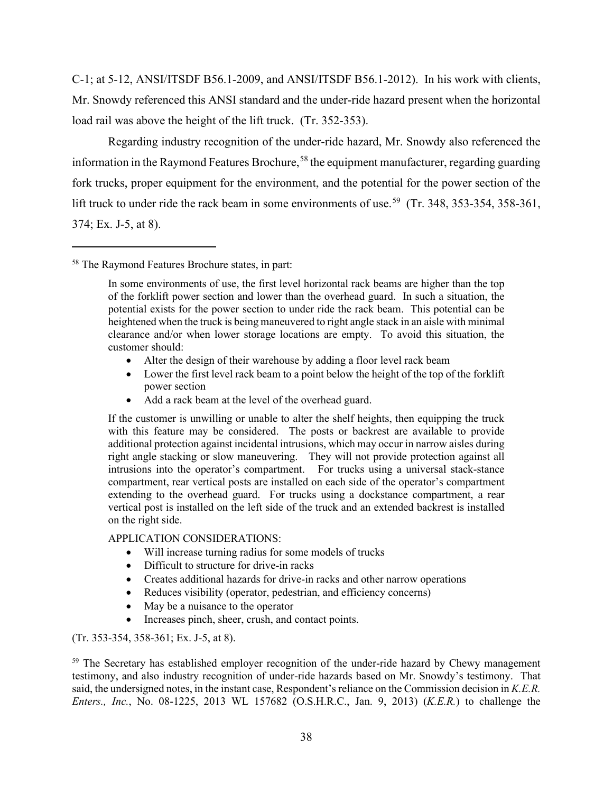C-1; at 5-12, ANSI/ITSDF B56.1-2009, and ANSI/ITSDF B56.1-2012). In his work with clients, Mr. Snowdy referenced this ANSI standard and the under-ride hazard present when the horizontal load rail was above the height of the lift truck. (Tr. 352-353).

lift truck to under ride the rack beam in some environments of use.<sup>[59](#page-37-1)</sup> (Tr. 348, 353-354, 358-361, 374; Ex. J-5, at 8). Regarding industry recognition of the under-ride hazard, Mr. Snowdy also referenced the information in the Raymond Features Brochure,<sup>58</sup> the equipment manufacturer, regarding guarding fork trucks, proper equipment for the environment, and the potential for the power section of the

- Alter the design of their warehouse by adding a floor level rack beam
- • Lower the first level rack beam to a point below the height of the top of the forklift power section
- Add a rack beam at the level of the overhead guard.

 If the customer is unwilling or unable to alter the shelf heights, then equipping the truck with this feature may be considered. The posts or backrest are available to provide additional protection against incidental intrusions, which may occur in narrow aisles during right angle stacking or slow maneuvering. They will not provide protection against all extending to the overhead guard. For trucks using a dockstance compartment, a rear vertical post is installed on the left side of the truck and an extended backrest is installed intrusions into the operator's compartment. For trucks using a universal stack-stance compartment, rear vertical posts are installed on each side of the operator's compartment on the right side.

# APPLICATION CONSIDERATIONS:

- Will increase turning radius for some models of trucks
- Difficult to structure for drive-in racks
- Creates additional hazards for drive-in racks and other narrow operations
- Reduces visibility (operator, pedestrian, and efficiency concerns)
- May be a nuisance to the operator
- Increases pinch, sheer, crush, and contact points.

# (Tr. 353-354, 358-361; Ex. J-5, at 8).

<span id="page-37-1"></span> said, the undersigned notes, in the instant case, Respondent's reliance on the Commission decision in *K.E.R.*  <sup>59</sup> The Secretary has established employer recognition of the under-ride hazard by Chewy management testimony, and also industry recognition of under-ride hazards based on Mr. Snowdy's testimony. That *Enters., Inc.*, No. 08-1225, 2013 WL 157682 (O.S.H.R.C., Jan. 9, 2013) (*K.E.R.*) to challenge the

<span id="page-37-0"></span><sup>58</sup> The Raymond Features Brochure states, in part:

 clearance and/or when lower storage locations are empty. To avoid this situation, the In some environments of use, the first level horizontal rack beams are higher than the top of the forklift power section and lower than the overhead guard. In such a situation, the potential exists for the power section to under ride the rack beam. This potential can be heightened when the truck is being maneuvered to right angle stack in an aisle with minimal customer should: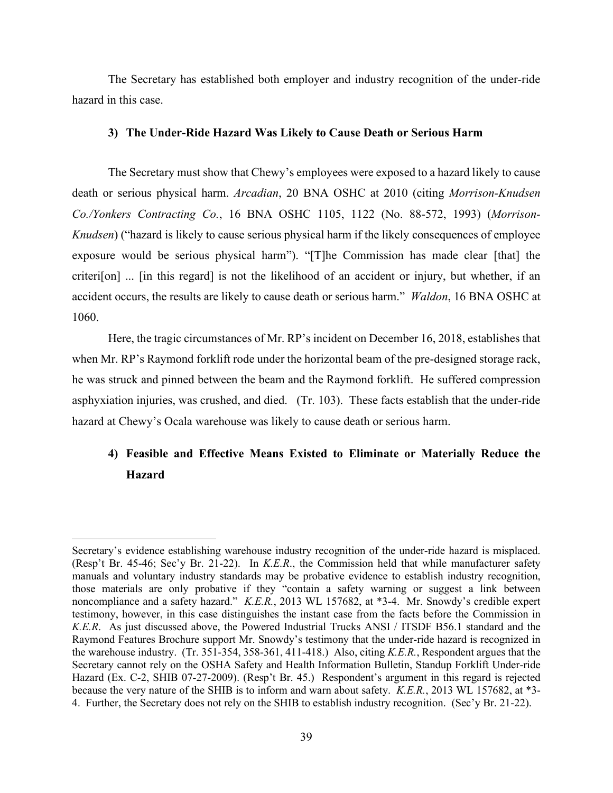The Secretary has established both employer and industry recognition of the under-ride hazard in this case.

# **3) The Under-Ride Hazard Was Likely to Cause Death or Serious Harm**

 exposure would be serious physical harm"). "[T]he Commission has made clear [that] the The Secretary must show that Chewy's employees were exposed to a hazard likely to cause death or serious physical harm. *Arcadian*, 20 BNA OSHC at 2010 (citing *Morrison-Knudsen Co./Yonkers Contracting Co.*, 16 BNA OSHC 1105, 1122 (No. 88-572, 1993) (*Morrison-Knudsen*) ("hazard is likely to cause serious physical harm if the likely consequences of employee criteri[on] ... [in this regard] is not the likelihood of an accident or injury, but whether, if an accident occurs, the results are likely to cause death or serious harm." *Waldon*, 16 BNA OSHC at 1060.

 asphyxiation injuries, was crushed, and died. (Tr. 103). These facts establish that the under-ride Here, the tragic circumstances of Mr. RP's incident on December 16, 2018, establishes that when Mr. RP's Raymond forklift rode under the horizontal beam of the pre-designed storage rack, he was struck and pinned between the beam and the Raymond forklift. He suffered compression hazard at Chewy's Ocala warehouse was likely to cause death or serious harm.

# **4) Feasible and Effective Means Existed to Eliminate or Materially Reduce the Hazard**

 (Resp't Br. 45-46; Sec'y Br. 21-22). In *K.E.R*., the Commission held that while manufacturer safety those materials are only probative if they "contain a safety warning or suggest a link between noncompliance and a safety hazard." *K.E.R.*, 2013 WL 157682, at \*3-4. Mr. Snowdy's credible expert testimony, however, in this case distinguishes the instant case from the facts before the Commission in Raymond Features Brochure support Mr. Snowdy's testimony that the under-ride hazard is recognized in the warehouse industry. (Tr. 351-354, 358-361, 411-418.) Also, citing *K.E.R.*, Respondent argues that the because the very nature of the SHIB is to inform and warn about safety. *K.E.R.*, 2013 WL 157682, at \*3- 4. Further, the Secretary does not rely on the SHIB to establish industry recognition. (Sec'y Br. 21-22). Secretary's evidence establishing warehouse industry recognition of the under-ride hazard is misplaced. manuals and voluntary industry standards may be probative evidence to establish industry recognition, *K.E.R*. As just discussed above, the Powered Industrial Trucks ANSI / ITSDF B56.1 standard and the Secretary cannot rely on the OSHA Safety and Health Information Bulletin, Standup Forklift Under-ride Hazard (Ex. C-2, SHIB 07-27-2009). (Resp't Br. 45.) Respondent's argument in this regard is rejected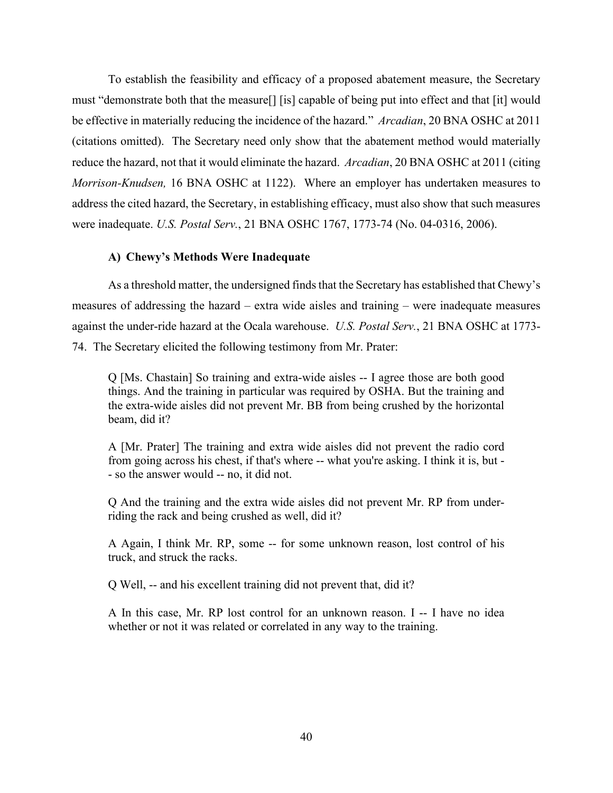(citations omitted). The Secretary need only show that the abatement method would materially To establish the feasibility and efficacy of a proposed abatement measure, the Secretary must "demonstrate both that the measure[] [is] capable of being put into effect and that [it] would be effective in materially reducing the incidence of the hazard." *Arcadian*, 20 BNA OSHC at 2011 reduce the hazard, not that it would eliminate the hazard. *Arcadian*, 20 BNA OSHC at 2011 (citing *Morrison-Knudsen,* 16 BNA OSHC at 1122). Where an employer has undertaken measures to address the cited hazard, the Secretary, in establishing efficacy, must also show that such measures were inadequate. *U.S. Postal Serv.*, 21 BNA OSHC 1767, 1773-74 (No. 04-0316, 2006).

# **A) Chewy's Methods Were Inadequate**

As a threshold matter, the undersigned finds that the Secretary has established that Chewy's measures of addressing the hazard – extra wide aisles and training – were inadequate measures against the under-ride hazard at the Ocala warehouse. *U.S. Postal Serv.*, 21 BNA OSHC at 1773- 74. The Secretary elicited the following testimony from Mr. Prater:

beam, did it? Q [Ms. Chastain] So training and extra-wide aisles -- I agree those are both good things. And the training in particular was required by OSHA. But the training and the extra-wide aisles did not prevent Mr. BB from being crushed by the horizontal

beam, did it?<br>A [Mr. Prater] The training and extra wide aisles did not prevent the radio cord from going across his chest, if that's where -- what you're asking. I think it is, but - - so the answer would -- no, it did not.

 riding the rack and being crushed as well, did it? Q And the training and the extra wide aisles did not prevent Mr. RP from under-

 truck, and struck the racks. A Again, I think Mr. RP, some -- for some unknown reason, lost control of his

Q Well, -- and his excellent training did not prevent that, did it?

A In this case, Mr. RP lost control for an unknown reason. I -- I have no idea whether or not it was related or correlated in any way to the training.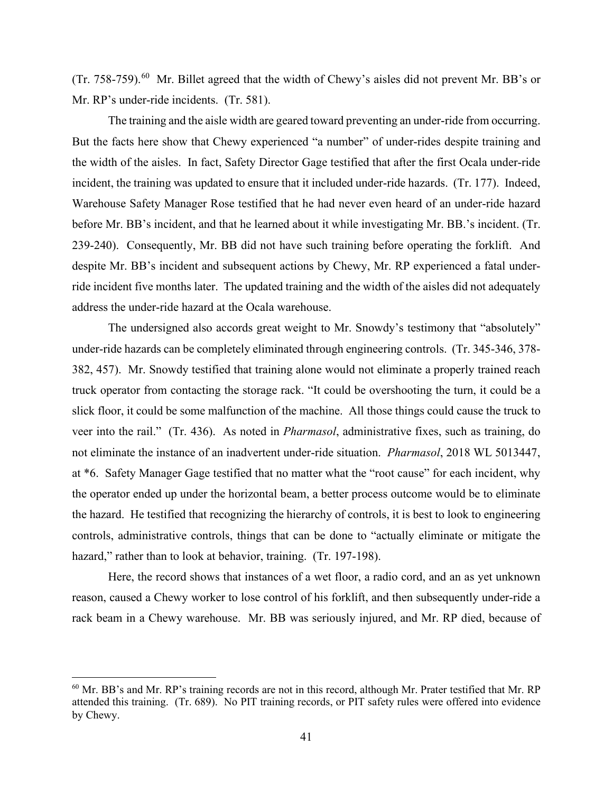(Tr. 758-759).<sup>60</sup> Mr. Billet agreed that the width of Chewy's aisles did not prevent Mr. BB's or Mr. RP's under-ride incidents. (Tr. 581).

 The training and the aisle width are geared toward preventing an under-ride from occurring. incident, the training was updated to ensure that it included under-ride hazards. (Tr. 177). Indeed, Warehouse Safety Manager Rose testified that he had never even heard of an under-ride hazard 239-240). Consequently, Mr. BB did not have such training before operating the forklift. And address the under-ride hazard at the Ocala warehouse. But the facts here show that Chewy experienced "a number" of under-rides despite training and the width of the aisles. In fact, Safety Director Gage testified that after the first Ocala under-ride before Mr. BB's incident, and that he learned about it while investigating Mr. BB.'s incident. (Tr. despite Mr. BB's incident and subsequent actions by Chewy, Mr. RP experienced a fatal underride incident five months later. The updated training and the width of the aisles did not adequately

 382, 457). Mr. Snowdy testified that training alone would not eliminate a properly trained reach truck operator from contacting the storage rack. "It could be overshooting the turn, it could be a veer into the rail." (Tr. 436). As noted in *Pharmasol*, administrative fixes, such as training, do not eliminate the instance of an inadvertent under-ride situation. *Pharmasol*, 2018 WL 5013447, The undersigned also accords great weight to Mr. Snowdy's testimony that "absolutely" under-ride hazards can be completely eliminated through engineering controls. (Tr. 345-346, 378 slick floor, it could be some malfunction of the machine. All those things could cause the truck to at \*6. Safety Manager Gage testified that no matter what the "root cause" for each incident, why the operator ended up under the horizontal beam, a better process outcome would be to eliminate the hazard. He testified that recognizing the hierarchy of controls, it is best to look to engineering controls, administrative controls, things that can be done to "actually eliminate or mitigate the hazard," rather than to look at behavior, training. (Tr. 197-198).

 rack beam in a Chewy warehouse. Mr. BB was seriously injured, and Mr. RP died, because of Here, the record shows that instances of a wet floor, a radio cord, and an as yet unknown reason, caused a Chewy worker to lose control of his forklift, and then subsequently under-ride a

<span id="page-40-0"></span> attended this training. (Tr. 689). No PIT training records, or PIT safety rules were offered into evidence 60 Mr. BB's and Mr. RP's training records are not in this record, although Mr. Prater testified that Mr. RP by Chewy.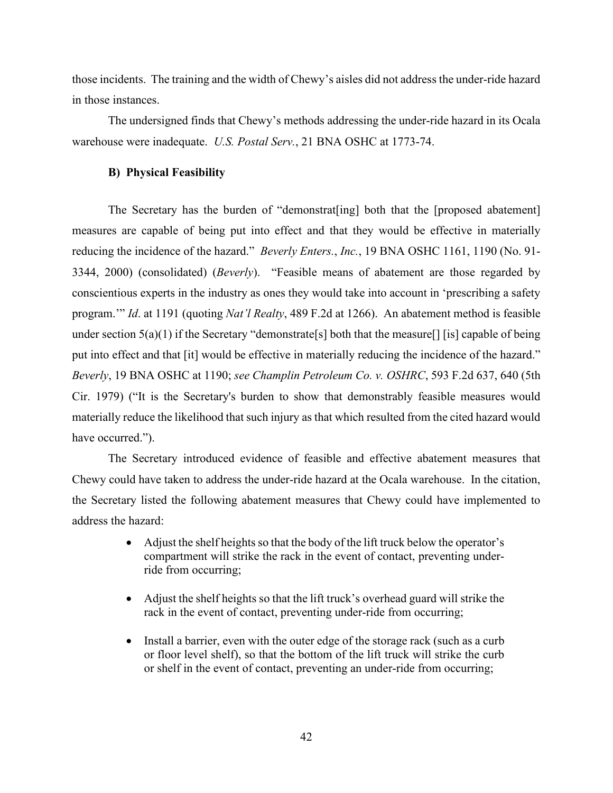those incidents. The training and the width of Chewy's aisles did not address the under-ride hazard in those instances.

 warehouse were inadequate. *U.S. Postal Serv.*, 21 BNA OSHC at 1773-74. The undersigned finds that Chewy's methods addressing the under-ride hazard in its Ocala

# **B) Physical Feasibility**

 reducing the incidence of the hazard." *Beverly Enters.*, *Inc.*, 19 BNA OSHC 1161, 1190 (No. 91- 3344, 2000) (consolidated) (*Beverly*). "Feasible means of abatement are those regarded by program.'" *Id*. at 1191 (quoting *Nat'l Realty*, 489 F.2d at 1266). An abatement method is feasible put into effect and that [it] would be effective in materially reducing the incidence of the hazard." *Beverly*, 19 BNA OSHC at 1190; *see Champlin Petroleum Co. v. OSHRC*, 593 F.2d 637, 640 (5th The Secretary has the burden of "demonstrat[ing] both that the [proposed abatement] measures are capable of being put into effect and that they would be effective in materially conscientious experts in the industry as ones they would take into account in 'prescribing a safety under section  $5(a)(1)$  if the Secretary "demonstrate[s] both that the measure[] [is] capable of being Cir. 1979) ("It is the Secretary's burden to show that demonstrably feasible measures would materially reduce the likelihood that such injury as that which resulted from the cited hazard would have occurred.").

 Chewy could have taken to address the under-ride hazard at the Ocala warehouse. In the citation, address the hazard: The Secretary introduced evidence of feasible and effective abatement measures that the Secretary listed the following abatement measures that Chewy could have implemented to

- Adjust the shelf heights so that the body of the lift truck below the operator's compartment will strike the rack in the event of contact, preventing underride from occurring;
- Adjust the shelf heights so that the lift truck's overhead guard will strike the rack in the event of contact, preventing under-ride from occurring;
- Install a barrier, even with the outer edge of the storage rack (such as a curb or floor level shelf), so that the bottom of the lift truck will strike the curb or shelf in the event of contact, preventing an under-ride from occurring;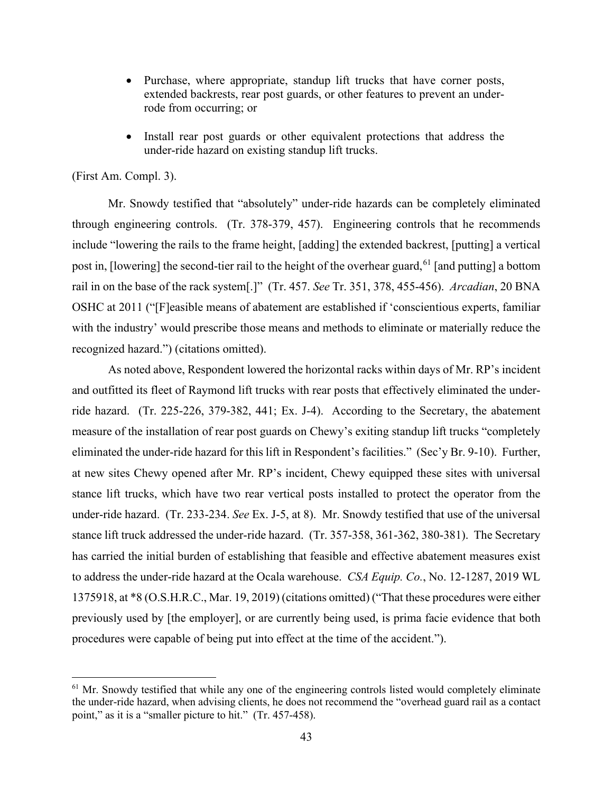- Purchase, where appropriate, standup lift trucks that have corner posts, extended backrests, rear post guards, or other features to prevent an underrode from occurring; or
- Install rear post guards or other equivalent protections that address the under-ride hazard on existing standup lift trucks.

# (First Am. Compl. 3).

 through engineering controls. (Tr. 378-379, 457). Engineering controls that he recommends rail in on the base of the rack system[.]" (Tr. 457. *See* Tr. 351, 378, 455-456). *Arcadian*, 20 BNA recognized hazard.") (citations omitted). Mr. Snowdy testified that "absolutely" under-ride hazards can be completely eliminated include "lowering the rails to the frame height, [adding] the extended backrest, [putting] a vertical post in, [lowering] the second-tier rail to the height of the overhear guard,  $61$  [and putting] a bottom OSHC at 2011 ("[F]easible means of abatement are established if 'conscientious experts, familiar with the industry' would prescribe those means and methods to eliminate or materially reduce the

 ride hazard. (Tr. 225-226, 379-382, 441; Ex. J-4). According to the Secretary, the abatement measure of the installation of rear post guards on Chewy's exiting standup lift trucks "completely eliminated the under-ride hazard for this lift in Respondent's facilities." (Sec'y Br. 9-10). Further, at new sites Chewy opened after Mr. RP's incident, Chewy equipped these sites with universal under-ride hazard. (Tr. 233-234. *See* Ex. J-5, at 8). Mr. Snowdy testified that use of the universal to address the under-ride hazard at the Ocala warehouse. *CSA Equip. Co.*, No. 12-1287, 2019 WL 1375918, at \*8 (O.S.H.R.C., Mar. 19, 2019) (citations omitted) ("That these procedures were either procedures were capable of being put into effect at the time of the accident."). procedures were capable of being put into effect at the time of the accident.").<br><sup>61</sup> Mr. Snowdy testified that while any one of the engineering controls listed would completely eliminate As noted above, Respondent lowered the horizontal racks within days of Mr. RP's incident and outfitted its fleet of Raymond lift trucks with rear posts that effectively eliminated the understance lift trucks, which have two rear vertical posts installed to protect the operator from the stance lift truck addressed the under-ride hazard. (Tr. 357-358, 361-362, 380-381). The Secretary has carried the initial burden of establishing that feasible and effective abatement measures exist previously used by [the employer], or are currently being used, is prima facie evidence that both

<span id="page-42-0"></span>the under-ride hazard, when advising clients, he does not recommend the "overhead guard rail as a contact point," as it is a "smaller picture to hit." (Tr. 457-458).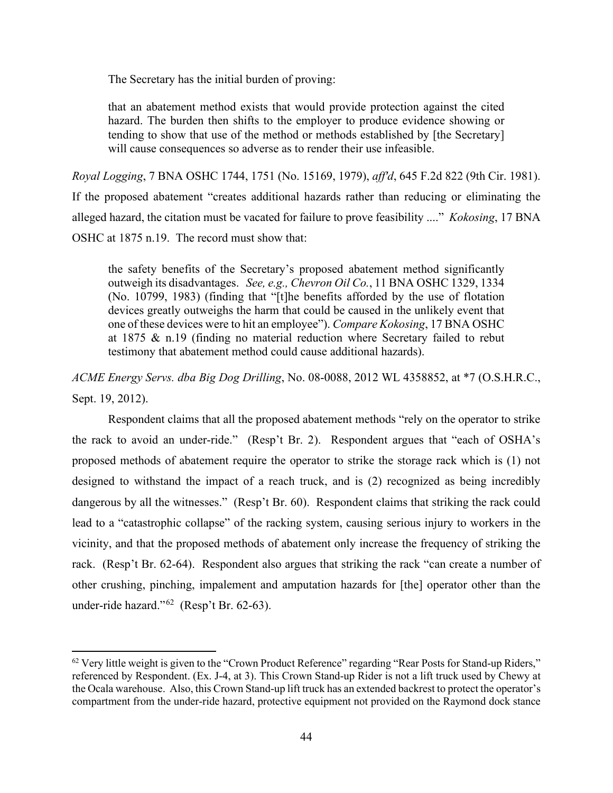The Secretary has the initial burden of proving:

that an abatement method exists that would provide protection against the cited hazard. The burden then shifts to the employer to produce evidence showing or tending to show that use of the method or methods established by [the Secretary] will cause consequences so adverse as to render their use infeasible.

Royal Logging, 7 BNA OSHC 1744, 1751 (No. 15169, 1979), aff'd, 645 F.2d 822 (9th Cir. 1981). alleged hazard, the citation must be vacated for failure to prove feasibility ...." *Kokosing*, 17 BNA OSHC at 1875 n.19. The record must show that: If the proposed abatement "creates additional hazards rather than reducing or eliminating the

 outweigh its disadvantages. *See, e.g., Chevron Oil Co.*, 11 BNA OSHC 1329, 1334 the safety benefits of the Secretary's proposed abatement method significantly (No. 10799, 1983) (finding that "[t]he benefits afforded by the use of flotation devices greatly outweighs the harm that could be caused in the unlikely event that one of these devices were to hit an employee"). *Compare Kokosing*, 17 BNA OSHC at 1875 & n.19 (finding no material reduction where Secretary failed to rebut testimony that abatement method could cause additional hazards).

*ACME Energy Servs. dba Big Dog Drilling*, No. 08-0088, 2012 WL 4358852, at \*7 (O.S.H.R.C., Sept. 19, 2012).

 Respondent claims that all the proposed abatement methods "rely on the operator to strike the rack to avoid an under-ride." (Resp't Br. 2). Respondent argues that "each of OSHA's dangerous by all the witnesses." (Resp't Br. 60). Respondent claims that striking the rack could rack. (Resp't Br. 62-64). Respondent also argues that striking the rack "can create a number of under-ride hazard." $62$  (Resp't Br. 62-63). proposed methods of abatement require the operator to strike the storage rack which is (1) not designed to withstand the impact of a reach truck, and is (2) recognized as being incredibly lead to a "catastrophic collapse" of the racking system, causing serious injury to workers in the vicinity, and that the proposed methods of abatement only increase the frequency of striking the other crushing, pinching, impalement and amputation hazards for [the] operator other than the

<span id="page-43-0"></span> $62$  Very little weight is given to the "Crown Product Reference" regarding "Rear Posts for Stand-up Riders," the Ocala warehouse. Also, this Crown Stand-up lift truck has an extended backrest to protect the operator's referenced by Respondent. (Ex. J-4, at 3). This Crown Stand-up Rider is not a lift truck used by Chewy at compartment from the under-ride hazard, protective equipment not provided on the Raymond dock stance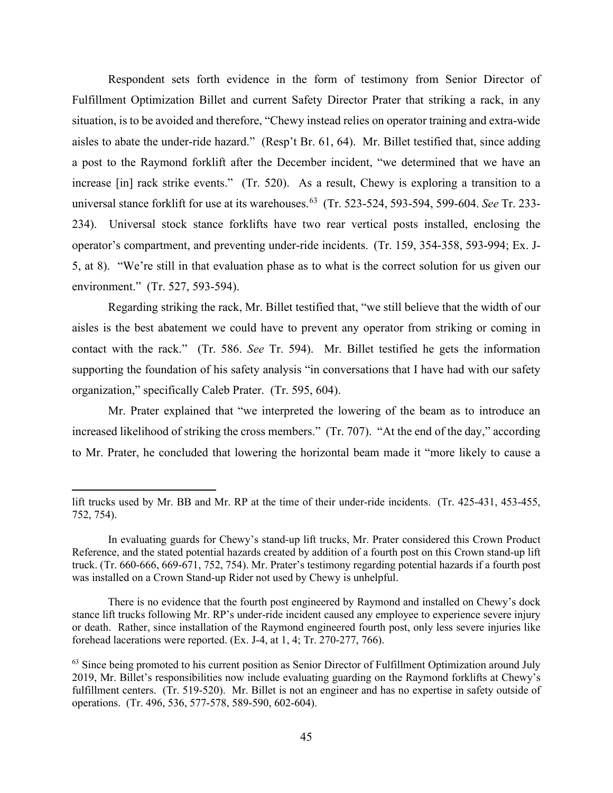Respondent sets forth evidence in the form of testimony from Senior Director of Fulfillment Optimization Billet and current Safety Director Prater that striking a rack, in any aisles to abate the under-ride hazard." (Resp't Br. 61, 64). Mr. Billet testified that, since adding increase [in] rack strike events." (Tr. 520). As a result, Chewy is exploring a transition to a universal stance forklift for use at its warehouses.[63](#page-44-0) (Tr. 523-524, 593-594, 599-604. *See* Tr. 233- 5, at 8). "We're still in that evaluation phase as to what is the correct solution for us given our environment." (Tr. 527, 593-594). situation, is to be avoided and therefore, "Chewy instead relies on operator training and extra-wide a post to the Raymond forklift after the December incident, "we determined that we have an 234). Universal stock stance forklifts have two rear vertical posts installed, enclosing the operator's compartment, and preventing under-ride incidents. (Tr. 159, 354-358, 593-994; Ex. J-

 contact with the rack." (Tr. 586. *See* Tr. 594). Mr. Billet testified he gets the information Regarding striking the rack, Mr. Billet testified that, "we still believe that the width of our aisles is the best abatement we could have to prevent any operator from striking or coming in supporting the foundation of his safety analysis "in conversations that I have had with our safety organization," specifically Caleb Prater. (Tr. 595, 604).

 increased likelihood of striking the cross members." (Tr. 707). "At the end of the day," according Mr. Prater explained that "we interpreted the lowering of the beam as to introduce an to Mr. Prater, he concluded that lowering the horizontal beam made it "more likely to cause a

 lift trucks used by Mr. BB and Mr. RP at the time of their under-ride incidents. (Tr. 425-431, 453-455, 752, 754).

 752, 754). In evaluating guards for Chewy's stand-up lift trucks, Mr. Prater considered this Crown Product Reference, and the stated potential hazards created by addition of a fourth post on this Crown stand-up lift was installed on a Crown Stand-up Rider not used by Chewy is unhelpful. truck. (Tr. 660-666, 669-671, 752, 754). Mr. Prater's testimony regarding potential hazards if a fourth post

There is no evidence that the fourth post engineered by Raymond and installed on Chewy's dock stance lift trucks following Mr. RP's under-ride incident caused any employee to experience severe injury or death. Rather, since installation of the Raymond engineered fourth post, only less severe injuries like forehead lacerations were reported. (Ex. J-4, at 1, 4; Tr. 270-277, 766).

<span id="page-44-0"></span> 2019, Mr. Billet's responsibilities now include evaluating guarding on the Raymond forklifts at Chewy's fulfillment centers. (Tr. 519-520). Mr. Billet is not an engineer and has no expertise in safety outside of <sup>63</sup> Since being promoted to his current position as Senior Director of Fulfillment Optimization around July operations. (Tr. 496, 536, 577-578, 589-590, 602-604).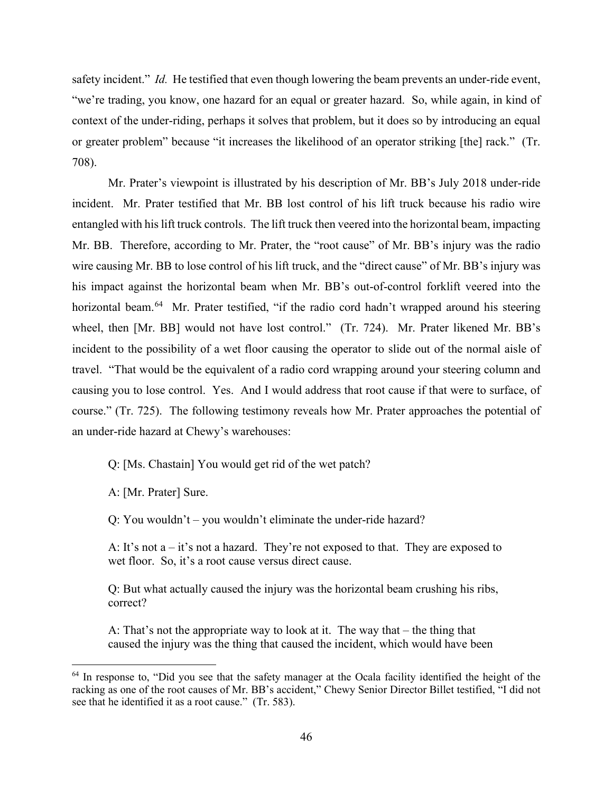or greater problem" because "it increases the likelihood of an operator striking [the] rack." (Tr. 708). safety incident." *Id.* He testified that even though lowering the beam prevents an under-ride event, "we're trading, you know, one hazard for an equal or greater hazard. So, while again, in kind of context of the under-riding, perhaps it solves that problem, but it does so by introducing an equal

 708). Mr. Prater's viewpoint is illustrated by his description of Mr. BB's July 2018 under-ride incident. Mr. Prater testified that Mr. BB lost control of his lift truck because his radio wire wire causing Mr. BB to lose control of his lift truck, and the "direct cause" of Mr. BB's injury was horizontal beam.<sup>64</sup> Mr. Prater testified, "if the radio cord hadn't wrapped around his steering wheel, then [Mr. BB] would not have lost control." (Tr. 724). Mr. Prater likened Mr. BB's incident to the possibility of a wet floor causing the operator to slide out of the normal aisle of causing you to lose control. Yes. And I would address that root cause if that were to surface, of course." (Tr. 725). The following testimony reveals how Mr. Prater approaches the potential of entangled with his lift truck controls. The lift truck then veered into the horizontal beam, impacting Mr. BB. Therefore, according to Mr. Prater, the "root cause" of Mr. BB's injury was the radio his impact against the horizontal beam when Mr. BB's out-of-control forklift veered into the travel. "That would be the equivalent of a radio cord wrapping around your steering column and an under-ride hazard at Chewy's warehouses:

Q: [Ms. Chastain] You would get rid of the wet patch?

A: [Mr. Prater] Sure.

Q: You wouldn't – you wouldn't eliminate the under-ride hazard?

A: It's not  $a - it$ 's not a hazard. They're not exposed to that. They are exposed to wet floor. So, it's a root cause versus direct cause.

Q: But what actually caused the injury was the horizontal beam crushing his ribs, correct?

 A: That's not the appropriate way to look at it. The way that – the thing that caused the injury was the thing that caused the incident, which would have been

<span id="page-45-0"></span><sup>&</sup>lt;sup>64</sup> In response to, "Did you see that the safety manager at the Ocala facility identified the height of the racking as one of the root causes of Mr. BB's accident," Chewy Senior Director Billet testified, "I did not see that he identified it as a root cause." (Tr. 583).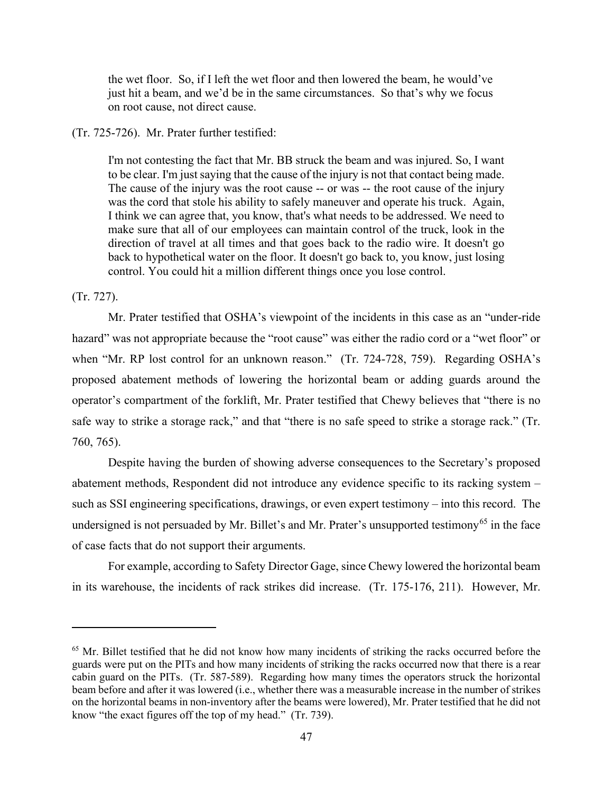the wet floor. So, if I left the wet floor and then lowered the beam, he would've just hit a beam, and we'd be in the same circumstances. So that's why we focus on root cause, not direct cause.

(Tr. 725-726). Mr. Prater further testified:

 I think we can agree that, you know, that's what needs to be addressed. We need to I'm not contesting the fact that Mr. BB struck the beam and was injured. So, I want to be clear. I'm just saying that the cause of the injury is not that contact being made. The cause of the injury was the root cause -- or was -- the root cause of the injury was the cord that stole his ability to safely maneuver and operate his truck. Again, make sure that all of our employees can maintain control of the truck, look in the direction of travel at all times and that goes back to the radio wire. It doesn't go back to hypothetical water on the floor. It doesn't go back to, you know, just losing control. You could hit a million different things once you lose control.

(Tr. 727).

 when "Mr. RP lost control for an unknown reason." (Tr. 724-728, 759). Regarding OSHA's 760, 765). Mr. Prater testified that OSHA's viewpoint of the incidents in this case as an "under-ride hazard" was not appropriate because the "root cause" was either the radio cord or a "wet floor" or proposed abatement methods of lowering the horizontal beam or adding guards around the operator's compartment of the forklift, Mr. Prater testified that Chewy believes that "there is no safe way to strike a storage rack," and that "there is no safe speed to strike a storage rack." (Tr.

 such as SSI engineering specifications, drawings, or even expert testimony – into this record. The undersigned is not persuaded by Mr. Billet's and Mr. Prater's unsupported testimony<sup>[65](#page-46-0)</sup> in the face of case facts that do not support their arguments. Despite having the burden of showing adverse consequences to the Secretary's proposed abatement methods, Respondent did not introduce any evidence specific to its racking system –

 in its warehouse, the incidents of rack strikes did increase. (Tr. 175-176, 211). However, Mr. For example, according to Safety Director Gage, since Chewy lowered the horizontal beam

<span id="page-46-0"></span> $65$  Mr. Billet testified that he did not know how many incidents of striking the racks occurred before the cabin guard on the PITs. (Tr. 587-589). Regarding how many times the operators struck the horizontal know "the exact figures off the top of my head." (Tr. 739). guards were put on the PITs and how many incidents of striking the racks occurred now that there is a rear beam before and after it was lowered (i.e., whether there was a measurable increase in the number of strikes on the horizontal beams in non-inventory after the beams were lowered), Mr. Prater testified that he did not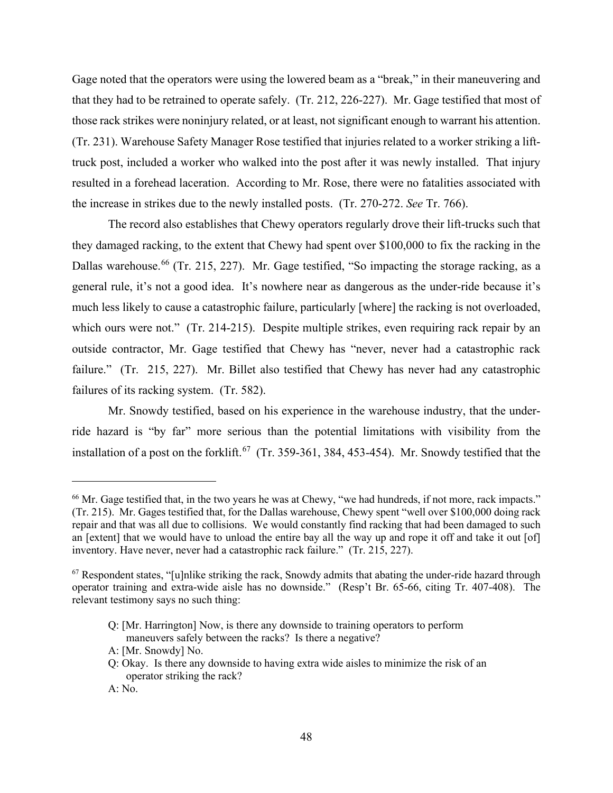that they had to be retrained to operate safely. (Tr. 212, 226-227). Mr. Gage testified that most of those rack strikes were noninjury related, or at least, not significant enough to warrant his attention. (Tr. 231). Warehouse Safety Manager Rose testified that injuries related to a worker striking a lift- the increase in strikes due to the newly installed posts. (Tr. 270-272. *See* Tr. 766). Gage noted that the operators were using the lowered beam as a "break," in their maneuvering and truck post, included a worker who walked into the post after it was newly installed. That injury resulted in a forehead laceration. According to Mr. Rose, there were no fatalities associated with

 The record also establishes that Chewy operators regularly drove their lift-trucks such that Dallas warehouse.<sup>[66](#page-47-0)</sup> (Tr. 215, 227). Mr. Gage testified, "So impacting the storage racking, as a much less likely to cause a catastrophic failure, particularly [where] the racking is not overloaded, which ours were not." (Tr. 214-215). Despite multiple strikes, even requiring rack repair by an outside contractor, Mr. Gage testified that Chewy has "never, never had a catastrophic rack failure." (Tr. 215, 227). Mr. Billet also testified that Chewy has never had any catastrophic failures of its racking system. (Tr. 582). they damaged racking, to the extent that Chewy had spent over \$100,000 to fix the racking in the general rule, it's not a good idea. It's nowhere near as dangerous as the under-ride because it's

installation of a post on the forklift.<sup>[67](#page-47-1)</sup> (Tr. 359-361, 384, 453-454). Mr. Snowdy testified that the Mr. Snowdy testified, based on his experience in the warehouse industry, that the underride hazard is "by far" more serious than the potential limitations with visibility from the

<span id="page-47-0"></span><sup>&</sup>lt;sup>66</sup> Mr. Gage testified that, in the two years he was at Chewy, "we had hundreds, if not more, rack impacts." <sup>66</sup> Mr. Gage testified that, in the two years he was at Chewy, "we had hundreds, if not more, rack impacts." (Tr. 215). Mr. Gages testified that, for the Dallas warehouse, Chewy spent "well over \$100,000 doing rack an [extent] that we would have to unload the entire bay all the way up and rope it off and take it out [of] inventory. Have never, never had a catastrophic rack failure." (Tr. 215, 227). repair and that was all due to collisions. We would constantly find racking that had been damaged to such

<span id="page-47-1"></span> $\frac{67}{2}$  Respondent states, "[u]nlike striking the rack, Snowdy admits that abating the under-ride hazard through operator training and extra-wide aisle has no downside." (Resp't Br. 65-66, citing Tr. 407-408). The relevant testimony says no such thing:

 Q: [Mr. Harrington] Now, is there any downside to training operators to perform maneuvers safely between the racks? Is there a negative?

A: [Mr. Snowdy] No.

 Q: Okay. Is there any downside to having extra wide aisles to minimize the risk of an operator striking the rack?

A: No.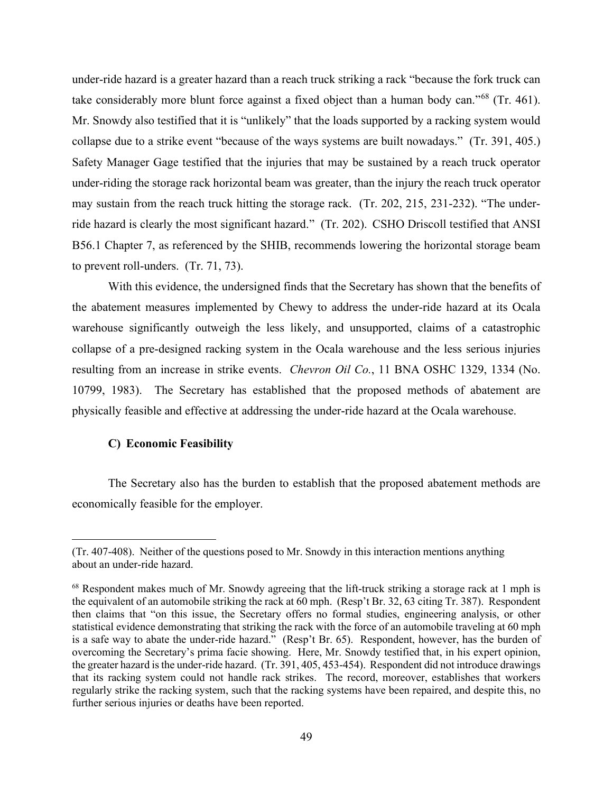take considerably more blunt force against a fixed object than a human body can."<sup>68</sup> (Tr. 461). collapse due to a strike event "because of the ways systems are built nowadays." (Tr. 391, 405.) ride hazard is clearly the most significant hazard." (Tr. 202). CSHO Driscoll testified that ANSI to prevent roll-unders.  $(Tr. 71, 73)$ . under-ride hazard is a greater hazard than a reach truck striking a rack "because the fork truck can Mr. Snowdy also testified that it is "unlikely" that the loads supported by a racking system would Safety Manager Gage testified that the injuries that may be sustained by a reach truck operator under-riding the storage rack horizontal beam was greater, than the injury the reach truck operator may sustain from the reach truck hitting the storage rack. (Tr. 202, 215, 231-232). "The under-B56.1 Chapter 7, as referenced by the SHIB, recommends lowering the horizontal storage beam

 warehouse significantly outweigh the less likely, and unsupported, claims of a catastrophic 10799, 1983). The Secretary has established that the proposed methods of abatement are With this evidence, the undersigned finds that the Secretary has shown that the benefits of the abatement measures implemented by Chewy to address the under-ride hazard at its Ocala collapse of a pre-designed racking system in the Ocala warehouse and the less serious injuries resulting from an increase in strike events. *Chevron Oil Co.*, 11 BNA OSHC 1329, 1334 (No. physically feasible and effective at addressing the under-ride hazard at the Ocala warehouse.

# **C) Economic Feasibility**

The Secretary also has the burden to establish that the proposed abatement methods are economically feasible for the employer.

about an under-ride hazard. (Tr. 407-408). Neither of the questions posed to Mr. Snowdy in this interaction mentions anything

<span id="page-48-0"></span>about an under-ride hazard.<br><sup>68</sup> Respondent makes much of Mr. Snowdy agreeing that the lift-truck striking a storage rack at 1 mph is statistical evidence demonstrating that striking the rack with the force of an automobile traveling at 60 mph overcoming the Secretary's prima facie showing. Here, Mr. Snowdy testified that, in his expert opinion, the greater hazard is the under-ride hazard. (Tr. 391, 405, 453-454). Respondent did not introduce drawings regularly strike the racking system, such that the racking systems have been repaired, and despite this, no further serious injuries or deaths have been reported.<br>49 the equivalent of an automobile striking the rack at 60 mph. (Resp't Br. 32, 63 citing Tr. 387). Respondent then claims that "on this issue, the Secretary offers no formal studies, engineering analysis, or other is a safe way to abate the under-ride hazard." (Resp't Br. 65). Respondent, however, has the burden of that its racking system could not handle rack strikes. The record, moreover, establishes that workers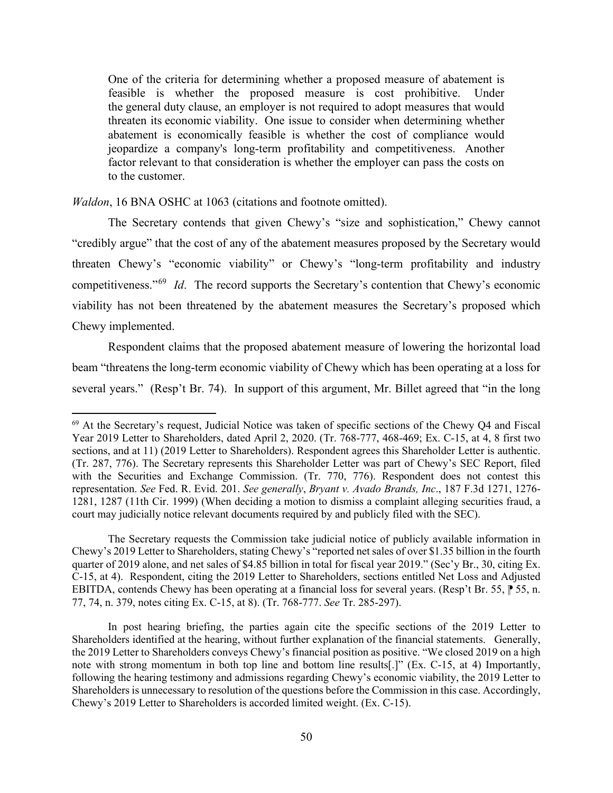feasible is whether the proposed measure is cost prohibitive. Under the general duty clause, an employer is not required to adopt measures that would threaten its economic viability. One issue to consider when determining whether jeopardize a company's long-term profitability and competitiveness. Another to the customer. One of the criteria for determining whether a proposed measure of abatement is abatement is economically feasible is whether the cost of compliance would factor relevant to that consideration is whether the employer can pass the costs on

*Waldon*, 16 BNA OSHC at 1063 (citations and footnote omitted).

 "credibly argue" that the cost of any of the abatement measures proposed by the Secretary would competitiveness."[69](#page-49-0) *Id*. The record supports the Secretary's contention that Chewy's economic The Secretary contends that given Chewy's "size and sophistication," Chewy cannot threaten Chewy's "economic viability" or Chewy's "long-term profitability and industry viability has not been threatened by the abatement measures the Secretary's proposed which Chewy implemented.

 several years." (Resp't Br. 74). In support of this argument, Mr. Billet agreed that "in the long Respondent claims that the proposed abatement measure of lowering the horizontal load beam "threatens the long-term economic viability of Chewy which has been operating at a loss for

 Chewy's 2019 Letter to Shareholders, stating Chewy's "reported net sales of over \$1.35 billion in the fourth C-15, at 4). Respondent, citing the 2019 Letter to Shareholders, sections entitled Net Loss and Adjusted EBITDA, contends Chewy has been operating at a financial loss for several years. (Resp't Br. 55,  $\uparrow$  55, n. The Secretary requests the Commission take judicial notice of publicly available information in quarter of 2019 alone, and net sales of \$4.85 billion in total for fiscal year 2019." (Sec'y Br., 30, citing Ex. 77, 74, n. 379, notes citing Ex. C-15, at 8). (Tr. 768-777. *See* Tr. 285-297).

 In post hearing briefing, the parties again cite the specific sections of the 2019 Letter to Shareholders identified at the hearing, without further explanation of the financial statements. Generally, the 2019 Letter to Shareholders conveys Chewy's financial position as positive. "We closed 2019 on a high note with strong momentum in both top line and bottom line results[.]" (Ex. C-15, at 4) Importantly, following the hearing testimony and admissions regarding Chewy's economic viability, the 2019 Letter to Shareholders is unnecessary to resolution of the questions before the Commission in this case. Accordingly, Chewy's 2019 Letter to Shareholders is accorded limited weight. (Ex. C-15).

<span id="page-49-0"></span> $69$  At the Secretary's request, Judicial Notice was taken of specific sections of the Chewy Q4 and Fiscal Year 2019 Letter to Shareholders, dated April 2, 2020. (Tr. 768-777, 468-469; Ex. C-15, at 4, 8 first two sections, and at 11) (2019 Letter to Shareholders). Respondent agrees this Shareholder Letter is authentic. (Tr. 287, 776). The Secretary represents this Shareholder Letter was part of Chewy's SEC Report, filed with the Securities and Exchange Commission. (Tr. 770, 776). Respondent does not contest this representation. *See* Fed. R. Evid. 201. *See generally*, *Bryant v. Avado Brands, Inc*., 187 F.3d 1271, 1276- 1281, 1287 (11th Cir. 1999) (When deciding a motion to dismiss a complaint alleging securities fraud, a court may judicially notice relevant documents required by and publicly filed with the SEC).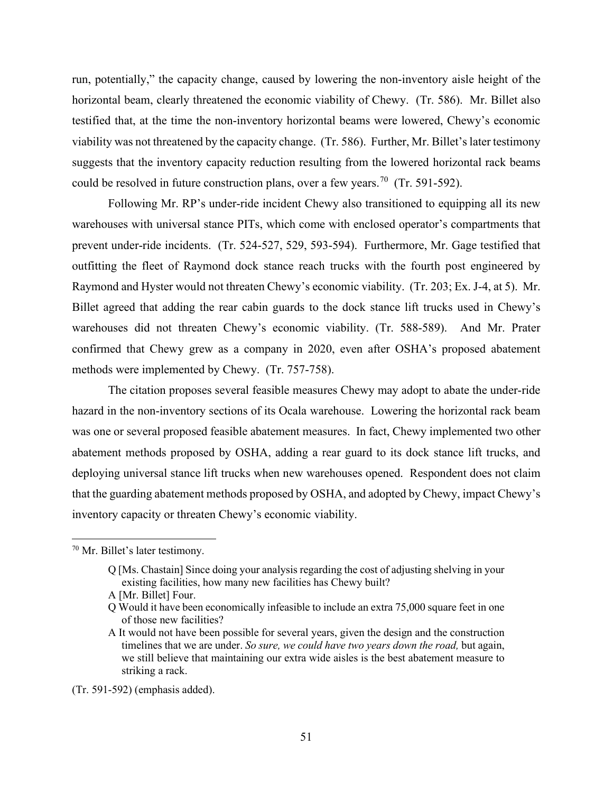horizontal beam, clearly threatened the economic viability of Chewy. (Tr. 586). Mr. Billet also testified that, at the time the non-inventory horizontal beams were lowered, Chewy's economic viability was not threatened by the capacity change. (Tr. 586). Further, Mr. Billet's later testimony could be resolved in future construction plans, over a few years.<sup>70</sup> (Tr. 591-592). run, potentially," the capacity change, caused by lowering the non-inventory aisle height of the suggests that the inventory capacity reduction resulting from the lowered horizontal rack beams

 Following Mr. RP's under-ride incident Chewy also transitioned to equipping all its new prevent under-ride incidents. (Tr. 524-527, 529, 593-594). Furthermore, Mr. Gage testified that outfitting the fleet of Raymond dock stance reach trucks with the fourth post engineered by Raymond and Hyster would not threaten Chewy's economic viability. (Tr. 203; Ex. J-4, at 5). Mr. confirmed that Chewy grew as a company in 2020, even after OSHA's proposed abatement methods were implemented by Chewy. (Tr. 757-758). warehouses with universal stance PITs, which come with enclosed operator's compartments that Billet agreed that adding the rear cabin guards to the dock stance lift trucks used in Chewy's warehouses did not threaten Chewy's economic viability. (Tr. 588-589). And Mr. Prater

 was one or several proposed feasible abatement measures. In fact, Chewy implemented two other deploying universal stance lift trucks when new warehouses opened. Respondent does not claim The citation proposes several feasible measures Chewy may adopt to abate the under-ride hazard in the non-inventory sections of its Ocala warehouse. Lowering the horizontal rack beam abatement methods proposed by OSHA, adding a rear guard to its dock stance lift trucks, and that the guarding abatement methods proposed by OSHA, and adopted by Chewy, impact Chewy's inventory capacity or threaten Chewy's economic viability.

(Tr. 591-592) (emphasis added).

<span id="page-50-0"></span> 70 Mr. Billet's later testimony.

 Q [Ms. Chastain] Since doing your analysis regarding the cost of adjusting shelving in your existing facilities, how many new facilities has Chewy built?

A [Mr. Billet] Four.

 Q Would it have been economically infeasible to include an extra 75,000 square feet in one of those new facilities?

A It would not have been possible for several years, given the design and the construction timelines that we are under. *So sure, we could have two years down the road,* but again, we still believe that maintaining our extra wide aisles is the best abatement measure to striking a rack.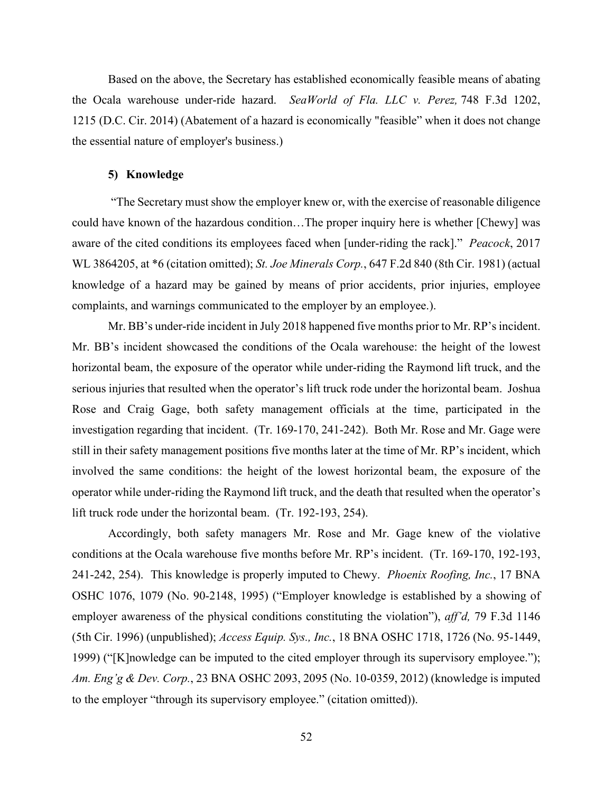the Ocala warehouse under-ride hazard. *SeaWorld of Fla. LLC v. Perez,* 748 F.3d 1202, Based on the above, the Secretary has established economically feasible means of abating 1215 (D.C. Cir. 2014) (Abatement of a hazard is economically "feasible" when it does not change the essential nature of employer's business.)

#### **5) Knowledge**

 could have known of the hazardous condition…The proper inquiry here is whether [Chewy] was aware of the cited conditions its employees faced when [under-riding the rack]." *Peacock*, 2017 WL 3864205, at \*6 (citation omitted); *St. Joe Minerals Corp.*, 647 F.2d 840 (8th Cir. 1981) (actual "The Secretary must show the employer knew or, with the exercise of reasonable diligence knowledge of a hazard may be gained by means of prior accidents, prior injuries, employee complaints, and warnings communicated to the employer by an employee.).

 serious injuries that resulted when the operator's lift truck rode under the horizontal beam. Joshua investigation regarding that incident. (Tr. 169-170, 241-242). Both Mr. Rose and Mr. Gage were lift truck rode under the horizontal beam. (Tr. 192-193, 254). Mr. BB's under-ride incident in July 2018 happened five months prior to Mr. RP's incident. Mr. BB's incident showcased the conditions of the Ocala warehouse: the height of the lowest horizontal beam, the exposure of the operator while under-riding the Raymond lift truck, and the Rose and Craig Gage, both safety management officials at the time, participated in the still in their safety management positions five months later at the time of Mr. RP's incident, which involved the same conditions: the height of the lowest horizontal beam, the exposure of the operator while under-riding the Raymond lift truck, and the death that resulted when the operator's

 Accordingly, both safety managers Mr. Rose and Mr. Gage knew of the violative 241-242, 254). This knowledge is properly imputed to Chewy. *Phoenix Roofing, Inc.*, 17 BNA to the employer "through its supervisory employee." (citation omitted)). conditions at the Ocala warehouse five months before Mr. RP's incident. (Tr. 169-170, 192-193, OSHC 1076, 1079 (No. 90-2148, 1995) ("Employer knowledge is established by a showing of employer awareness of the physical conditions constituting the violation"), *aff'd,* 79 F.3d 1146 (5th Cir. 1996) (unpublished); *Access Equip. Sys., Inc.*, 18 BNA OSHC 1718, 1726 (No. 95-1449, 1999) ("[K]nowledge can be imputed to the cited employer through its supervisory employee."); *Am. Eng'g & Dev. Corp.*, 23 BNA OSHC 2093, 2095 (No. 10-0359, 2012) (knowledge is imputed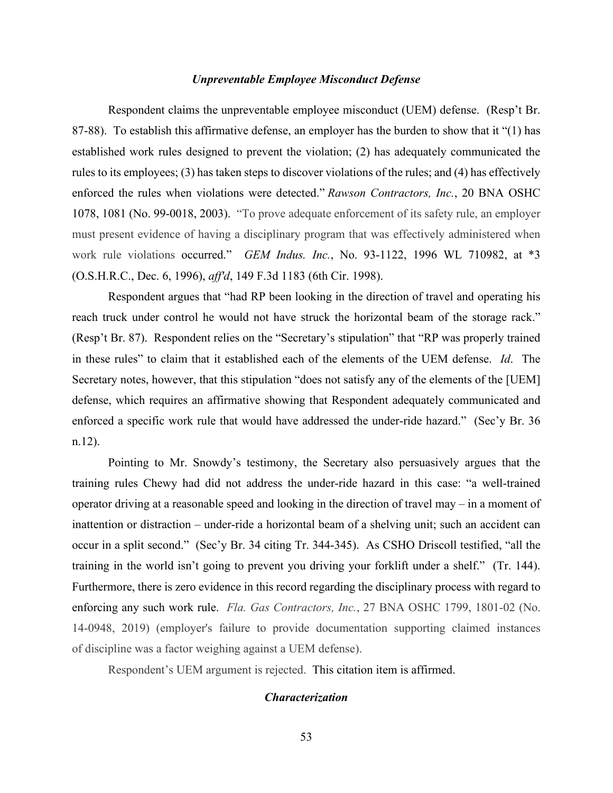# *Unpreventable Employee Misconduct Defense*

 87-88). To establish this affirmative defense, an employer has the burden to show that it "(1) has work rule violations occurred." *GEM Indus. Inc.*, No. 93-1122, 1996 WL 710982, at \*3 Respondent claims the unpreventable employee misconduct (UEM) defense. (Resp't Br. established work rules designed to prevent the violation; (2) has adequately communicated the rules to its employees; (3) has taken steps to discover violations of the rules; and (4) has effectively enforced the rules when violations were detected." *Rawson Contractors, Inc.*, 20 BNA OSHC 1078, 1081 (No. 99-0018, 2003). "To prove adequate enforcement of its safety rule, an employer must present evidence of having a disciplinary program that was effectively administered when (O.S.H.R.C., Dec. 6, 1996), *aff'd*, 149 F.3d 1183 (6th Cir. 1998).

reach truck under control he would not have struck the horizontal beam of the storage rack." reach truck under control he would not have struck the horizontal beam of the storage rack." (Resp't Br. 87). Respondent relies on the "Secretary's stipulation" that "RP was properly trained in these rules" to claim that it established each of the elements of the UEM defense. *Id*. The Secretary notes, however, that this stipulation "does not satisfy any of the elements of the [UEM]  $n.12$ ). n.12). Pointing to Mr. Snowdy's testimony, the Secretary also persuasively argues that the Respondent argues that "had RP been looking in the direction of travel and operating his defense, which requires an affirmative showing that Respondent adequately communicated and enforced a specific work rule that would have addressed the under-ride hazard." (Sec'y Br. 36

 occur in a split second." (Sec'y Br. 34 citing Tr. 344-345). As CSHO Driscoll testified, "all the training in the world isn't going to prevent you driving your forklift under a shelf." (Tr. 144). Furthermore, there is zero evidence in this record regarding the disciplinary process with regard to of discipline was a factor weighing against a UEM defense). training rules Chewy had did not address the under-ride hazard in this case: "a well-trained operator driving at a reasonable speed and looking in the direction of travel may – in a moment of inattention or distraction – under-ride a horizontal beam of a shelving unit; such an accident can enforcing any such work rule. *Fla. Gas Contractors, Inc.*, 27 BNA OSHC 1799, 1801-02 (No. 14-0948, 2019) (employer's failure to provide documentation supporting claimed instances

Respondent's UEM argument is rejected. This citation item is affirmed.

#### *Characterization*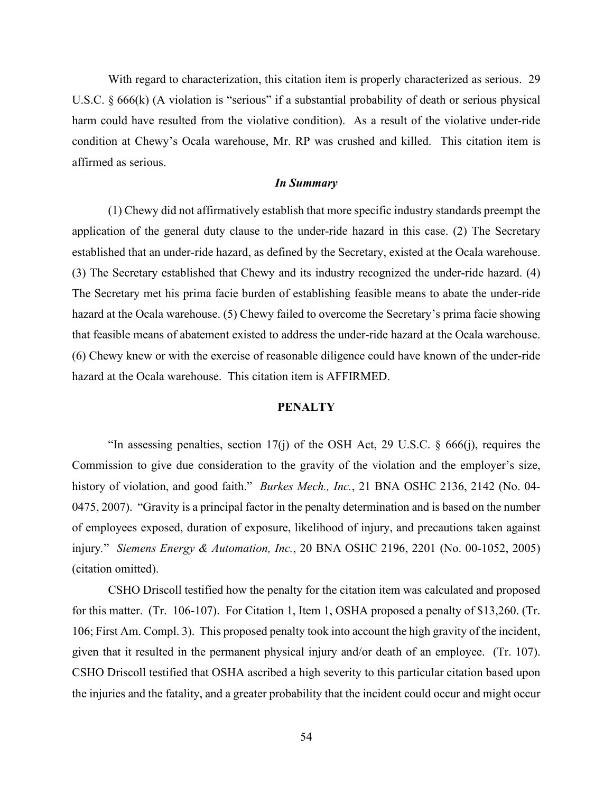With regard to characterization, this citation item is properly characterized as serious. 29 U.S.C. § 666(k) (A violation is "serious" if a substantial probability of death or serious physical harm could have resulted from the violative condition). As a result of the violative under-ride condition at Chewy's Ocala warehouse, Mr. RP was crushed and killed. This citation item is affirmed as serious.

# *In Summary*

 (6) Chewy knew or with the exercise of reasonable diligence could have known of the under-ride hazard at the Ocala warehouse. This citation item is AFFIRMED. (1) Chewy did not affirmatively establish that more specific industry standards preempt the application of the general duty clause to the under-ride hazard in this case. (2) The Secretary established that an under-ride hazard, as defined by the Secretary, existed at the Ocala warehouse. (3) The Secretary established that Chewy and its industry recognized the under-ride hazard. (4) The Secretary met his prima facie burden of establishing feasible means to abate the under-ride hazard at the Ocala warehouse. (5) Chewy failed to overcome the Secretary's prima facie showing that feasible means of abatement existed to address the under-ride hazard at the Ocala warehouse.

# **PENALTY**

 injury*.*" *Siemens Energy & Automation, Inc.*, 20 BNA OSHC 2196, 2201 (No. 00-1052, 2005) "In assessing penalties, section 17(j) of the OSH Act, 29 U.S.C. § 666(j), requires the Commission to give due consideration to the gravity of the violation and the employer's size, history of violation, and good faith." *Burkes Mech., Inc.*, 21 BNA OSHC 2136, 2142 (No. 04- 0475, 2007). "Gravity is a principal factor in the penalty determination and is based on the number of employees exposed, duration of exposure, likelihood of injury, and precautions taken against (citation omitted).

 for this matter. (Tr. 106-107). For Citation 1, Item 1, OSHA proposed a penalty of \$13,260. (Tr. 106; First Am. Compl. 3). This proposed penalty took into account the high gravity of the incident, given that it resulted in the permanent physical injury and/or death of an employee. (Tr. 107). CSHO Driscoll testified how the penalty for the citation item was calculated and proposed CSHO Driscoll testified that OSHA ascribed a high severity to this particular citation based upon the injuries and the fatality, and a greater probability that the incident could occur and might occur